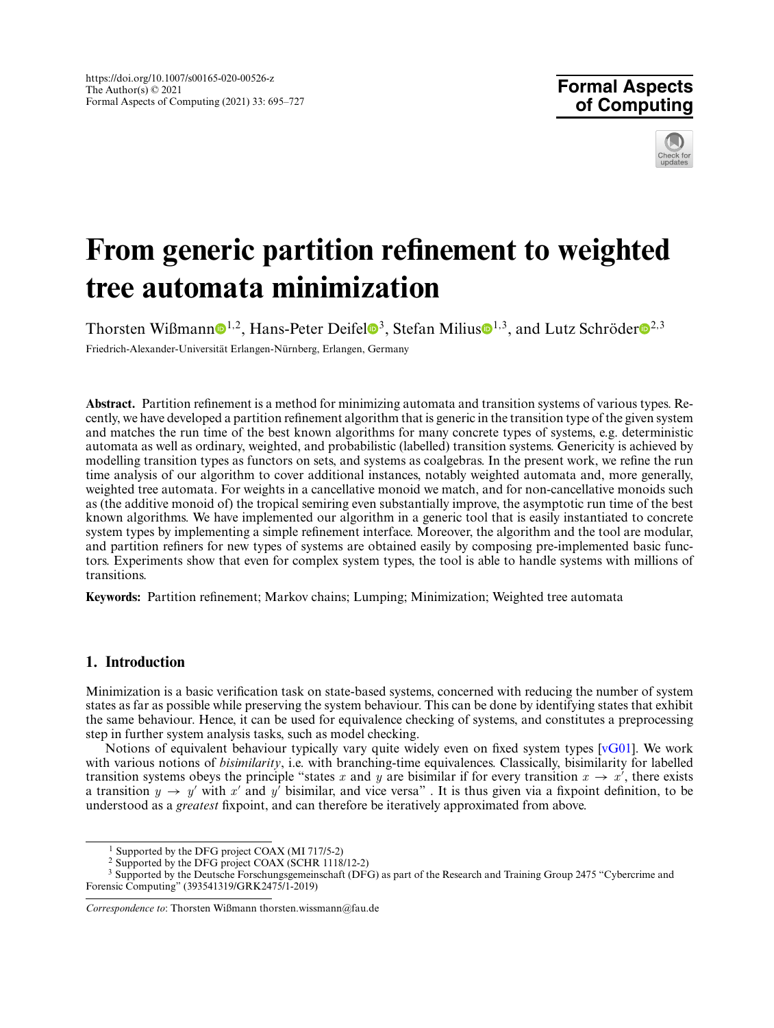**Formal Aspects of Computing**



# **From generic partition refinement to weighted tree automata minimization**

Tho[r](http://orcid.org/0000-0002-3146-5906)sten Wißmann $\mathbb{D}^{1,2}$  $\mathbb{D}^{1,2}$  $\mathbb{D}^{1,2}$ , Hans-Peter Deifel $\mathbb{D}^3$  $\mathbb{D}^3$ , Stefan Milius $\mathbb{D}^{1,3}$ , and Lutz Schröder $\mathbb{D}^{2,3}$ Friedrich-Alexander-Universität Erlangen-Nürnberg, Erlangen, Germany

**Abstract.** Partition refinement is a method for minimizing automata and transition systems of various types. Recently, we have developed a partition refinement algorithm that is generic in the transition type of the given system and matches the run time of the best known algorithms for many concrete types of systems, e.g. deterministic automata as well as ordinary, weighted, and probabilistic (labelled) transition systems. Genericity is achieved by modelling transition types as functors on sets, and systems as coalgebras. In the present work, we refine the run time analysis of our algorithm to cover additional instances, notably weighted automata and, more generally, weighted tree automata. For weights in a cancellative monoid we match, and for non-cancellative monoids such as (the additive monoid of) the tropical semiring even substantially improve, the asymptotic run time of the best known algorithms. We have implemented our algorithm in a generic tool that is easily instantiated to concrete system types by implementing a simple refinement interface. Moreover, the algorithm and the tool are modular, and partition refiners for new types of systems are obtained easily by composing pre-implemented basic functors. Experiments show that even for complex system types, the tool is able to handle systems with millions of transitions.

**Keywords:** Partition refinement; Markov chains; Lumping; Minimization; Weighted tree automata

# **1. Introduction**

Minimization is a basic verification task on state-based systems, concerned with reducing the number of system states as far as possible while preserving the system behaviour. This can be done by identifying states that exhibit the same behaviour. Hence, it can be used for equivalence checking of systems, and constitutes a preprocessing step in further system analysis tasks, such as model checking.

Notions of equivalent behaviour typically vary quite widely even on fixed system types [\[vG01\]](#page-32-0). We work with various notions of *bisimilarity*, i.e. with branching-time equivalences. Classically, bisimilarity for labelled transition systems obeys the principle "states *x* and *y* are bisimilar if for every transition  $x \to x'$ , there exists a transition  $y \rightarrow y'$  with x' and y' bisimilar, and vice versa". It is thus given via a fixpoint definition, to be understood as a *greatest* fixpoint, and can therefore be iteratively approximated from above.

<sup>&</sup>lt;sup>1</sup> Supported by the DFG project COAX (MI 717/5-2)

<sup>2</sup> Supported by the DFG project COAX (SCHR 1118/12-2)

<sup>&</sup>lt;sup>3</sup> Supported by the Deutsche Forschungsgemeinschaft (DFG) as part of the Research and Training Group 2475 "Cybercrime and Forensic Computing" (393541319/GRK2475/1-2019)

*Correspondence to*: Thorsten Wißmann thorsten.wissmann@fau.de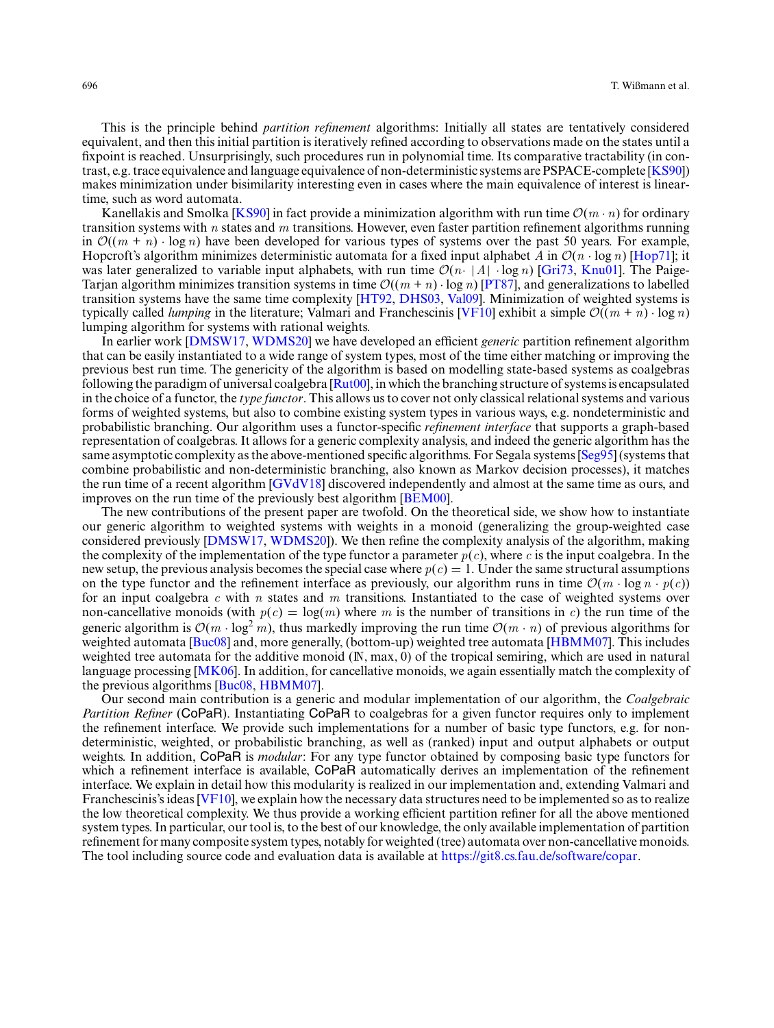This is the principle behind *partition refinement* algorithms: Initially all states are tentatively considered equivalent, and then this initial partition is iteratively refined according to observations made on the states until a fixpoint is reached. Unsurprisingly, such procedures run in polynomial time. Its comparative tractability (in contrast, e.g. trace equivalence and language equivalence of non-deterministic systems are PSPACE-complete [\[KS90\]](#page-31-0)) makes minimization under bisimilarity interesting even in cases where the main equivalence of interest is lineartime, such as word automata.

Kanellakis and Smolka [\[KS90\]](#page-31-0) in fact provide a minimization algorithm with run time  $O(m \cdot n)$  for ordinary transition systems with *n* states and *m* transitions. However, even faster partition refinement algorithms running in  $\mathcal{O}((m + n) \cdot \log n)$  have been developed for various types of systems over the past 50 years. For example, Hopcroft's algorithm minimizes deterministic automata for a fixed input alphabet *A* in  $\mathcal{O}(n \cdot \log n)$  [\[Hop71\]](#page-31-1); it was later generalized to variable input alphabets, with run time  $\mathcal{O}(n \cdot |A| \cdot \log n)$  [\[Gri73,](#page-31-2) [Knu01\]](#page-31-3). The Paige-Tarjan algorithm minimizes transition systems in time  $\mathcal{O}((m + n) \cdot \log n)$  [\[PT87\]](#page-31-4), and generalizations to labelled transition systems have the same time complexity [\[HT92,](#page-31-5) [DHS03,](#page-31-6) [Val09\]](#page-32-1). Minimization of weighted systems is typically called *lumping* in the literature; Valmari and Franchescinis [\[VF10\]](#page-32-2) exhibit a simple  $\mathcal{O}((m + n) \cdot \log n)$ lumping algorithm for systems with rational weights.

In earlier work [\[DMSW17,](#page-31-7) [WDMS20\]](#page-32-3) we have developed an efficient *generic* partition refinement algorithm that can be easily instantiated to a wide range of system types, most of the time either matching or improving the previous best run time. The genericity of the algorithm is based on modelling state-based systems as coalgebras following the paradigm of universal coalgebra  $\arctan{\frac{\text{Rut00}}{\text{ln}}}$ , in which the branching structure of systems is encapsulated in the choice of a functor, the *type functor*. This allows us to cover not only classical relational systems and various forms of weighted systems, but also to combine existing system types in various ways, e.g. nondeterministic and probabilistic branching. Our algorithm uses a functor-specific *refinement interface* that supports a graph-based representation of coalgebras. It allows for a generic complexity analysis, and indeed the generic algorithm has the same asymptotic complexity as the above-mentioned specific algorithms. For Segala systems [\[Seg95\]](#page-32-4) (systems that combine probabilistic and non-deterministic branching, also known as Markov decision processes), it matches the run time of a recent algorithm [\[GVdV18\]](#page-31-9) discovered independently and almost at the same time as ours, and improves on the run time of the previously best algorithm [\[BEM00\]](#page-30-0).

The new contributions of the present paper are twofold. On the theoretical side, we show how to instantiate our generic algorithm to weighted systems with weights in a monoid (generalizing the group-weighted case considered previously [\[DMSW17,](#page-31-7) [WDMS20\]](#page-32-3)). We then refine the complexity analysis of the algorithm, making the complexity of the implementation of the type functor a parameter  $p(c)$ , where c is the input coalgebra. In the new setup, the previous analysis becomes the special case where  $p(c) = 1$ . Under the same structural assumptions on the type functor and the refinement interface as previously, our algorithm runs in time  $\mathcal{O}(m \cdot \log n \cdot p(c))$ for an input coalgebra *c* with *n* states and *m* transitions. Instantiated to the case of weighted systems over non-cancellative monoids (with  $p(c) = \log(m)$  where *m* is the number of transitions in *c*) the run time of the generic algorithm is  $O(m \cdot \log^2 m)$ , thus markedly improving the run time  $O(m \cdot n)$  of previous algorithms for weighted automata [\[Buc08\]](#page-31-10) and, more generally, (bottom-up) weighted tree automata [\[HBMM07\]](#page-31-11). This includes weighted tree automata for the additive monoid (N, max, 0) of the tropical semiring, which are used in natural language processing [\[MK06\]](#page-31-12). In addition, for cancellative monoids, we again essentially match the complexity of the previous algorithms [\[Buc08,](#page-31-10) [HBMM07\]](#page-31-11).

Our second main contribution is a generic and modular implementation of our algorithm, the *Coalgebraic Partition Refiner* (CoPaR). Instantiating CoPaR to coalgebras for a given functor requires only to implement the refinement interface. We provide such implementations for a number of basic type functors, e.g. for nondeterministic, weighted, or probabilistic branching, as well as (ranked) input and output alphabets or output weights. In addition, CoPaR is *modular*: For any type functor obtained by composing basic type functors for which a refinement interface is available, CoPaR automatically derives an implementation of the refinement interface. We explain in detail how this modularity is realized in our implementation and, extending Valmari and Franchescinis's ideas [\[VF10\]](#page-32-2), we explain how the necessary data structures need to be implemented so as to realize the low theoretical complexity. We thus provide a working efficient partition refiner for all the above mentioned system types. In particular, our tool is, to the best of our knowledge, the only available implementation of partition refinement for many composite system types, notably for weighted (tree) automata over non-cancellative monoids. The tool including source code and evaluation data is available at [https://git8.cs.fau.de/software/copar.](https://git8.cs.fau.de/software/copar)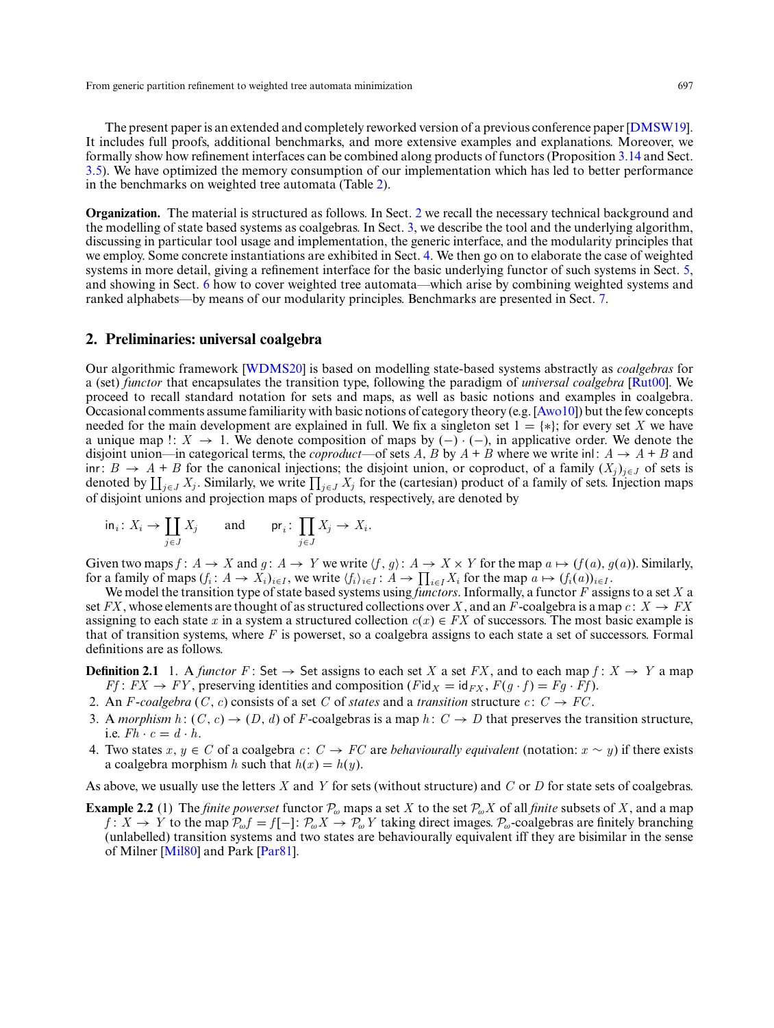The present paper is an extended and completely reworked version of a previous conference paper [\[DMSW19\]](#page-31-13). It includes full proofs, additional benchmarks, and more extensive examples and explanations. Moreover, we formally show how refinement interfaces can be combined along products of functors (Proposition [3.14](#page-14-0) and Sect. [3.5\)](#page-12-0). We have optimized the memory consumption of our implementation which has led to better performance in the benchmarks on weighted tree automata (Table [2\)](#page-27-0).

**Organization.** The material is structured as follows. In Sect. [2](#page-2-0) we recall the necessary technical background and the modelling of state based systems as coalgebras. In Sect. [3,](#page-4-0) we describe the tool and the underlying algorithm, discussing in particular tool usage and implementation, the generic interface, and the modularity principles that we employ. Some concrete instantiations are exhibited in Sect. [4.](#page-18-0) We then go on to elaborate the case of weighted systems in more detail, giving a refinement interface for the basic underlying functor of such systems in Sect. [5,](#page-18-1) and showing in Sect. [6](#page-23-0) how to cover weighted tree automata—which arise by combining weighted systems and ranked alphabets—by means of our modularity principles. Benchmarks are presented in Sect. [7.](#page-26-0)

# <span id="page-2-0"></span>**2. Preliminaries: universal coalgebra**

Our algorithmic framework [\[WDMS20\]](#page-32-3) is based on modelling state-based systems abstractly as *coalgebras* for a (set) *functor* that encapsulates the transition type, following the paradigm of *universal coalgebra* [\[Rut00\]](#page-31-8). We proceed to recall standard notation for sets and maps, as well as basic notions and examples in coalgebra. Occasional comments assume familiarity with basic notions of category theory (e.g. [\[Awo10\]](#page-30-1)) but the few concepts needed for the main development are explained in full. We fix a singleton set  $1 = \{ * \}$ ; for every set *X* we have a unique map !:  $X \to 1$ . We denote composition of maps by (–) · (–), in applicative order. We denote the disjoint union—in categorical terms, the *coproduct*—of sets *A*, *B* by  $A + B$  where we write inl:  $A \rightarrow A + B$  and inr: *B* → *A* + *B* for the canonical injections; the disjoint union, or coproduct, of a family  $(X_i)_{i \in J}$  of sets is denoted by  $\coprod_{j\in J} X_j$ . Similarly, we write  $\prod_{j\in J} X_j$  for the (cartesian) product of a family of sets. Injection maps of disjoint unions and projection maps of products, respectively, are denoted by

$$
\text{in}_i \colon X_i \to \coprod_{j \in J} X_j \qquad \text{and} \qquad \text{pr}_i \colon \prod_{j \in J} X_j \to X_i.
$$

Given two maps  $f: A \to X$  and  $g: A \to Y$  we write  $\langle f, g \rangle: A \to X \times Y$  for the map  $a \mapsto (f(a), g(a))$ . Similarly, for a family of maps  $(f_i: A \to X_i)_{i \in I}$ , we write  $\langle f_i \rangle_{i \in I}$ :  $A \to \prod_{i \in I} X_i$  for the map  $a \mapsto (f_i(a))_{i \in I}$ .

We model the transition type of state based systems using *functors*. Informally, a functor *F* assigns to a set *X* a set *FX*, whose elements are thought of as structured collections over *X*, and an *F*-coalgebra is a map  $c: X \rightarrow FX$ assigning to each state *x* in a system a structured collection  $c(x) \in FX$  of successors. The most basic example is that of transition systems, where *F* is powerset, so a coalgebra assigns to each state a set of successors. Formal definitions are as follows.

**Definition 2.1** 1. A *functor*  $F:$  Set  $\rightarrow$  Set assigns to each set *X* a set *FX*, and to each map  $f: X \rightarrow Y$  a map *Ff* :  $FX \rightarrow FY$ , preserving identities and composition ( $F$ id<sub>*X*</sub> = id<sub>*FX*</sub>,  $F(g \cdot f) = Fg \cdot Ff$ ).

- 2. An *F*-coalgebra (*C*, *c*) consists of a set *C* of *states* and a *transition* structure *c* :  $C \rightarrow FC$ .
- 3. A *morphism*  $h: (C, c) \rightarrow (D, d)$  of *F*-coalgebras is a map  $h: C \rightarrow D$  that preserves the transition structure, i.e.  $Fh \cdot c = d \cdot h$ .
- 4. Two states *x*, *y* ∈ *C* of a coalgebra *c*: *C* → *FC* are *behaviourally equivalent* (notation:  $x \sim y$ ) if there exists a coalgebra morphism *h* such that  $h(x) = h(y)$ .

<span id="page-2-1"></span>As above, we usually use the letters *X* and *Y* for sets (without structure) and *C* or *D* for state sets of coalgebras.

**Example 2.2** (1) The *finite powerset* functor  $\mathcal{P}_{\omega}$  maps a set *X* to the set  $\mathcal{P}_{\omega}$ *X* of all *finite* subsets of *X*, and a map *f* : *X* → *Y* to the map  $\mathcal{P}_{\omega}f = f[-]$ :  $\mathcal{P}_{\omega}X \rightarrow \mathcal{P}_{\omega}Y$  taking direct images.  $\mathcal{P}_{\omega}$ -coalgebras are finitely branching (unlabelled) transition systems and two states are behaviourally equivalent iff they are bisimilar in the sense of Milner [\[Mil80\]](#page-31-14) and Park [\[Par81\]](#page-31-15).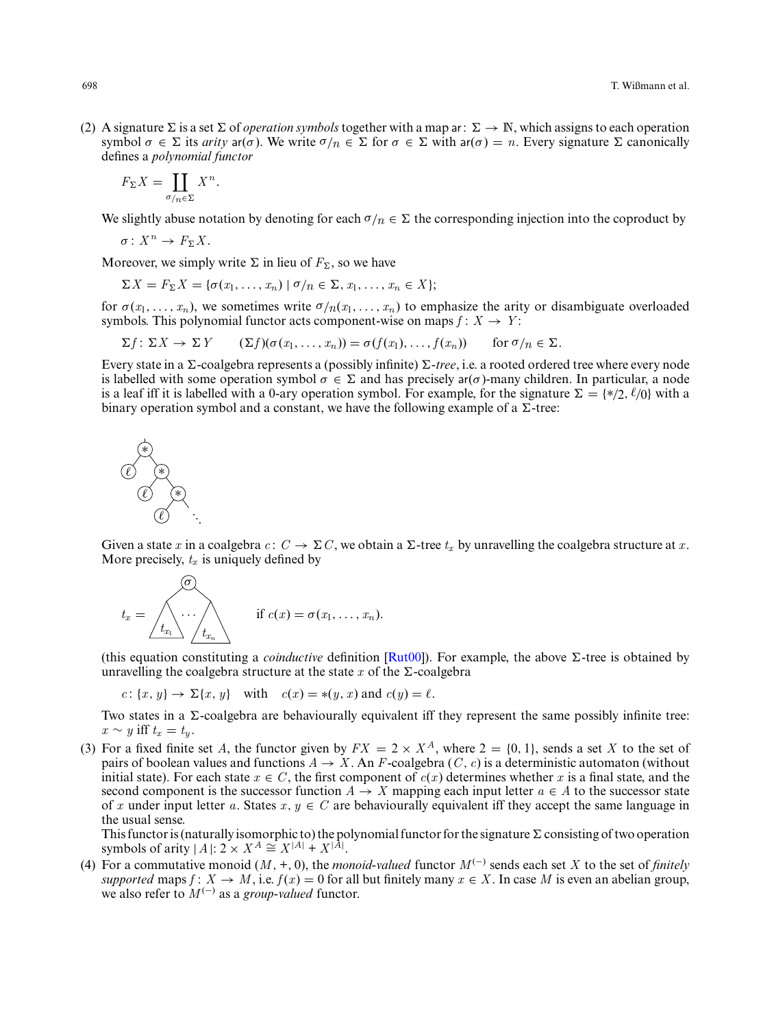(2) A signature  $\Sigma$  is a set  $\Sigma$  of *operation symbols* together with a map ar:  $\Sigma \to \mathbb{N}$ , which assigns to each operation symbol  $\sigma \in \Sigma$  its *arity* ar( $\sigma$ ). We write  $\sigma/n \in \Sigma$  for  $\sigma \in \Sigma$  with ar( $\sigma$ ) = *n*. Every signature  $\Sigma$  canonically defines a *polynomial functor*

$$
F_{\Sigma}X = \coprod_{\sigma/n \in \Sigma} X^n.
$$

We slightly abuse notation by denoting for each  $\sigma/n \in \Sigma$  the corresponding injection into the coproduct by

$$
\sigma\colon X^n\to F_\Sigma X.
$$

Moreover, we simply write  $\Sigma$  in lieu of  $F_{\Sigma}$ , so we have

$$
\Sigma X = F_{\Sigma} X = \{ \sigma(x_1, \ldots, x_n) \mid \sigma/n \in \Sigma, x_1, \ldots, x_n \in X \};
$$

for  $\sigma(x_1,\ldots,x_n)$ , we sometimes write  $\sigma/n(x_1,\ldots,x_n)$  to emphasize the arity or disambiguate overloaded symbols. This polynomial functor acts component-wise on maps  $f: X \rightarrow Y$ :

$$
\Sigma f: \Sigma X \to \Sigma Y \qquad (\Sigma f)(\sigma(x_1,\ldots,x_n)) = \sigma(f(x_1),\ldots,f(x_n)) \qquad \text{for } \sigma/n \in \Sigma.
$$

Every state in a  $\Sigma$ -coalgebra represents a (possibly infinite)  $\Sigma$ -tree, i.e. a rooted ordered tree where every node is labelled with some operation symbol  $\sigma \in \Sigma$  and has precisely  $a(\sigma)$ -many children. In particular, a node is a leaf iff it is labelled with a 0-ary operation symbol. For example, for the signature  $\Sigma = \{*/2, \ell/0\}$  with a binary operation symbol and a constant, we have the following example of a  $\Sigma$ -tree:



Given a state *x* in a coalgebra *c*:  $C \rightarrow \Sigma C$ , we obtain a  $\Sigma$ -tree  $t_x$  by unravelling the coalgebra structure at *x*. More precisely, *t<sup>x</sup>* is uniquely defined by

$$
t_x = \sqrt{\left(\begin{matrix} \sigma \\ \cdot \\ \cdot \\ \cdot \\ \cdot \end{matrix}\right)} \quad \text{if } c(x) = \sigma(x_1, \ldots, x_n).
$$

(this equation constituting a *coinductive* definition  $\text{Rut00}$ ). For example, the above  $\Sigma$ -tree is obtained by unravelling the coalgebra structure at the state  $x$  of the  $\Sigma$ -coalgebra

$$
c: \{x, y\} \to \Sigma\{x, y\}
$$
 with  $c(x) = *(y, x)$  and  $c(y) = \ell$ .

Two states in a  $\Sigma$ -coalgebra are behaviourally equivalent iff they represent the same possibly infinite tree: *x* ∼ *y* iff  $t_x = t_y$ .

(3) For a fixed finite set *A*, the functor given by  $FX = 2 \times X^A$ , where  $2 = \{0, 1\}$ , sends a set *X* to the set of pairs of boolean values and functions  $A \rightarrow X$ . An *F*-coalgebra (*C*, *c*) is a deterministic automaton (without initial state). For each state  $x \in C$ , the first component of  $c(x)$  determines whether x is a final state, and the second component is the successor function  $A \to X$  mapping each input letter  $a \in A$  to the successor state of x under input letter a. States  $x, y \in C$  are behaviourally equivalent iff they accept the same language in the usual sense.

This functor is (naturally isomorphic to) the polynomial functor for the signature  $\Sigma$  consisting of two operation symbols of arity  $|A|: 2 \times X^A \cong X^{|A|} + X^{|A|}$ .

(4) For a commutative monoid  $(M, +, 0)$ , the *monoid-valued* functor  $M^{(-)}$  sends each set *X* to the set of *finitely supported* maps  $f: X \to M$ , i.e.  $f(x) = 0$  for all but finitely many  $x \in X$ . In case M is even an abelian group, we also refer to  $M^{(-)}$  as a *group-valued* functor.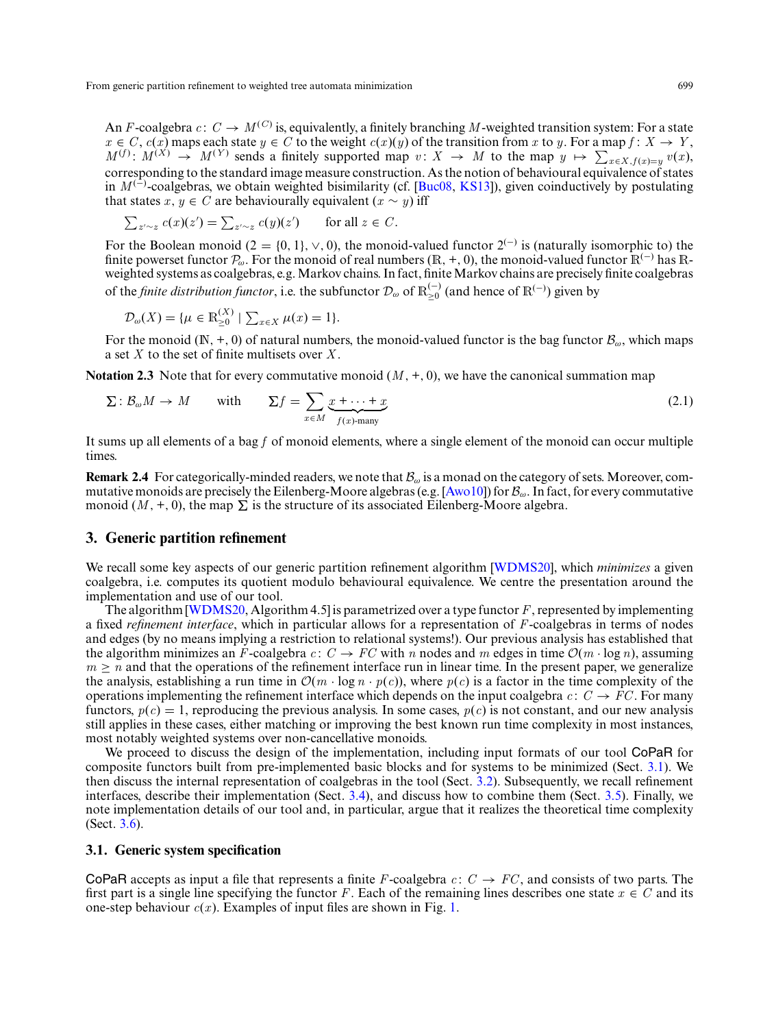An *F*-coalgebra  $c: C \to M^{(C)}$  is, equivalently, a finitely branching M-weighted transition system: For a state  $x \in C$ ,  $c(x)$  maps each state  $y \in C$  to the weight  $c(x)(y)$  of the transition from *x* to *y*. For a map  $f: X \to Y$ ,  $M^{(f)}$ :  $M^{(X)} \rightarrow M^{(Y)}$  sends a finitely supported map  $v: X \rightarrow M$  to the map  $y \mapsto \sum_{x \in X, f(x) = y} v(x)$ , corresponding to the standard image measure construction. As the notion of behavioural equivalence of states in *M* (−) -coalgebras, we obtain weighted bisimilarity (cf. [\[Buc08,](#page-31-10) [KS13\]](#page-31-16)), given coinductively by postulating that states *x*,  $y \in C$  are behaviourally equivalent  $(x \sim y)$  iff

$$
\sum_{z' \sim z} c(x)(z') = \sum_{z' \sim z} c(y)(z') \quad \text{for all } z \in C.
$$

For the Boolean monoid (2 = {0, 1},  $\vee$ , 0), the monoid-valued functor 2<sup>(−)</sup> is (naturally isomorphic to) the finite powerset functor  $\mathcal{P}_{\omega}$ . For the monoid of real numbers (R, +, 0), the monoid-valued functor  $\mathbb{R}^{(-)}$  has Rweighted systems as coalgebras, e.g. Markov chains. In fact, finite Markov chains are precisely finite coalgebras of the *finite distribution functor*, i.e. the subfunctor  $\mathcal{D}_{\omega}$  of  $\mathbb{R}_{\geq 0}^{(-)}$  (and hence of  $\mathbb{R}^{(-)}$ ) given by

<span id="page-4-3"></span>
$$
\mathcal{D}_{\omega}(X) = \{ \mu \in \mathbb{R}_{\geq 0}^{(X)} \mid \sum_{x \in X} \mu(x) = 1 \}.
$$

For the monoid ( $\mathbb{N}, +, 0$ ) of natural numbers, the monoid-valued functor is the bag functor  $\mathcal{B}_{\omega}$ , which maps a set *X* to the set of finite multisets over *X* .

<span id="page-4-2"></span>**Notation 2.3** Note that for every commutative monoid  $(M, +, 0)$ , we have the canonical summation map

$$
\Sigma: \mathcal{B}_{\omega}M \to M \quad \text{with} \quad \Sigma f = \sum_{x \in M} \underbrace{x + \dots + x}_{f(x) - \text{many}} \tag{2.1}
$$

It sums up all elements of a bag *f* of monoid elements, where a single element of the monoid can occur multiple times.

<span id="page-4-4"></span>**Remark 2.4** For categorically-minded readers, we note that  $\mathcal{B}_{\omega}$  is a monad on the category of sets. Moreover, com-mutative monoids are precisely the Eilenberg-Moore algebras (e.g. [\[Awo10\]](#page-30-1)) for  $B_{\omega}$ . In fact, for every commutative monoid  $(M, +, 0)$ , the map  $\Sigma$  is the structure of its associated Eilenberg-Moore algebra.

# <span id="page-4-0"></span>**3. Generic partition refinement**

We recall some key aspects of our generic partition refinement algorithm [\[WDMS20\]](#page-32-3), which *minimizes* a given coalgebra, i.e. computes its quotient modulo behavioural equivalence. We centre the presentation around the implementation and use of our tool.

The algorithm [\[WDMS20,](#page-32-3) Algorithm 4.5] is parametrized over a type functor *F*, represented by implementing a fixed *refinement interface*, which in particular allows for a representation of *F*-coalgebras in terms of nodes and edges (by no means implying a restriction to relational systems!). Our previous analysis has established that the algorithm minimizes an *F*-coalgebra *c*:  $C \rightarrow FC$  with *n* nodes and *m* edges in time  $\mathcal{O}(m \cdot \log n)$ , assuming  $m \geq n$  and that the operations of the refinement interface run in linear time. In the present paper, we generalize the analysis, establishing a run time in  $\mathcal{O}(m \cdot \log n \cdot p(c))$ , where  $p(c)$  is a factor in the time complexity of the operations implementing the refinement interface which depends on the input coalgebra  $c: C \rightarrow FC$ . For many functors,  $p(c) = 1$ , reproducing the previous analysis. In some cases,  $p(c)$  is not constant, and our new analysis still applies in these cases, either matching or improving the best known run time complexity in most instances, most notably weighted systems over non-cancellative monoids.

We proceed to discuss the design of the implementation, including input formats of our tool CoPaR for composite functors built from pre-implemented basic blocks and for systems to be minimized (Sect. [3.1\)](#page-4-1). We then discuss the internal representation of coalgebras in the tool (Sect. [3.2\)](#page-6-0). Subsequently, we recall refinement interfaces, describe their implementation (Sect. [3.4\)](#page-8-0), and discuss how to combine them (Sect. [3.5\)](#page-12-0). Finally, we note implementation details of our tool and, in particular, argue that it realizes the theoretical time complexity (Sect. [3.6\)](#page-17-0).

## <span id="page-4-1"></span>**3.1. Generic system specification**

CoPaR accepts as input a file that represents a finite *F*-coalgebra  $c: C \rightarrow FC$ , and consists of two parts. The first part is a single line specifying the functor *F*. Each of the remaining lines describes one state  $x \in C$  and its one-step behaviour  $c(x)$ . Examples of input files are shown in Fig. [1.](#page-5-0)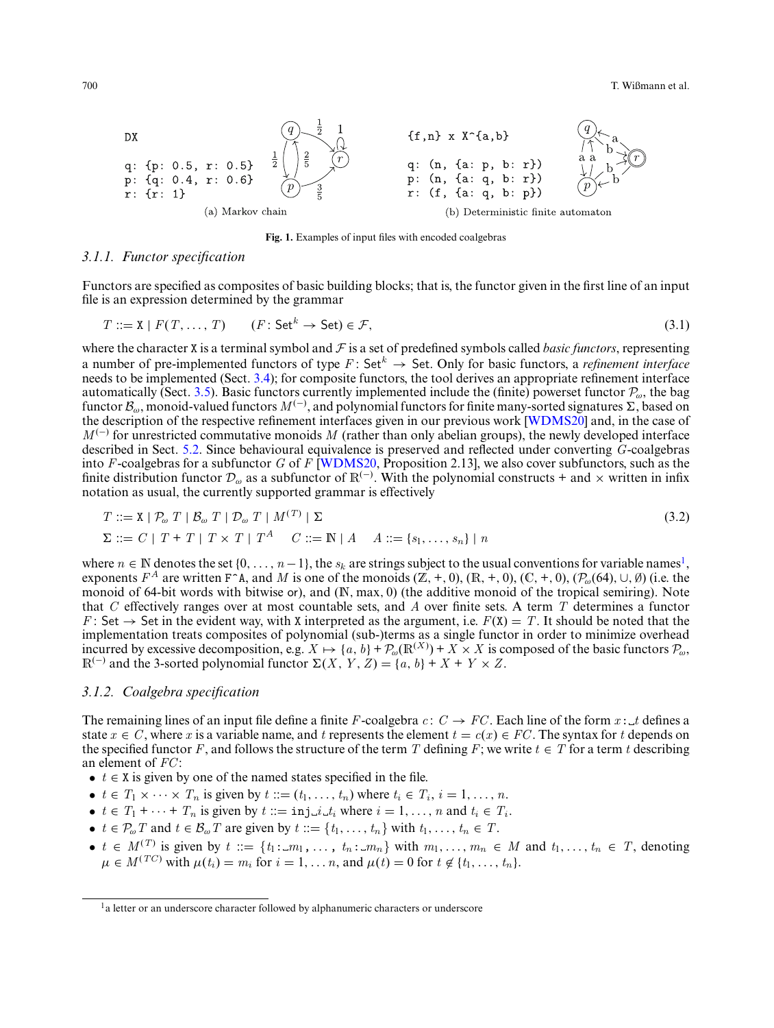<span id="page-5-0"></span>700 T. Wißmann et al.



<span id="page-5-2"></span><span id="page-5-1"></span>**Fig. 1.** Examples of input files with encoded coalgebras

#### *3.1.1. Functor specification*

Functors are specified as composites of basic building blocks; that is, the functor given in the first line of an input file is an expression determined by the grammar

$$
T ::= \mathbf{X} \mid F(T, \dots, T) \qquad (F: \mathsf{Set}^k \to \mathsf{Set}) \in \mathcal{F},\tag{3.1}
$$

where the character X is a terminal symbol and  $F$  is a set of predefined symbols called *basic functors*, representing a number of pre-implemented functors of type  $F:$  Set<sup> $k$ </sup>  $\rightarrow$  Set. Only for basic functors, a *refinement interface* needs to be implemented (Sect. [3.4\)](#page-8-0); for composite functors, the tool derives an appropriate refinement interface automatically (Sect. [3.5\)](#page-12-0). Basic functors currently implemented include the (finite) powerset functor  $P_{\omega}$ , the bag functor  $\mathcal{B}_{\omega}$ , monoid-valued functors  $M^{(-)}$ , and polynomial functors for finite many-sorted signatures  $\Sigma$ , based on the description of the respective refinement interfaces given in our previous work [\[WDMS20\]](#page-32-3) and, in the case of  $M^{(-)}$  for unrestricted commutative monoids M (rather than only abelian groups), the newly developed interface described in Sect. [5.2.](#page-20-0) Since behavioural equivalence is preserved and reflected under converting *G*-coalgebras into *F*-coalgebras for a subfunctor *G* of *F* [\[WDMS20,](#page-32-3) Proposition 2.13], we also cover subfunctors, such as the finite distribution functor  $\mathcal{D}_{\omega}$  as a subfunctor of R<sup>(−)</sup>. With the polynomial constructs + and × written in infix notation as usual, the currently supported grammar is effectively

$$
T ::= \mathbf{X} \mid \mathcal{P}_{\omega} \; T \mid \mathcal{B}_{\omega} \; T \mid \mathcal{D}_{\omega} \; T \mid M^{(T)} \mid \Sigma
$$
  
\n
$$
\Sigma ::= C \mid T + T \mid T \times T \mid T^A \quad C ::= \mathbb{N} \mid A \quad A ::= \{s_1, \ldots, s_n\} \mid n
$$
\n(3.2)

where  $n \in \mathbb{N}$  denotes the set  $\{0, \ldots, n-1\}$ , the  $s_k$  are strings subject to the usual conventions for variable names<sup>1</sup>, exponents  $F^A$  are written F^A, and *M* is one of the monoids  $(\mathbb{Z}, +, 0)$ ,  $(\mathbb{R}, +, 0)$ ,  $(\mathbb{C}, +, 0)$ ,  $(\mathcal{P}_{\omega}(64), \cup, \emptyset)$  (i.e. the monoid of 64-bit words with bitwise or), and (N, max, 0) (the additive monoid of the tropical semiring). Note that *C* effectively ranges over at most countable sets, and *A* over finite sets. A term *T* determines a functor *F* : Set  $\rightarrow$  Set in the evident way, with X interpreted as the argument, i.e.  $F(X) = T$ . It should be noted that the implementation treats composites of polynomial (sub-)terms as a single functor in order to minimize overhead incurred by excessive decomposition, e.g.  $X \mapsto \{a, b\} + \mathcal{P}_{\omega}(\mathbb{R}^{(X)}) + X \times X$  is composed of the basic functors  $\mathcal{P}_{\omega}$ ,  $\mathbb{R}^{(-)}$  and the 3-sorted polynomial functor  $\Sigma(X, Y, Z) = \{a, b\} + X + Y \times Z$ .

#### *3.1.2. Coalgebra specification*

The remaining lines of an input file define a finite *F*-coalgebra  $c: C \rightarrow FC$ . Each line of the form  $x: t$  defines a state  $x \in C$ , where *x* is a variable name, and *t* represents the element  $t = c(x) \in FC$ . The syntax for *t* depends on the specified functor *F*, and follows the structure of the term *T* defining *F*; we write  $t \in T$  for a term *t* describing an element of *FC* :

- $t \in X$  is given by one of the named states specified in the file.
- $t \in T_1 \times \cdots \times T_n$  is given by  $t := (t_1, \ldots, t_n)$  where  $t_i \in T_i$ ,  $i = 1, \ldots, n$ .
- $t \in T_1 + \cdots + T_n$  is given by  $t ::= \text{inj}\_i \_i$  where  $i = 1, \ldots, n$  and  $t_i \in T_i$ .
- $t \in \mathcal{P}_{\omega}$  *T* and  $t \in \mathcal{B}_{\omega}$  *T* are given by  $t := \{t_1, \ldots, t_n\}$  with  $t_1, \ldots, t_n \in T$ .
- $t \in M^{(T)}$  is given by  $t := \{t_1 : m_1, \ldots, t_n : m_n\}$  with  $m_1, \ldots, m_n \in M$  and  $t_1, \ldots, t_n \in T$ , denoting  $\mu \in M^{(TC)}$  with  $\mu(t_i) = m_i$  for  $i = 1, ..., n$ , and  $\mu(t) = 0$  for  $t \notin \{t_1, ..., t_n\}$ .

<sup>&</sup>lt;sup>1</sup>a letter or an underscore character followed by alphanumeric characters or underscore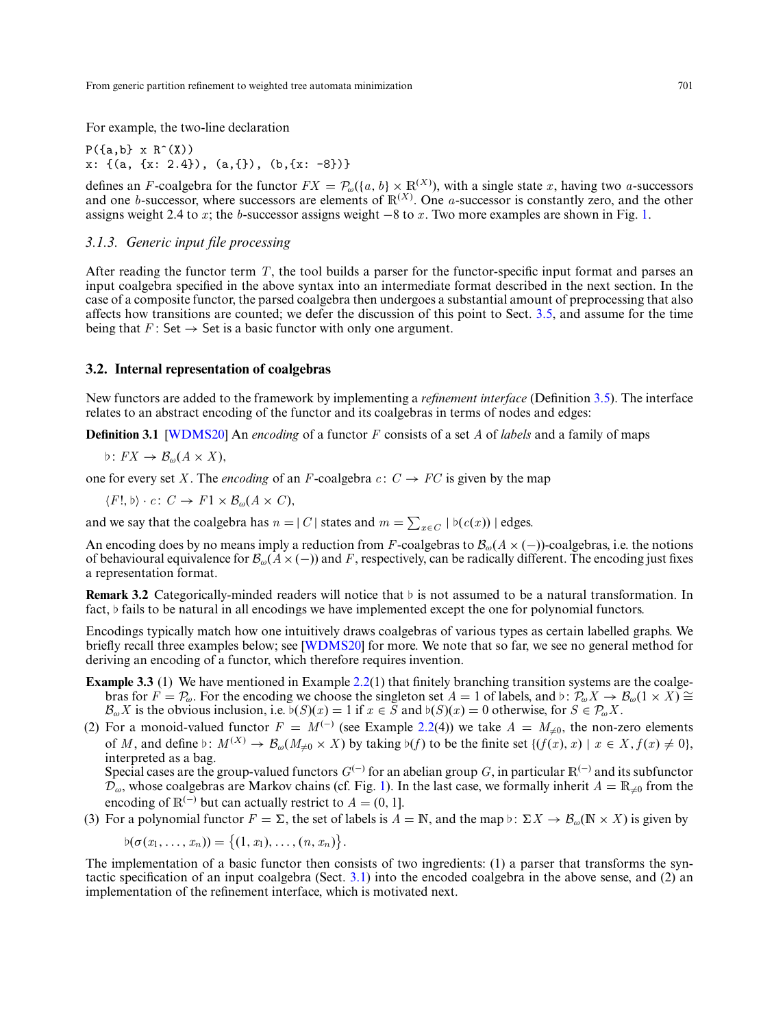For example, the two-line declaration

 $P(\{a,b\} \times R^*(X))$  $x: \{(a, \{x: 2.4\}), (a, \{\})}, (b, \{x: -8\})\}\$ 

defines an *F*-coalgebra for the functor  $FX = \mathcal{P}_{\omega}(\{a, b\} \times \mathbb{R}^{(X)}),$  with a single state *x*, having two *a*-successors and one *b*-successor, where successors are elements of  $\mathbb{R}^{(X)}$ . One *a*-successor is constantly zero, and the other assigns weight 2.4 to *x* ; the *b*-successor assigns weight −8 to *x* . Two more examples are shown in Fig. [1.](#page-5-0)

# *3.1.3. Generic input file processing*

After reading the functor term *T*, the tool builds a parser for the functor-specific input format and parses an input coalgebra specified in the above syntax into an intermediate format described in the next section. In the case of a composite functor, the parsed coalgebra then undergoes a substantial amount of preprocessing that also affects how transitions are counted; we defer the discussion of this point to Sect. [3.5,](#page-12-0) and assume for the time being that  $F:$  Set  $\rightarrow$  Set is a basic functor with only one argument.

# <span id="page-6-0"></span>**3.2. Internal representation of coalgebras**

<span id="page-6-2"></span>New functors are added to the framework by implementing a *refinement interface* (Definition [3.5\)](#page-8-1). The interface relates to an abstract encoding of the functor and its coalgebras in terms of nodes and edges:

**Definition 3.1** [\[WDMS20\]](#page-32-3) An *encoding* of a functor *F* consists of a set *A* of *labels* and a family of maps

$$
\flat\colon FX\to\mathcal{B}_{\omega}(A\times X),
$$

one for every set X. The *encoding* of an *F*-coalgebra  $c: C \rightarrow FC$  is given by the map

 $\langle F!, \phi \rangle \cdot c \colon C \to F1 \times \mathcal{B}_{\omega}(A \times C),$ 

and we say that the coalgebra has  $n = |C|$  states and  $m = \sum_{x \in C} |b(c(x))|$  edges.

An encoding does by no means imply a reduction from *F*-coalgebras to Bω(*A* × (−))-coalgebras, i.e. the notions of behavioural equivalence for  $\mathcal{B}_{\omega}(A\times(-))$  and *F*, respectively, can be radically different. The encoding just fixes a representation format.

**Remark 3.2** Categorically-minded readers will notice that  $\flat$  is not assumed to be a natural transformation. In fact,  $\flat$  fails to be natural in all encodings we have implemented except the one for polynomial functors.

Encodings typically match how one intuitively draws coalgebras of various types as certain labelled graphs. We briefly recall three examples below; see [\[WDMS20\]](#page-32-3) for more. We note that so far, we see no general method for deriving an encoding of a functor, which therefore requires invention.

- <span id="page-6-1"></span>**Example 3.3** (1) We have mentioned in Example [2.2\(](#page-2-1)1) that finitely branching transition systems are the coalgebras for  $F = P_{\omega}$ . For the encoding we choose the singleton set  $A = 1$  of labels, and  $\phi: P_{\omega}X \to B_{\omega}(1 \times X) \cong$  $\mathcal{B}_{\omega}X$  is the obvious inclusion, i.e.  $\mathfrak{b}(S)(x) = 1$  if  $x \in \overline{S}$  and  $\mathfrak{b}(S)(x) = 0$  otherwise, for  $S \in \mathcal{P}_{\omega}X$ .
- (2) For a monoid-valued functor  $F = M^{(-)}$  (see Example [2.2\(](#page-2-1)4)) we take  $A = M_{\neq 0}$ , the non-zero elements of *M*, and define  $\flat$ :  $M^{(X)} \to \mathcal{B}_{\omega}(M_{\neq 0} \times X)$  by taking  $\flat(f)$  to be the finite set  $\{(f(x), x) \mid x \in X, f(x) \neq 0\}$ , interpreted as a bag.

Special cases are the group-valued functors  $G^{(-)}$  for an abelian group *G*, in particular  $\mathbb{R}^{(-)}$  and its subfunctor  $\mathcal{D}_{\omega}$ , whose coalgebras are Markov chains (cf. Fig. [1\)](#page-5-0). In the last case, we formally inherit  $A = \mathbb{R}_{\neq 0}$  from the encoding of  $\mathbb{R}^{(-)}$  but can actually restrict to  $A = (0, 1]$ .

(3) For a polynomial functor  $F = \Sigma$ , the set of labels is  $A = \mathbb{N}$ , and the map  $\flat$ :  $\Sigma X \to \mathcal{B}_{\omega}(\mathbb{N} \times X)$  is given by

 $\phi(\sigma(x_1, ..., x_n)) = \{(1, x_1), ..., (n, x_n)\}.$ 

The implementation of a basic functor then consists of two ingredients: (1) a parser that transforms the syntactic specification of an input coalgebra (Sect. [3.1\)](#page-4-1) into the encoded coalgebra in the above sense, and (2) an implementation of the refinement interface, which is motivated next.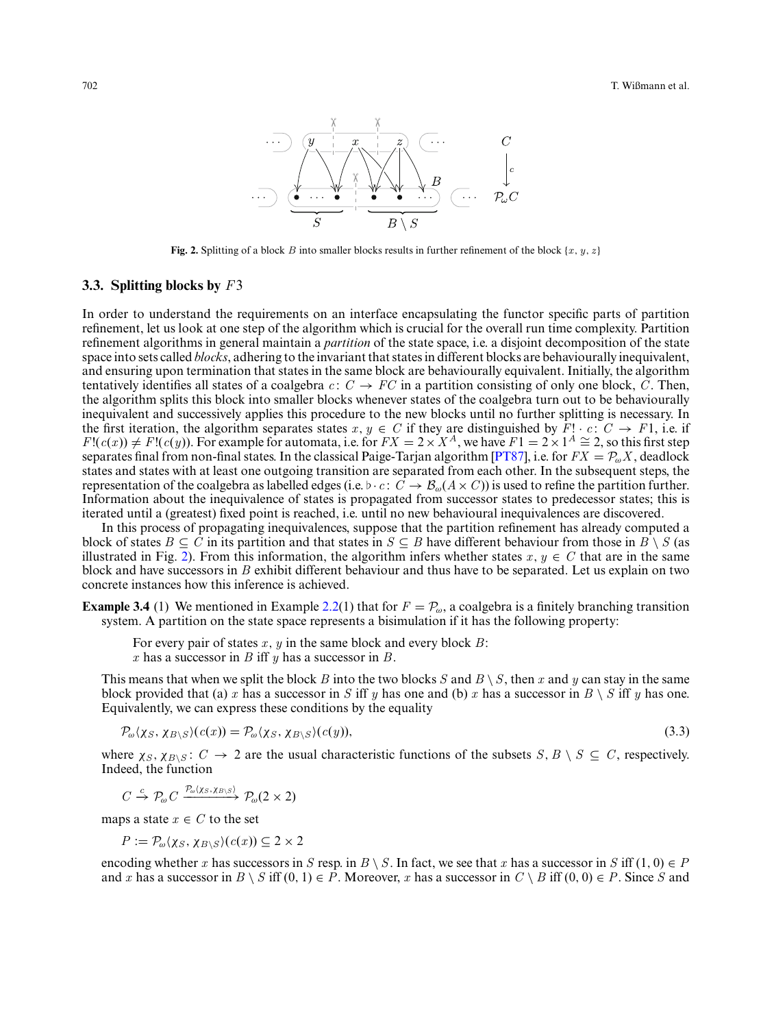<span id="page-7-0"></span>

**Fig. 2.** Splitting of a block *B* into smaller blocks results in further refinement of the block  $\{x, y, z\}$ 

# **3.3. Splitting blocks by** *F*3

In order to understand the requirements on an interface encapsulating the functor specific parts of partition refinement, let us look at one step of the algorithm which is crucial for the overall run time complexity. Partition refinement algorithms in general maintain a *partition* of the state space, i.e. a disjoint decomposition of the state space into sets called *blocks*, adhering to the invariant that states in different blocks are behaviourally inequivalent, and ensuring upon termination that states in the same block are behaviourally equivalent. Initially, the algorithm tentatively identifies all states of a coalgebra  $c: C \to FC$  in a partition consisting of only one block, *C*. Then, the algorithm splits this block into smaller blocks whenever states of the coalgebra turn out to be behaviourally inequivalent and successively applies this procedure to the new blocks until no further splitting is necessary. In the first iteration, the algorithm separates states  $x, y \in C$  if they are distinguished by  $F! \cdot c \colon C \to F1$ , i.e. if  $F!(c(x)) \neq F!(c(y))$ . For example for automata, i.e. for  $FX = 2 \times X^A$ , we have  $F1 = 2 \times 1^A \cong 2$ , so this first step separates final from non-final states. In the classical Paige-Tarjan algorithm [\[PT87\]](#page-31-4), i.e. for  $FX = P_{\omega}X$ , deadlock states and states with at least one outgoing transition are separated from each other. In the subsequent steps, the representation of the coalgebra as labelled edges (i.e.  $\flat \cdot c : \overrightarrow{C} \to \mathcal{B}_\omega(A \times C)$ ) is used to refine the partition further. Information about the inequivalence of states is propagated from successor states to predecessor states; this is iterated until a (greatest) fixed point is reached, i.e. until no new behavioural inequivalences are discovered.

In this process of propagating inequivalences, suppose that the partition refinement has already computed a block of states  $B \subseteq C$  in its partition and that states in  $S \subseteq B$  have different behaviour from those in  $B \setminus S$  (as illustrated in Fig. [2\)](#page-7-0). From this information, the algorithm infers whether states  $x, y \in C$  that are in the same block and have successors in *B* exhibit different behaviour and thus have to be separated. Let us explain on two concrete instances how this inference is achieved.

<span id="page-7-2"></span>**Example 3.4** (1) We mentioned in Example [2.2\(](#page-2-1)1) that for  $F = \mathcal{P}_{\omega}$ , a coalgebra is a finitely branching transition system. A partition on the state space represents a bisimulation if it has the following property:

<span id="page-7-1"></span>For every pair of states *x* , *y* in the same block and every block *B*: *x* has a successor in *B* iff *y* has a successor in *B*.

This means that when we split the block *B* into the two blocks *S* and  $B \setminus S$ , then *x* and *y* can stay in the same block provided that (a) *x* has a successor in *S* iff *y* has one and (b) *x* has a successor in  $B \setminus S$  iff *y* has one. Equivalently, we can express these conditions by the equality

$$
\mathcal{P}_{\omega}(\chi_S, \chi_{B \setminus S})(c(x)) = \mathcal{P}_{\omega}(\chi_S, \chi_{B \setminus S})(c(y)),\tag{3.3}
$$

where  $\chi_S$ ,  $\chi_{B\setminus S}$ :  $C \to 2$  are the usual characteristic functions of the subsets  $S, B \setminus S \subseteq C$ , respectively. Indeed, the function

 $C \stackrel{c}{\rightarrow} \mathcal{P}_{\omega} C \xrightarrow{\mathcal{P}_{\omega}(X_S, \chi_{B \setminus S})} \mathcal{P}_{\omega}(2 \times 2)$ 

maps a state  $x \in C$  to the set

$$
P := \mathcal{P}_{\omega}(\chi_S, \chi_{B \setminus S})(c(x)) \subseteq 2 \times 2
$$

encoding whether *x* has successors in *S* resp. in *B*  $\setminus$  *S*. In fact, we see that *x* has a successor in *S* iff (1, 0)  $\in$  *P* and *x* has a successor in  $B \setminus S$  iff  $(0, 1) \in P$ . Moreover, *x* has a successor in  $C \setminus B$  iff  $(0, 0) \in P$ . Since *S* and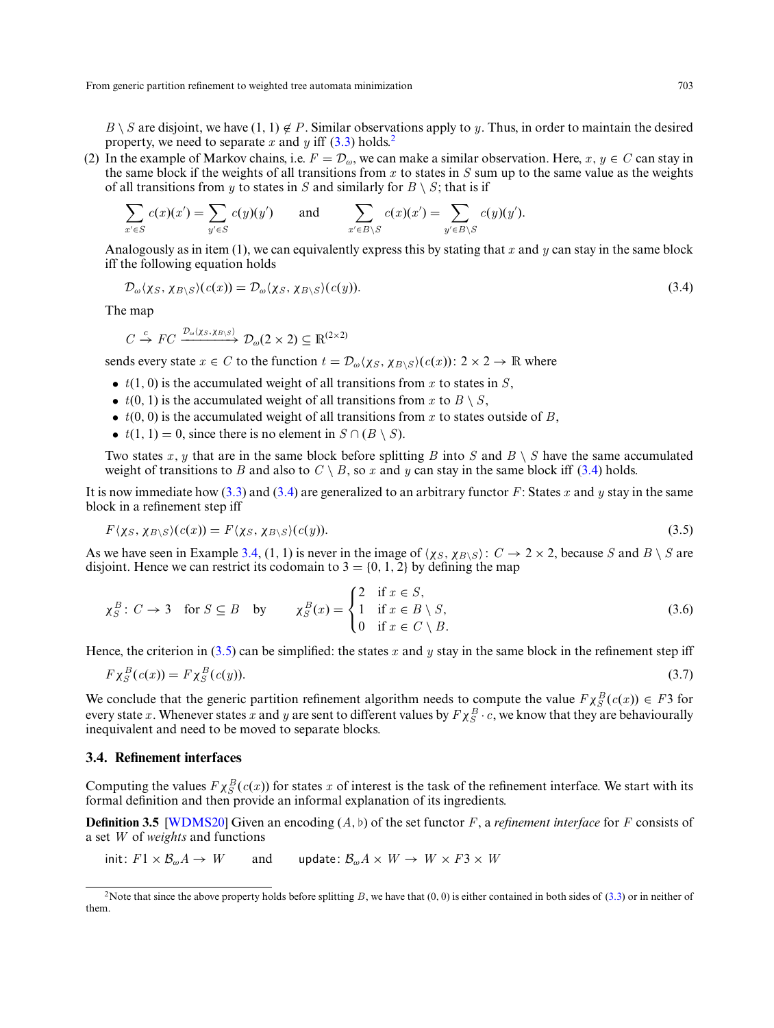$B \setminus S$  are disjoint, we have (1, 1)  $\notin P$ . Similar observations apply to *y*. Thus, in order to maintain the desired property, we need to separate  $x$  and  $y$  iff [\(3.3\)](#page-7-1) holds.<sup>2</sup>

(2) In the example of Markov chains, i.e.  $F = \mathcal{D}_{\omega}$ , we can make a similar observation. Here,  $x, y \in C$  can stay in the same block if the weights of all transitions from *x* to states in *S* sum up to the same value as the weights of all transitions from *y* to states in *S* and similarly for  $B \setminus S$ ; that is if

$$
\sum_{x' \in S} c(x)(x') = \sum_{y' \in S} c(y)(y') \quad \text{and} \quad \sum_{x' \in B \setminus S} c(x)(x') = \sum_{y' \in B \setminus S} c(y)(y').
$$

Analogously as in item (1), we can equivalently express this by stating that *x* and *y* can stay in the same block iff the following equation holds

<span id="page-8-2"></span>
$$
\mathcal{D}_{\omega}\langle\chi_{S},\chi_{B\setminus S}\rangle(c(x))=\mathcal{D}_{\omega}\langle\chi_{S},\chi_{B\setminus S}\rangle(c(y)).\tag{3.4}
$$

The map

$$
C \xrightarrow{c} FC \xrightarrow{\mathcal{D}_{\omega}(X_S, X_B \setminus S)} \mathcal{D}_{\omega}(2 \times 2) \subseteq \mathbb{R}^{(2 \times 2)}
$$

sends every state  $x \in C$  to the function  $t = \mathcal{D}_{\omega}(\chi_S, \chi_{B \setminus S})(c(x))$ :  $2 \times 2 \rightarrow \mathbb{R}$  where

- $t(1, 0)$  is the accumulated weight of all transitions from  $x$  to states in  $S$ ,
- $t(0, 1)$  is the accumulated weight of all transitions from x to  $B \setminus S$ ,
- $\bullet$  *t*(0, 0) is the accumulated weight of all transitions from *x* to states outside of *B*,
- $t(1, 1) = 0$ , since there is no element in  $S \cap (B \setminus S)$ .

Two states x, y that are in the same block before splitting B into S and  $B \setminus S$  have the same accumulated weight of transitions to *B* and also to  $C \setminus B$ , so *x* and *y* can stay in the same block iff [\(3.4\)](#page-8-2) holds.

It is now immediate how [\(3.3\)](#page-7-1) and [\(3.4\)](#page-8-2) are generalized to an arbitrary functor *F*: States *x* and *y* stay in the same block in a refinement step iff

<span id="page-8-3"></span>
$$
F(\chi_S, \chi_{B \setminus S})(c(x)) = F(\chi_S, \chi_{B \setminus S})(c(y)).
$$
\n(3.5)

As we have seen in Example [3.4,](#page-7-2) (1, 1) is never in the image of  $\langle \chi_S, \chi_{B\setminus S} \rangle$ :  $C \to 2 \times 2$ , because *S* and *B*  $\setminus$  *S* are disjoint. Hence we can restrict its codomain to  $3 = \{0, 1, 2\}$  by defining the map

$$
\chi_S^B \colon C \to 3 \quad \text{for } S \subseteq B \quad \text{by} \qquad \chi_S^B(x) = \begin{cases} 2 & \text{if } x \in S, \\ 1 & \text{if } x \in B \setminus S, \\ 0 & \text{if } x \in C \setminus B. \end{cases} \tag{3.6}
$$

Hence, the criterion in [\(3.5\)](#page-8-3) can be simplified: the states *x* and *y* stay in the same block in the refinement step iff

<span id="page-8-4"></span>
$$
F\chi_S^B(c(x)) = F\chi_S^B(c(y)).
$$
\n(3.7)

We conclude that the generic partition refinement algorithm needs to compute the value  $F \chi_S^B(c(x)) \in F^3$  for every state *x*. Whenever states *x* and *y* are sent to different values by  $F \chi_S^B \cdot c$ , we know that they are behaviourally inequivalent and need to be moved to separate blocks.

# <span id="page-8-0"></span>**3.4. Refinement interfaces**

Computing the values  $F \chi_S^B(c(x))$  for states *x* of interest is the task of the refinement interface. We start with its formal definition and then provide an informal explanation of its ingredients.

<span id="page-8-1"></span>**Definition 3.5** [\[WDMS20\]](#page-32-3) Given an encoding  $(A, b)$  of the set functor *F*, a *refinement interface* for *F* consists of a set *W* of *weights* and functions

 $\text{init: } F1 \times \mathcal{B}_{\omega} A \to W$  and update:  $\mathcal{B}_{\omega} A \times W \to W \times F3 \times W$ 

<sup>&</sup>lt;sup>2</sup>Note that since the above property holds before splitting *B*, we have that (0, 0) is either contained in both sides of [\(3.3\)](#page-7-1) or in neither of them.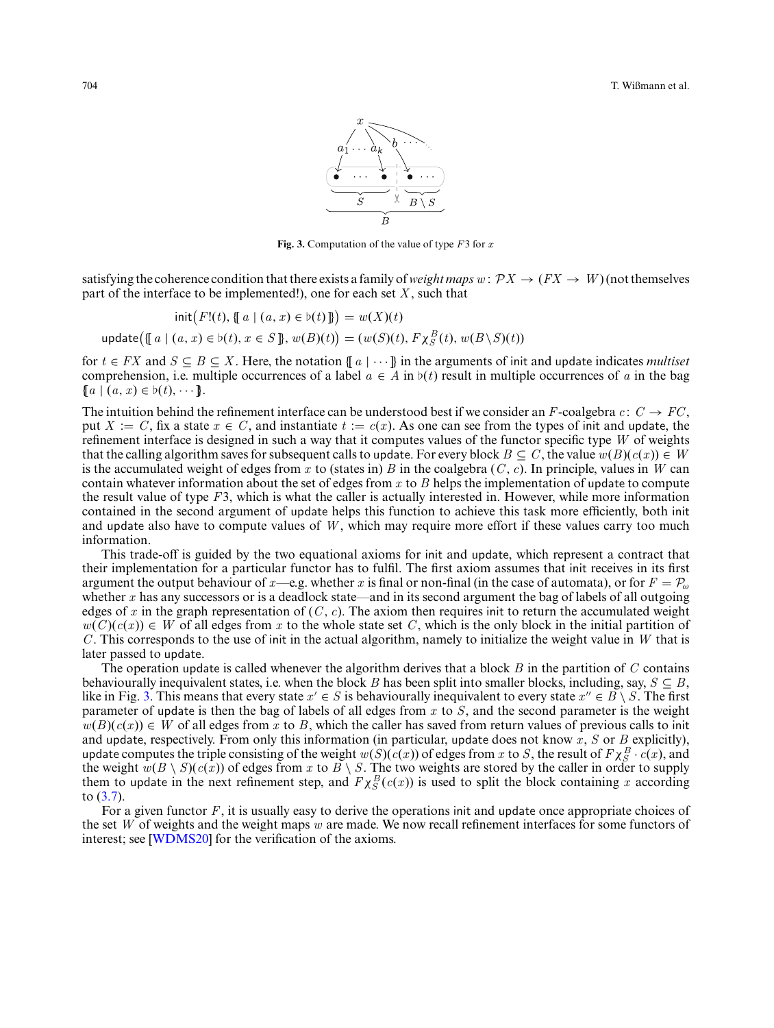

**Fig. 3.** Computation of the value of type *F*3 for *x*

<span id="page-9-0"></span>satisfying the coherence condition that there exists a family of *weight maps*  $w: \mathcal{P}X \to (FX \to W)$  (not themselves part of the interface to be implemented!), one for each set *X* , such that

$$
init(F!(t), \{a \mid (a, x) \in b(t)\}) = w(X)(t)
$$
  
update( $\{ [a \mid (a, x) \in b(t), x \in S \}, w(B)(t) \} = (w(S)(t), F\chi_S^B(t), w(B\backslash S)(t))$ 

for  $t \in FX$  and  $S \subseteq B \subseteq X$ . Here, the notation  $\{a \mid \cdots\}$  in the arguments of init and update indicates *multiset* comprehension, i.e. multiple occurrences of a label  $a \in A$  in  $b(t)$  result in multiple occurrences of a in the bag  ${a \mid (a, x) \in b(t), \cdots}.$ 

The intuition behind the refinement interface can be understood best if we consider an *F*-coalgebra  $c: C \rightarrow FC$ , put  $X := C$ , fix a state  $x \in C$ , and instantiate  $t := c(x)$ . As one can see from the types of init and update, the refinement interface is designed in such a way that it computes values of the functor specific type *W* of weights that the calling algorithm saves for subsequent calls to update. For every block  $B \subseteq C$ , the value  $w(B)(c(x)) \in W$ is the accumulated weight of edges from *x* to (states in) *B* in the coalgebra  $(C, c)$ . In principle, values in *W* can contain whatever information about the set of edges from *x* to *B* helps the implementation of update to compute the result value of type *F*3, which is what the caller is actually interested in. However, while more information contained in the second argument of update helps this function to achieve this task more efficiently, both init and update also have to compute values of *W* , which may require more effort if these values carry too much information.

This trade-off is guided by the two equational axioms for init and update, which represent a contract that their implementation for a particular functor has to fulfil. The first axiom assumes that init receives in its first argument the output behaviour of *x*—e.g. whether *x* is final or non-final (in the case of automata), or for  $F = P_{\omega}$ whether *x* has any successors or is a deadlock state—and in its second argument the bag of labels of all outgoing edges of x in the graph representation of  $(C, c)$ . The axiom then requires init to return the accumulated weight  $w(C)(c(x)) \in W$  of all edges from *x* to the whole state set *C*, which is the only block in the initial partition of *C* . This corresponds to the use of init in the actual algorithm, namely to initialize the weight value in *W* that is later passed to update.

The operation update is called whenever the algorithm derives that a block *B* in the partition of *C* contains behaviourally inequivalent states, i.e. when the block *B* has been split into smaller blocks, including, say,  $S \subseteq B$ , like in Fig. [3.](#page-9-0) This means that every state  $x' \in S$  is behaviourally inequivalent to every state  $x'' \in B \setminus S$ . The first parameter of update is then the bag of labels of all edges from *x* to *S*, and the second parameter is the weight  $w(B)(c(x)) \in W$  of all edges from *x* to *B*, which the caller has saved from return values of previous calls to init and update, respectively. From only this information (in particular, update does not know *x*, *S* or *B* explicitly), update computes the triple consisting of the weight  $w(S)(c(x))$  of edges from *x* to *S*, the result of  $F\chi_{S}^{B} \cdot c(x)$ , and the weight  $w(B \setminus S)(c(x))$  of edges from *x* to  $B \setminus S$ . The two weights are stored by the caller in order to supply them to update in the next refinement step, and  $F \chi_S^B(c(x))$  is used to split the block containing *x* according to [\(3.7\)](#page-8-4).

For a given functor *F*, it is usually easy to derive the operations init and update once appropriate choices of the set *W* of weights and the weight maps *w* are made. We now recall refinement interfaces for some functors of interest; see [\[WDMS20\]](#page-32-3) for the verification of the axioms.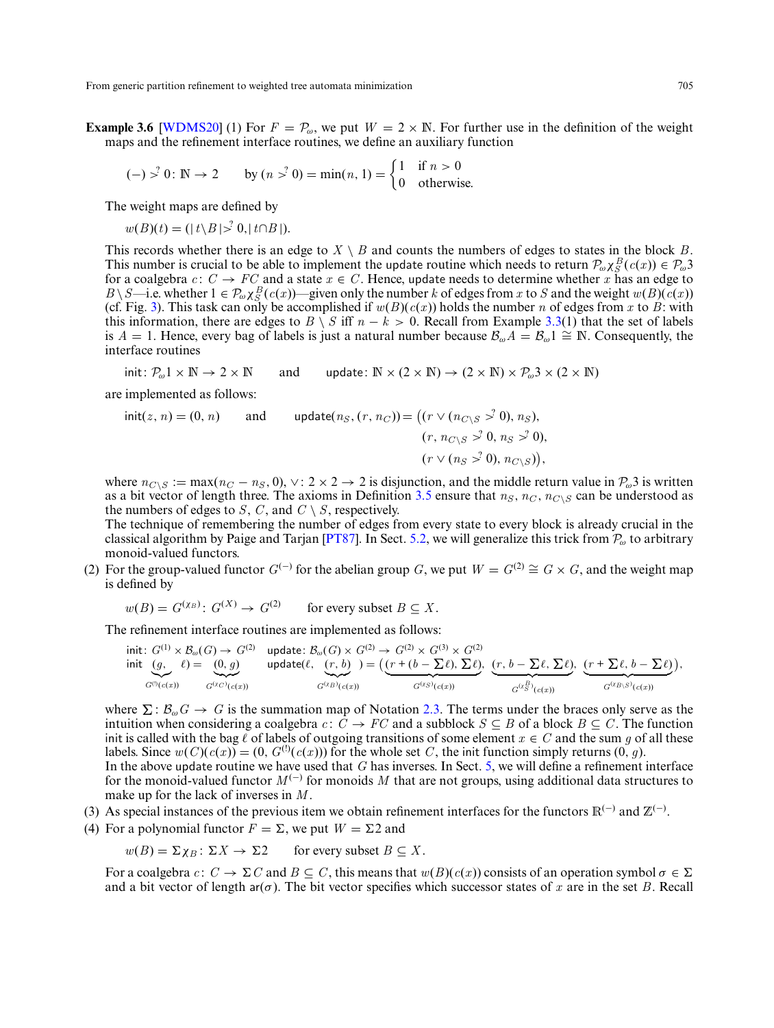<span id="page-10-0"></span>**Example 3.6** [\[WDMS20\]](#page-32-3) (1) For  $F = P_{\omega}$ , we put  $W = 2 \times \mathbb{N}$ . For further use in the definition of the weight maps and the refinement interface routines, we define an auxiliary function

$$
(-)
$$
  $\ge$ <sup>2</sup> 0:  $\mathbb{N} \to 2$  by  $(n \ge 0) = \min(n, 1) = \begin{cases} 1 & \text{if } n > 0 \\ 0 & \text{otherwise.} \end{cases}$ 

The weight maps are defined by

 $w(B)(t) = (|t\setminus B| > 0, |t\cap B|).$ 

This records whether there is an edge to  $X \setminus B$  and counts the numbers of edges to states in the block *B*. This number is crucial to be able to implement the update routine which needs to return  $\mathcal{P}_{\omega} \chi_{S}^{B}(c(x)) \in \mathcal{P}_{\omega}$ 3 for a coalgebra  $c: C \to FC$  and a state  $x \in C$ . Hence, update needs to determine whether *x* has an edge to  $B \setminus S$ —i.e. whether  $1 \in \mathcal{P}_{\omega} \times S$  (*c*(*x*))—given only the number *k* of edges from *x* to *S* and the weight *w*(*B*)(*c*(*x*)) (cf. Fig. [3\)](#page-9-0). This task can only be accomplished if  $w(B)(c(x))$  holds the number *n* of edges from *x* to *B*: with this information, there are edges to  $B \setminus S$  iff  $n - k > 0$ . Recall from Example [3.3\(](#page-6-1)1) that the set of labels is *A* = 1. Hence, every bag of labels is just a natural number because  $\mathcal{B}_{\omega}A = \mathcal{B}_{\omega}1 \cong \mathbb{N}$ . Consequently, the interface routines

init:  $P_{\omega} 1 \times \mathbb{N} \to 2 \times \mathbb{N}$  and update:  $\mathbb{N} \times (2 \times \mathbb{N}) \to (2 \times \mathbb{N}) \times P_{\omega} 3 \times (2 \times \mathbb{N})$ 

are implemented as follows:

$$
init(z, n) = (0, n) \qquad \text{and} \qquad \text{update}(n_S, (r, n_C)) = \left( (r \vee (n_{C \setminus S} \stackrel{>}{\gt;} 0), n_S),
$$

$$
(r, n_{C \setminus S} \stackrel{>}{\gt;} 0, n_S \stackrel{>}{\gt;} 0),
$$

$$
(r \vee (n_S \stackrel{>}{\gt;} 0), n_{C \setminus S}) \right),
$$

where  $n_{C\setminus S} := \max(n_C - n_S, 0)$ ,  $\vee: 2 \times 2 \rightarrow 2$  is disjunction, and the middle return value in  $\mathcal{P}_{\omega}$ 3 is written as a bit vector of length three. The axioms in Definition [3.5](#page-8-1) ensure that  $n_S$ ,  $n_C$ ,  $n_C \gtrsim$  can be understood as the numbers of edges to *S*, *C*, and  $C \setminus S$ , respectively.

The technique of remembering the number of edges from every state to every block is already crucial in the classical algorithm by Paige and Tarjan [\[PT87\]](#page-31-4). In Sect. [5.2,](#page-20-0) we will generalize this trick from  $P_{\omega}$  to arbitrary monoid-valued functors.

(2) For the group-valued functor  $G^{(-)}$  for the abelian group *G*, we put  $W = G^{(2)} \cong G \times G$ , and the weight map is defined by

$$
w(B) = G^{(XB)}: G^{(X)} \to G^{(2)}
$$
 for every subset  $B \subseteq X$ .

The refinement interface routines are implemented as follows:

$$
\begin{array}{ll}\text{init:} & G^{(1)}\times\mathcal{B}_{\omega}(G)\rightarrow G^{(2)}\\ \text{init:} & (g, \quad \ell)=\\ & G^{(0)}(c(x))\\ \text{ord}(c(x)) & G^{(\chi c)}(c(x))\\ \end{array}\quad \text{update}(\ell, \quad \hspace{-0.2cm} \begin{array}{ll} \text{(G)}\times G^{(2)}\rightarrow G^{(2)}\times G^{(3)}\times G^{(2)}\\ \text{(F + (b - \sum \ell), \sum \ell),}\\ & G^{(x\beta)}(c(x))\\ \end{array}\quad \underbrace{(r + \sum \ell, \, b - \sum \ell)}_{G^{(x\beta)}(c(x))},
$$

where  $\Sigma : \mathcal{B}_{\omega}G \to G$  is the summation map of Notation [2.3.](#page-4-2) The terms under the braces only serve as the intuition when considering a coalgebra  $c: \overline{C} \to FC$  and a subblock  $S \subseteq B$  of a block  $B \subseteq C$ . The function init is called with the bag  $\ell$  of labels of outgoing transitions of some element  $x \in C$  and the sum g of all these labels. Since  $w(C)(c(x)) = (0, G^{(1)}(c(x)))$  for the whole set *C*, the init function simply returns  $(0, q)$ . In the above update routine we have used that *G* has inverses. In Sect. [5,](#page-18-1) we will define a refinement interface for the monoid-valued functor  $M^{(-)}$  for monoids M that are not groups, using additional data structures to make up for the lack of inverses in *M* .

- (3) As special instances of the previous item we obtain refinement interfaces for the functors  $\mathbb{R}^{(-)}$  and  $\mathbb{Z}^{(-)}$ .
- (4) For a polynomial functor  $F = \Sigma$ , we put  $W = \Sigma 2$  and

$$
w(B) = \Sigma \chi_B \colon \Sigma X \to \Sigma 2
$$
 for every subset  $B \subseteq X$ .

For a coalgebra  $c: C \to \Sigma C$  and  $B \subseteq C$ , this means that  $w(B)(c(x))$  consists of an operation symbol  $\sigma \in \Sigma$ and a bit vector of length ar( $\sigma$ ). The bit vector specifies which successor states of x are in the set B. Recall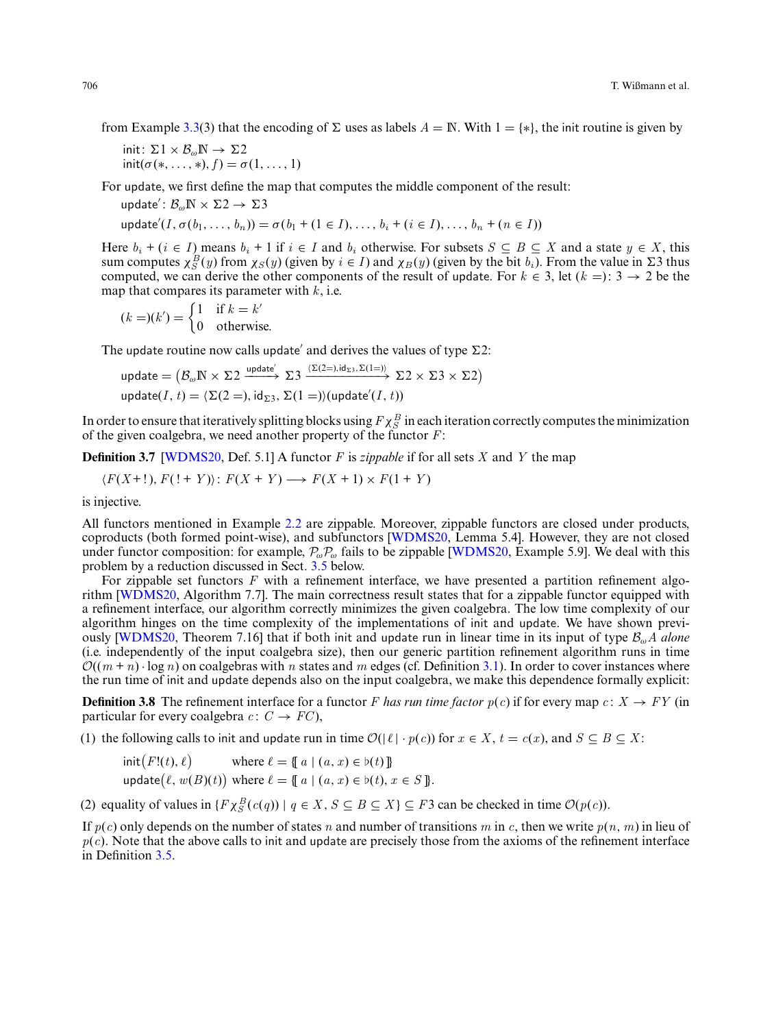from Example [3.3\(](#page-6-1)3) that the encoding of  $\Sigma$  uses as labels  $A = \mathbb{N}$ . With  $1 = \{*\}$ , the init routine is given by

init:  $\Sigma 1 \times \mathcal{B}_{\omega} \mathbb{N} \to \Sigma 2$  $\text{init}(\sigma(*,\ldots,*)$ ,  $f) = \sigma(1,\ldots,1)$ 

For update, we first define the map that computes the middle component of the result:

update':  $\mathcal{B}_{\omega} \mathbb{N} \times \Sigma 2 \to \Sigma 3$  $u$ pdate<sup>'</sup>(*I*,  $\sigma(b_1, ..., b_n)$ ) =  $\sigma(b_1 + (1 \in I), ..., b_i + (i \in I), ..., b_n + (n \in I)$ )

Here  $b_i + (i \in I)$  means  $b_i + 1$  if  $i \in I$  and  $b_i$  otherwise. For subsets  $S \subseteq B \subseteq X$  and a state  $y \in X$ , this sum computes  $\chi_S^B(y)$  from  $\chi_S(y)$  (given by  $i \in I$ ) and  $\chi_B(y)$  (given by the bit  $b_i$ ). From the value in  $\Sigma$ computed, we can derive the other components of the result of update. For  $k \in 3$ , let  $(k =)$ :  $3 \rightarrow 2$  be the map that compares its parameter with *k*, i.e.

$$
(k = )(k') = \begin{cases} 1 & \text{if } k = k' \\ 0 & \text{otherwise.} \end{cases}
$$

The update routine now calls update' and derives the values of type  $\Sigma$ 2:

$$
\text{update} = (\mathcal{B}_{\omega} \mathbb{N} \times \Sigma 2 \xrightarrow{\text{update}'} \Sigma 3 \xrightarrow{\langle \Sigma (2=), \mathrm{id}_{\Sigma 3}, \Sigma (1=) \rangle} \Sigma 2 \times \Sigma 3 \times \Sigma 2)
$$
\n
$$
\text{update}(I, t) = \langle \Sigma (2=), \mathrm{id}_{\Sigma 3}, \Sigma (1=)) (\text{update}'(I, t))
$$

In order to ensure that iteratively splitting blocks using  $F\chi_S^B$  in each iteration correctly computes the minimization of the given coalgebra, we need another property of the functor *F*:

<span id="page-11-1"></span>**Definition 3.7** [\[WDMS20,](#page-32-3) Def. 5.1] A functor *F* is *zippable* if for all sets *X* and *Y* the map

$$
\langle F(X+1), F(1+Y) \rangle : F(X+Y) \longrightarrow F(X+1) \times F(1+Y)
$$

is injective.

All functors mentioned in Example [2.2](#page-2-1) are zippable. Moreover, zippable functors are closed under products, coproducts (both formed point-wise), and subfunctors [\[WDMS20,](#page-32-3) Lemma 5.4]. However, they are not closed under functor composition: for example,  $P_{\omega}P_{\omega}$  fails to be zippable [\[WDMS20,](#page-32-3) Example 5.9]. We deal with this problem by a reduction discussed in Sect. [3.5](#page-12-0) below.

For zippable set functors *F* with a refinement interface, we have presented a partition refinement algorithm [\[WDMS20,](#page-32-3) Algorithm 7.7]. The main correctness result states that for a zippable functor equipped with a refinement interface, our algorithm correctly minimizes the given coalgebra. The low time complexity of our algorithm hinges on the time complexity of the implementations of init and update. We have shown previously [\[WDMS20,](#page-32-3) Theorem 7.16] that if both init and update run in linear time in its input of type <sup>B</sup>ω*<sup>A</sup> alone* (i.e. independently of the input coalgebra size), then our generic partition refinement algorithm runs in time  $\mathcal{O}((m + n) \cdot \log n)$  on coalgebras with *n* states and *m* edges (cf. Definition [3.1\)](#page-6-2). In order to cover instances where the run time of init and update depends also on the input coalgebra, we make this dependence formally explicit:

<span id="page-11-0"></span>**Definition 3.8** The refinement interface for a functor *F* has run time factor  $p(c)$  if for every map  $c: X \rightarrow FY$  (in particular for every coalgebra  $c: C \rightarrow FC$ ),

(1) the following calls to init and update run in time  $\mathcal{O}(|\ell| \cdot p(c))$  for  $x \in X$ ,  $t = c(x)$ , and  $S \subseteq B \subseteq X$ .

$$
init(F!(t), \ell) \qquad \text{where } \ell = \{\!\!\{ a \mid (a, x) \in b(t) \}\!\!\}
$$
\n
$$
update(\ell, w(B)(t)) \text{ where } \ell = \{\!\!\{ a \mid (a, x) \in b(t), x \in S \}\!\!\}.
$$

(2) equality of values in  $\{F \chi_S^B(c(q)) \mid q \in X, S \subseteq B \subseteq X\} \subseteq F3$  can be checked in time  $\mathcal{O}(p(c))$ .

If  $p(c)$  only depends on the number of states *n* and number of transitions *m* in *c*, then we write  $p(n, m)$  in lieu of  $p(c)$ . Note that the above calls to init and update are precisely those from the axioms of the refinement interface in Definition [3.5.](#page-8-1)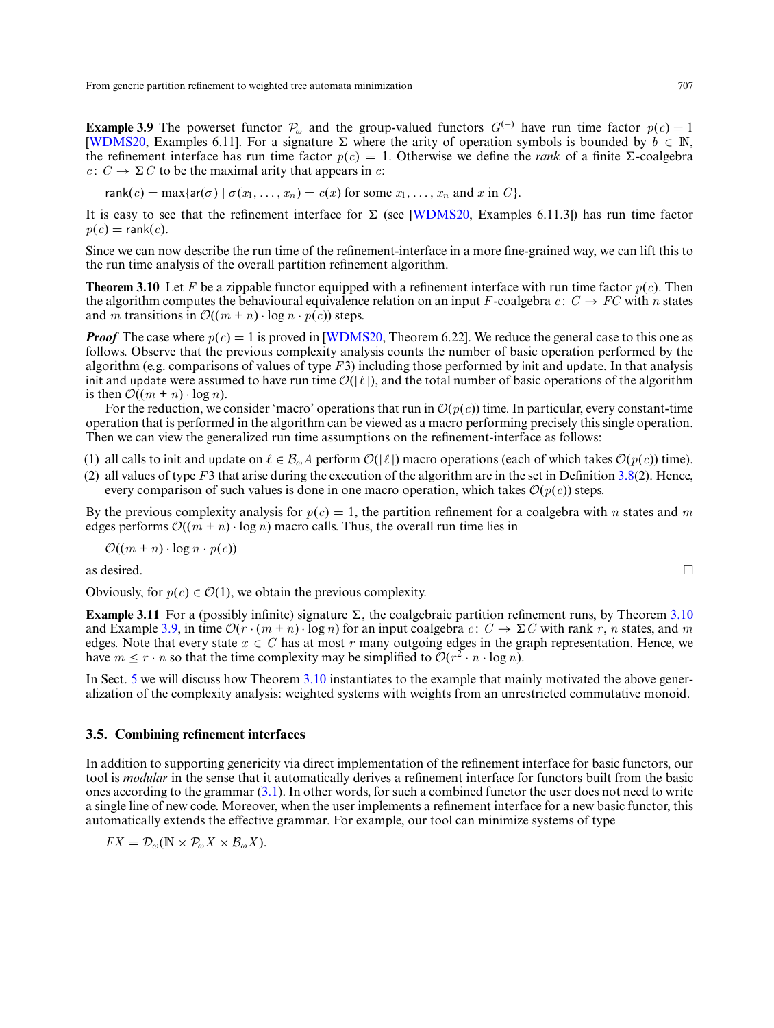<span id="page-12-2"></span>**Example 3.9** The powerset functor  $\mathcal{P}_{\omega}$  and the group-valued functors  $G^{(-)}$  have run time factor  $p(c) = 1$ [\[WDMS20,](#page-32-3) Examples 6.11]. For a signature  $\Sigma$  where the arity of operation symbols is bounded by  $\hat{b} \in \mathbb{N}$ , the refinement interface has run time factor  $p(c) = 1$ . Otherwise we define the *rank* of a finite  $\Sigma$ -coalgebra *c* :  $C \rightarrow \Sigma C$  to be the maximal arity that appears in *c*:

rank
$$
(c)
$$
 = max{ar $(\sigma)$  |  $\sigma(x_1,...,x_n) = c(x)$  for some  $x_1,...,x_n$  and  $x$  in  $C$  }.

It is easy to see that the refinement interface for  $\Sigma$  (see [\[WDMS20,](#page-32-3) Examples 6.11.3]) has run time factor  $p(c) = \text{rank}(c)$ .

<span id="page-12-1"></span>Since we can now describe the run time of the refinement-interface in a more fine-grained way, we can lift this to the run time analysis of the overall partition refinement algorithm.

**Theorem 3.10** Let *F* be a zippable functor equipped with a refinement interface with run time factor *p*(*c*). Then the algorithm computes the behavioural equivalence relation on an input *F*-coalgebra  $c: C \rightarrow FC$  with *n* states and *m* transitions in  $\mathcal{O}((m + n) \cdot \log n \cdot p(c))$  steps.

*Proof* The case where  $p(c) = 1$  is proved in [\[WDMS20,](#page-32-3) Theorem 6.22]. We reduce the general case to this one as follows. Observe that the previous complexity analysis counts the number of basic operation performed by the algorithm (e.g. comparisons of values of type *F*3) including those performed by init and update. In that analysis init and update were assumed to have run time  $\mathcal{O}(|\ell|)$ , and the total number of basic operations of the algorithm is then  $\mathcal{O}((m + n) \cdot \log n)$ .

For the reduction, we consider 'macro' operations that run in  $\mathcal{O}(p(c))$  time. In particular, every constant-time operation that is performed in the algorithm can be viewed as a macro performing precisely this single operation. Then we can view the generalized run time assumptions on the refinement-interface as follows:

- (1) all calls to init and update on  $\ell \in \mathcal{B}_{\omega}A$  perform  $\mathcal{O}(|\ell|)$  macro operations (each of which takes  $\mathcal{O}(p(c))$  time).
- (2) all values of type *F*3 that arise during the execution of the algorithm are in the set in Definition [3.8\(](#page-11-0)2). Hence, every comparison of such values is done in one macro operation, which takes  $\mathcal{O}(p(c))$  steps.

By the previous complexity analysis for  $p(c) = 1$ , the partition refinement for a coalgebra with *n* states and *m* edges performs  $\mathcal{O}((m + n) \cdot \log n)$  macro calls. Thus, the overall run time lies in

$$
\mathcal{O}((m+n)\cdot\log n\cdot p(c))
$$

as desired.  $\Box$ 

Obviously, for  $p(c) \in \mathcal{O}(1)$ , we obtain the previous complexity.

**Example 3.11** For a (possibly infinite) signature  $\Sigma$ , the coalgebraic partition refinement runs, by Theorem [3.10](#page-12-1) and Example [3.9,](#page-12-2) in time  $\mathcal{O}(r \cdot (m + n) \cdot \log n)$  for an input coalgebra  $c: C \to \Sigma C$  with rank r, n states, and m edges. Note that every state  $x \in C$  has at most r many outgoing edges in the graph representation. Hence, we have  $m \leq r \cdot n$  so that the time complexity may be simplified to  $\mathcal{O}(r^2 \cdot n \cdot \log n)$ .

In Sect. [5](#page-18-1) we will discuss how Theorem [3.10](#page-12-1) instantiates to the example that mainly motivated the above generalization of the complexity analysis: weighted systems with weights from an unrestricted commutative monoid.

# <span id="page-12-0"></span>**3.5. Combining refinement interfaces**

In addition to supporting genericity via direct implementation of the refinement interface for basic functors, our tool is *modular* in the sense that it automatically derives a refinement interface for functors built from the basic ones according to the grammar [\(3.1\)](#page-5-1). In other words, for such a combined functor the user does not need to write a single line of new code. Moreover, when the user implements a refinement interface for a new basic functor, this automatically extends the effective grammar. For example, our tool can minimize systems of type

$$
FX = \mathcal{D}_{\omega}(\mathbb{N} \times \mathcal{P}_{\omega} X \times \mathcal{B}_{\omega} X).
$$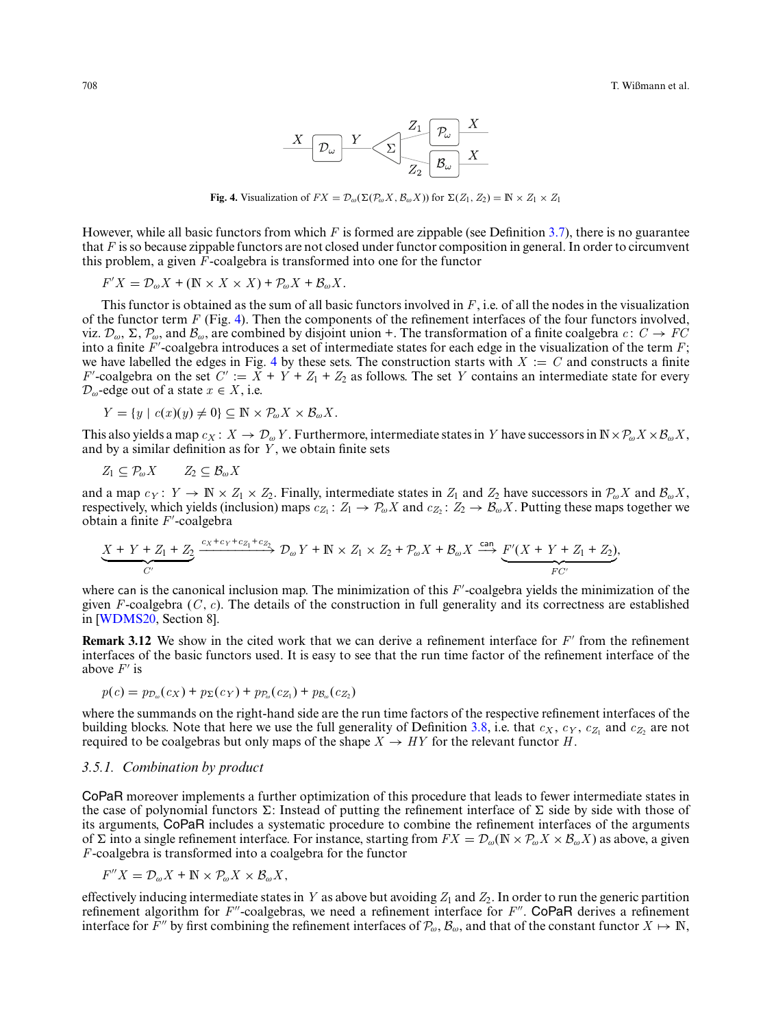

**Fig. 4.** Visualization of  $FX = \mathcal{D}_{\omega}(\Sigma(\mathcal{P}_{\omega}X, \mathcal{B}_{\omega}X))$  for  $\Sigma(Z_1, Z_2) = \mathbb{N} \times Z_1 \times Z_1$ 

<span id="page-13-0"></span>However, while all basic functors from which *F* is formed are zippable (see Definition [3.7\)](#page-11-1), there is no guarantee that *F* is so because zippable functors are not closed under functor composition in general. In order to circumvent this problem, a given  $\overline{F}$ -coalgebra is transformed into one for the functor

$$
F'X = \mathcal{D}_{\omega}X + (\mathbb{N} \times X \times X) + \mathcal{P}_{\omega}X + \mathcal{B}_{\omega}X.
$$

This functor is obtained as the sum of all basic functors involved in *F*, i.e. of all the nodes in the visualization of the functor term *F* (Fig. [4\)](#page-13-0). Then the components of the refinement interfaces of the four functors involved, viz.  $\mathcal{D}_{\omega}$ ,  $\Sigma$ ,  $\mathcal{P}_{\omega}$ , and  $\mathcal{B}_{\omega}$ , are combined by disjoint union +. The transformation of a finite coalgebra  $c: C \to FC$ into a finite *F* -coalgebra introduces a set of intermediate states for each edge in the visualization of the term *F*; we have labelled the edges in Fig. [4](#page-13-0) by these sets. The construction starts with  $X := C$  and constructs a finite  $F'$ -coalgebra on the set  $C' := X + Y + Z_1 + Z_2$  as follows. The set *Y* contains an intermediate state for every  $\mathcal{D}_{\omega}$ -edge out of a state  $x \in X$ , i.e.

$$
Y = \{ y \mid c(x)(y) \neq 0 \} \subseteq \mathbb{N} \times \mathcal{P}_{\omega} X \times \mathcal{B}_{\omega} X.
$$

This also yields a map  $c_X: X \to \mathcal{D}_{\omega} Y$ . Furthermore, intermediate states in *Y* have successors in  $\mathbb{N} \times \mathcal{P}_{\omega} X \times \mathcal{B}_{\omega} X$ , and by a similar definition as for *Y* , we obtain finite sets

$$
Z_1 \subseteq \mathcal{P}_{\omega} X \qquad Z_2 \subseteq \mathcal{B}_{\omega} X
$$

and a map  $c_Y: Y \to \mathbb{N} \times Z_1 \times Z_2$ . Finally, intermediate states in  $Z_1$  and  $Z_2$  have successors in  $\mathcal{P}_{\omega}X$  and  $\mathcal{B}_{\omega}X$ , respectively, which yields (inclusion) maps  $c_{Z_1}: Z_1 \to P_\omega X$  and  $c_{Z_2}: Z_2 \to B_\omega X$ . Putting these maps together we obtain a finite *F* -coalgebra

$$
\underbrace{X+Y+Z_1+Z_2}_{C'} \xrightarrow{c_X+c_Y+c_{Z_1}+c_{Z_2}} \mathcal{D}_{\omega}Y+\mathbb{N} \times Z_1 \times Z_2+\mathcal{P}_{\omega}X+\mathcal{B}_{\omega}X \xrightarrow{\text{can}} \underbrace{F'(X+Y+Z_1+Z_2)}_{FC'},
$$

where can is the canonical inclusion map. The minimization of this *F*'-coalgebra yields the minimization of the given *F*-coalgebra  $(C, c)$ . The details of the construction in full generality and its correctness are established in [\[WDMS20,](#page-32-3) Section 8].

**Remark 3.12** We show in the cited work that we can derive a refinement interface for *F'* from the refinement interfaces of the basic functors used. It is easy to see that the run time factor of the refinement interface of the above  $F'$  is

$$
p(c) = p_{\mathcal{D}_{\omega}}(c_X) + p_{\Sigma}(c_Y) + p_{\mathcal{P}_{\omega}}(c_{Z_1}) + p_{\mathcal{B}_{\omega}}(c_{Z_2})
$$

where the summands on the right-hand side are the run time factors of the respective refinement interfaces of the building blocks. Note that here we use the full generality of Definition [3.8,](#page-11-0) i.e. that  $c_X$ ,  $c_Y$ ,  $c_Z$ <sub>1</sub> and  $c_Z$ <sub>2</sub> are not required to be coalgebras but only maps of the shape  $X \to HY$  for the relevant functor *H*.

#### <span id="page-13-1"></span>*3.5.1. Combination by product*

CoPaR moreover implements a further optimization of this procedure that leads to fewer intermediate states in the case of polynomial functors  $\Sigma$ : Instead of putting the refinement interface of  $\Sigma$  side by side with those of its arguments, CoPaR includes a systematic procedure to combine the refinement interfaces of the arguments of  $\Sigma$  into a single refinement interface. For instance, starting from  $FX = \mathcal{D}_{\omega}(\mathbb{N} \times \mathcal{P}_{\omega}X \times \mathcal{B}_{\omega}X)$  as above, a given *F*-coalgebra is transformed into a coalgebra for the functor

 $F''X = \mathcal{D}_{\omega}X + \mathbb{N} \times \mathcal{P}_{\omega}X \times \mathcal{B}_{\omega}X$ ,

effectively inducing intermediate states in *Y* as above but avoiding  $Z_1$  and  $Z_2$ . In order to run the generic partition refinement algorithm for *F*<sup>-*r*</sup>-coalgebras, we need a refinement interface for *F*<sup>*r*</sup>. CoPaR derives a refinement interface for  $\bar{F}''$  by first combining the refinement interfaces of  $\mathcal{P}_{\omega}$ ,  $\mathcal{B}_{\omega}$ , and that of the constant functor  $X \mapsto \mathbb{N}$ ,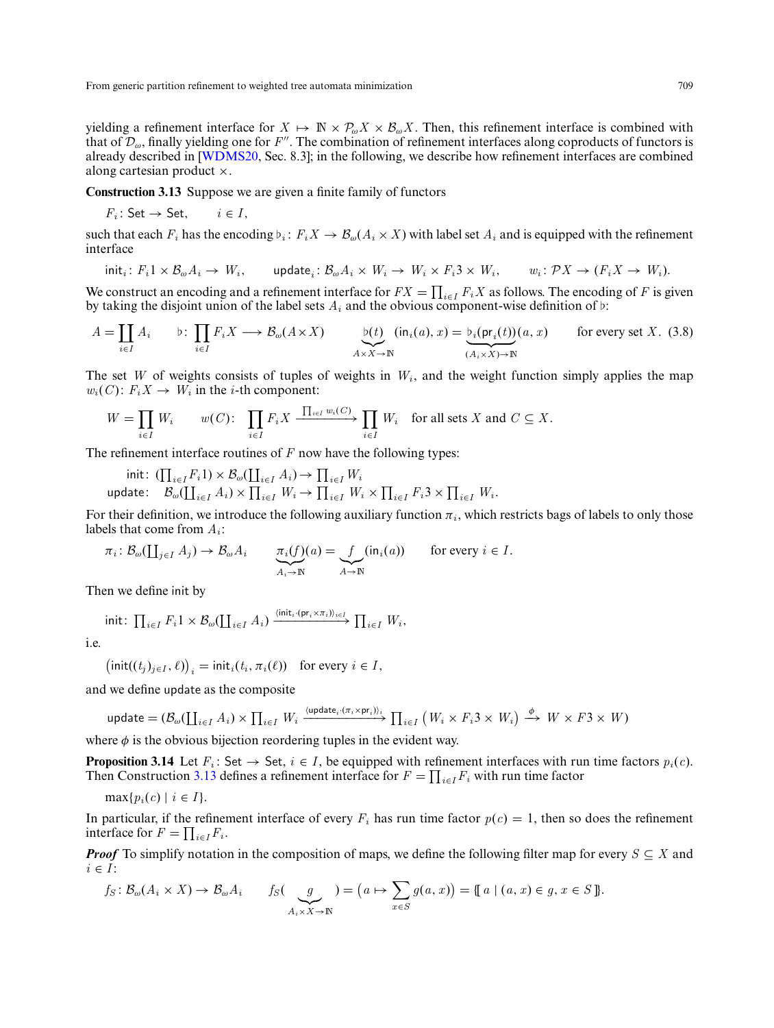yielding a refinement interface for  $X \mapsto \mathbb{N} \times \mathcal{P}_{\omega} X \times \mathcal{B}_{\omega} X$ . Then, this refinement interface is combined with that of  $\mathcal{D}_{\omega}$ , finally yielding one for *F*<sup>'</sup>'. The combination of refinement interfaces along coproducts of functors is already described in [\[WDMS20,](#page-32-3) Sec. 8.3]; in the following, we describe how refinement interfaces are combined along cartesian product ×.

<span id="page-14-1"></span>**Construction 3.13** Suppose we are given a finite family of functors

$$
F_i: \mathsf{Set} \to \mathsf{Set}, \qquad i \in I,
$$

such that each  $F_i$  has the encoding  $\flat_i: F_i X \to \mathcal{B}_\omega(A_i \times X)$  with label set  $A_i$  and is equipped with the refinement interface

<span id="page-14-2"></span>
$$
\mathsf{init}_i\colon F_i 1 \times \mathcal{B}_{\omega} A_i \to W_i, \qquad \mathsf{update}_i\colon \mathcal{B}_{\omega} A_i \times W_i \to W_i \times F_i 3 \times W_i, \qquad w_i\colon \mathcal{P} X \to (F_i X \to W_i).
$$

We construct an encoding and a refinement interface for  $FX = \prod_{i \in I} F_i X$  as follows. The encoding of *F* is given by taking the disjoint union of the label sets  $A_i$  and the obvious component-wise definition of  $\nu$ :

$$
A = \coprod_{i \in I} A_i \qquad \flat \colon \prod_{i \in I} F_i X \longrightarrow B_\omega(A \times X) \qquad \underbrace{\flat(t)}_{A \times X \to \mathbb{N}} (\text{in}_i(a), x) = \underbrace{\flat_i(\text{pr}_i(t))}_{(A_i \times X) \to \mathbb{N}} (a, x) \qquad \text{for every set } X. \tag{3.8}
$$

The set *W* of weights consists of tuples of weights in  $W_i$ , and the weight function simply applies the map  $w_i(C)$ :  $F_i X \rightarrow W_i$  in the *i*-th component:

$$
W = \prod_{i \in I} W_i \qquad w(C): \quad \prod_{i \in I} F_i X \xrightarrow{\prod_{i \in I} w_i(C)} \prod_{i \in I} W_i \quad \text{for all sets } X \text{ and } C \subseteq X.
$$

The refinement interface routines of *F* now have the following types:

 $\text{init: } (\prod_{i \in I} F_i 1) \times \mathcal{B}_{\omega}(\coprod_{i \in I} A_i) \to \prod_{i \in I} W_i$ 

 $\cup$   $\mathcal{B}_{\omega}(\coprod_{i\in I} A_i) \times \prod_{i\in I} W_i \to \prod_{i\in I} W_i \times \prod_{i\in I} F_i 3 \times \prod_{i\in I} W_i.$ 

For their definition, we introduce the following auxiliary function  $\pi_i$ , which restricts bags of labels to only those labels that come from *Ai*:

$$
\pi_i: \mathcal{B}_{\omega}(\coprod_{j\in I} A_j) \to \mathcal{B}_{\omega} A_i \qquad \underbrace{\pi_i(f)}_{A_i \to \mathbb{N}}(a) = \underbrace{f}_{A \to \mathbb{N}}(\text{in}_i(a)) \qquad \text{for every } i \in I.
$$

Then we define init by

$$
\text{init: } \prod_{i \in I} F_i 1 \times \mathcal{B}_{\omega}(\coprod_{i \in I} A_i) \xrightarrow{\langle \text{init}_i \cdot (\mathsf{pr}_i \times \pi_i) \rangle_{i \in I}} \prod_{i \in I} W_i,
$$

i.e.

$$
\left(\text{init}((t_j)_{j\in I}, \ell)\right)_i = \text{init}_i(t_i, \pi_i(\ell)) \text{ for every } i \in I,
$$

and we define update as the composite

$$
\text{update} = (\mathcal{B}_{\omega}(\coprod_{i \in I} A_i) \times \prod_{i \in I} W_i \xrightarrow{\langle \text{update}_i \cdot (\pi_i \times \text{pr}_i) \rangle_i} \prod_{i \in I} (W_i \times F_i 3 \times W_i) \xrightarrow{\phi} W \times F3 \times W)
$$

where  $\phi$  is the obvious bijection reordering tuples in the evident way.

<span id="page-14-0"></span>**Proposition 3.14** Let  $F_i$ : Set  $\rightarrow$  Set,  $i \in I$ , be equipped with refinement interfaces with run time factors  $p_i(c)$ . Then Construction [3.13](#page-14-1) defines a refinement interface for  $F = \prod_{i \in I} F_i$  with run time factor

$$
\max\{p_i(c) \mid i \in I\}.
$$

In particular, if the refinement interface of every  $F_i$  has run time factor  $p(c) = 1$ , then so does the refinement interface for  $F = \prod_{i \in I} F_i$ .

*Proof* To simplify notation in the composition of maps, we define the following filter map for every  $S \subseteq X$  and  $i \in I$ :

$$
f_S: \mathcal{B}_{\omega}(A_i \times X) \to \mathcal{B}_{\omega}A_i \qquad f_S(\underbrace{g}_{A_i \times X \to \mathbb{N}}) = (a \mapsto \sum_{x \in S} g(a, x)) = \{ [a \mid (a, x) \in g, x \in S] \}.
$$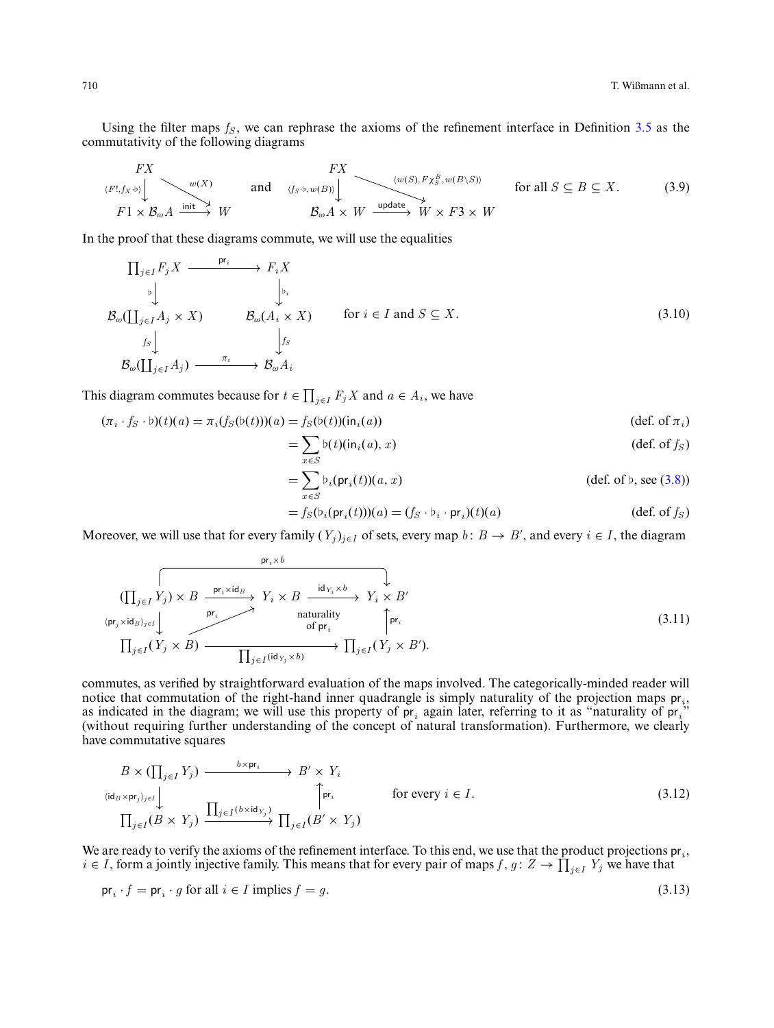Using the filter maps  $f_S$ , we can rephrase the axioms of the refinement interface in Definition  $3.5$  as the commutativity of the following diagrams

<span id="page-15-1"></span>
$$
\begin{array}{ccc}\nFX & & & FX \\
(F!, f_X \rightarrow) & & \text{and} \\
F1 \times \mathcal{B}_{\omega}A & \xrightarrow{\text{init}} & W & & \mathcal{B}_{\omega}A \times W \xrightarrow{\text{update}} & W \times F3 \times W & \\
\end{array}\n\quad \text{for all } S \subseteq B \subseteq X. \tag{3.9}
$$

In the proof that these diagrams commute, we will use the equalities

$$
\Pi_{j\in I} F_j X \xrightarrow{\text{pr}_i} F_i X
$$
\n
$$
\downarrow \qquad \qquad \downarrow \downarrow
$$
\n
$$
\mathcal{B}_{\omega}(\Pi_{j\in I} A_j \times X) \qquad \mathcal{B}_{\omega}(A_i \times X) \qquad \text{for } i \in I \text{ and } S \subseteq X.
$$
\n
$$
\downarrow \qquad \qquad \downarrow \qquad \qquad \downarrow \qquad \qquad \downarrow \qquad \qquad \downarrow \qquad \qquad \downarrow \qquad \qquad \downarrow \qquad \qquad \downarrow \qquad \qquad \downarrow \qquad \qquad \downarrow \qquad \qquad \downarrow \qquad \qquad \downarrow \qquad \qquad \downarrow \qquad \qquad \downarrow \qquad \qquad \downarrow \qquad \qquad \downarrow \qquad \qquad \downarrow \qquad \qquad \downarrow \qquad \qquad \downarrow \qquad \qquad \downarrow \qquad \qquad \downarrow \qquad \qquad \downarrow \qquad \qquad \downarrow \qquad \qquad \downarrow \qquad \qquad \downarrow \qquad \qquad \downarrow \qquad \qquad \downarrow \qquad \qquad \downarrow \qquad \qquad \downarrow \qquad \qquad \downarrow \qquad \qquad \downarrow \qquad \qquad \downarrow \qquad \qquad \downarrow \qquad \downarrow \qquad \qquad \downarrow \qquad \downarrow \qquad \downarrow \qquad \qquad \downarrow \qquad \downarrow \qquad \qquad \downarrow \qquad \qquad \downarrow \qquad \qquad \downarrow \qquad \qquad \downarrow \qquad \qquad \downarrow \qquad \qquad \downarrow \qquad \qquad \downarrow \qquad \qquad \downarrow \qquad \qquad \downarrow \qquad \qquad \downarrow \qquad \qquad \downarrow \qquad \qquad \downarrow \qquad \qquad \downarrow \qquad \qquad \downarrow \qquad \qquad \downarrow \qquad \qquad \downarrow \qquad \qquad \downarrow \qquad \qquad \downarrow \qquad \qquad \downarrow \qquad \qquad \downarrow \qquad \qquad \downarrow \qquad \qquad \downarrow \qquad \qquad \downarrow \qquad \downarrow \qquad \qquad \downarrow \qquad \qquad \downarrow \qquad \qquad \downarrow \qquad \qquad \downarrow \qquad \qquad \downarrow \qquad \qquad \downarrow \qquad \downarrow \qquad \downarrow \qquad \downarrow \qquad \qquad \downarrow \qquad \down
$$

This diagram commutes because for  $t \in \prod_{j \in I} F_j X$  and  $a \in A_i$ , we have

$$
(\pi_i \cdot f_S \cdot \mathfrak{b})(t)(a) = \pi_i(f_S(\mathfrak{b}(t)))(a) = f_S(\mathfrak{b}(t))(\mathfrak{in}_i(a))
$$
\n(def. of  $\pi_i$ )

<span id="page-15-0"></span>
$$
=\sum_{x\in S} b(t)(\text{in}_i(a),x) \tag{def. of } f_S
$$

$$
= \sum_{x \in S} b_i(\text{pr}_i(t))(a, x) \qquad \text{(def. of } b, \text{ see (3.8))}
$$

<span id="page-15-3"></span><span id="page-15-2"></span>
$$
= f_S(\mathfrak{b}_i(\mathsf{pr}_i(t)))(a) = (f_S \cdot \mathfrak{b}_i \cdot \mathsf{pr}_i)(t)(a)
$$
 (def. of  $f_S$ )

Moreover, we will use that for every family  $(Y_j)_{j \in I}$  of sets, every map  $b: B \to B'$ , and every  $i \in I$ , the diagram

$$
\begin{array}{ccc}\n & \text{pr}_{i} \times b \\
 & \left(\prod_{j\in I} Y_{j}\right) \times B \xrightarrow{\text{pr}_{i} \times \text{id}_{B}} Y_{i} \times B \xrightarrow{\text{id}_{Y_{i}} \times b} Y_{i} \times B' \\
 & \text{nturality} \\
 & \text{if } \text{pr}_{i} \\
 & \text{if } \text{pr}_{i} \\
 & \text{if } \text{pr}_{i} \\
 & \text{if } \text{pr}_{i} \\
 & \text{if } \text{pr}_{i} \\
 & \text{if } \text{pr}_{i} \\
 & \text{if } \text{pr}_{i} \\
 & \text{if } \text{pr}_{i} \\
 & \text{if } \text{pr}_{i} \\
 & \text{if } \text{pr}_{i} \\
 & \text{if } \text{pr}_{i} \\
 & \text{if } \text{pr}_{i} \\
 & \text{if } \text{pr}_{i} \\
 & \text{if } \text{pr}_{i} \\
 & \text{if } \text{pr}_{i} \\
 & \text{if } \text{pr}_{i} \\
 & \text{if } \text{pr}_{i} \\
 & \text{if } \text{pr}_{i} \\
 & \text{if } \text{pr}_{i} \\
 & \text{if } \text{pr}_{i} \\
 & \text{if } \text{pr}_{i} \\
 & \text{if } \text{pr}_{i} \\
 & \text{if } \text{pr}_{i} \\
 & \text{if } \text{pr}_{i} \\
 & \text{if } \text{pr}_{i} \\
 & \text{if } \text{pr}_{i} \\
 & \text{if } \text{pr}_{i} \\
 & \text{if } \text{pr}_{i} \\
 & \text{if } \text{pr}_{i} \\
 & \text{if } \text{pr}_{i} \\
 & \text{if } \text{pr}_{i} \\
 & \text{if } \text{pr}_{i} \\
 & \text{if } \text{pr}_{i} \\
 & \text{if } \text{pr}_{i} \\
 & \text{if } \text{pr}_{i} \\
 & \text{if } \text{pr}_{i} \\
 & \text{if } \text{pr}_{i} \\
 & \text{if } \text{pr}_{i} \\
 & \text{if } \text{pr}_{i} \\
 & \text{if } \text{pr}_{i} \\
 & \text{if } \text{pr}_{i} \\
 & \text{if } \text{pr}_{i} \\
 & \text{if } \text{pr}_{i} \\
 & \text{if } \text{pr}_{i} \\
 & \text{if } \text{pr}_{i} \\
 & \text{if } \text{pr}_{i} \\
 & \text{if } \text{pr}_{i} \\
 & \text{
$$

commutes, as verified by straightforward evaluation of the maps involved. The categorically-minded reader will notice that commutation of the right-hand inner quadrangle is simply naturality of the projection maps pr*i*, as indicated in the diagram; we will use this property of pr*<sup>i</sup>* again later, referring to it as "naturality of pr*i*" (without requiring further understanding of the concept of natural transformation). Furthermore, we clearly have commutative squares

<span id="page-15-4"></span>
$$
B \times (\prod_{j \in I} Y_j) \xrightarrow{b \times pr_i} B' \times Y_i
$$
  
\n
$$
\langle id_B \times pr_j \rangle_{j \in I} \downarrow
$$
  
\n
$$
\prod_{j \in I} (B \times Y_j) \xrightarrow{\prod_{j \in I} (b \times id_{Y_j})} \prod_{j \in I} (B' \times Y_j)
$$
  
\nfor every  $i \in I$ .  
\n(3.12)

We are ready to verify the axioms of the refinement interface. To this end, we use that the product projections pr*i*, *i* ∈ *I*, form a jointly injective family. This means that for every pair of maps *f*, *g* : *Z* →  $\prod_{j \in I} Y_j$  we have that

$$
\operatorname{pr}_i \cdot f = \operatorname{pr}_i \cdot g \text{ for all } i \in I \text{ implies } f = g. \tag{3.13}
$$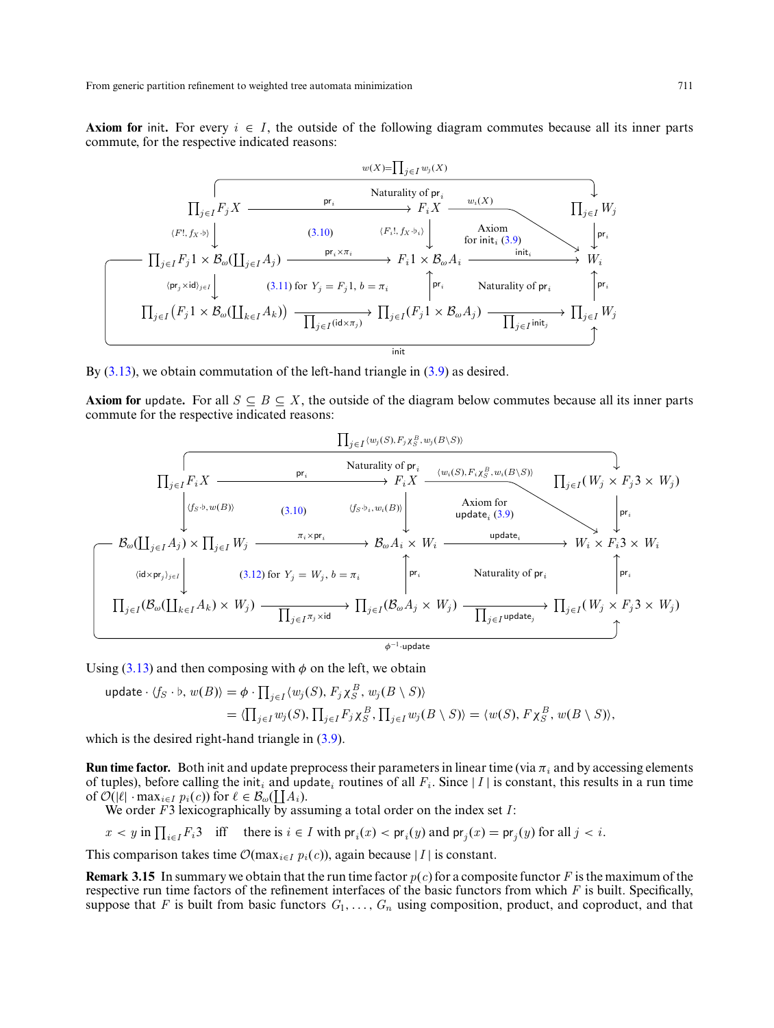**Axiom for** init. For every  $i \in I$ , the outside of the following diagram commutes because all its inner parts commute, for the respective indicated reasons:



By [\(3.13\)](#page-15-3), we obtain commutation of the left-hand triangle in [\(3.9\)](#page-15-1) as desired.

**Axiom for** update. For all  $S \subseteq B \subseteq X$ , the outside of the diagram below commutes because all its inner parts commute for the respective indicated reasons:



Using [\(3.13\)](#page-15-3) and then composing with  $\phi$  on the left, we obtain

update 
$$
\langle f_S \cdot b, w(B) \rangle = \phi \cdot \prod_{j \in I} \langle w_j(S), F_j \chi_S^B, w_j(B \setminus S) \rangle
$$
  
=  $\langle \prod_{j \in I} w_j(S), \prod_{j \in I} F_j \chi_S^B, \prod_{j \in I} w_j(B \setminus S) \rangle = \langle w(S), F \chi_S^B, w(B \setminus S) \rangle$ ,

which is the desired right-hand triangle in  $(3.9)$ .

**Run time factor.** Both init and update preprocess their parameters in linear time (via π*<sup>i</sup>* and by accessing elements of tuples), before calling the init<sub>i</sub> and update<sub>*i*</sub> routines of all  $F_i$ . Since  $|I|$  is constant, this results in a run time of  $\mathcal{O}(|\ell| \cdot \max_{i \in I} p_i(c))$  for  $\ell \in \mathcal{B}_{\omega}(\coprod A_i)$ .

We order *F*3 lexicographically by assuming a total order on the index set *I*:

$$
x < y \text{ in } \prod_{i \in I} F_i 3 \quad \text{iff} \quad \text{there is } i \in I \text{ with } \text{pr}_i(x) < \text{pr}_i(y) \text{ and } \text{pr}_j(x) = \text{pr}_j(y) \text{ for all } j < i.
$$

This comparison takes time  $\mathcal{O}(\max_{i \in I} p_i(c))$ , again because |*I* | is constant.

<span id="page-16-0"></span>**Remark 3.15** In summary we obtain that the run time factor  $p(c)$  for a composite functor F is the maximum of the respective run time factors of the refinement interfaces of the basic functors from which *F* is built. Specifically, suppose that *F* is built from basic functors  $G_1, \ldots, G_n$  using composition, product, and coproduct, and that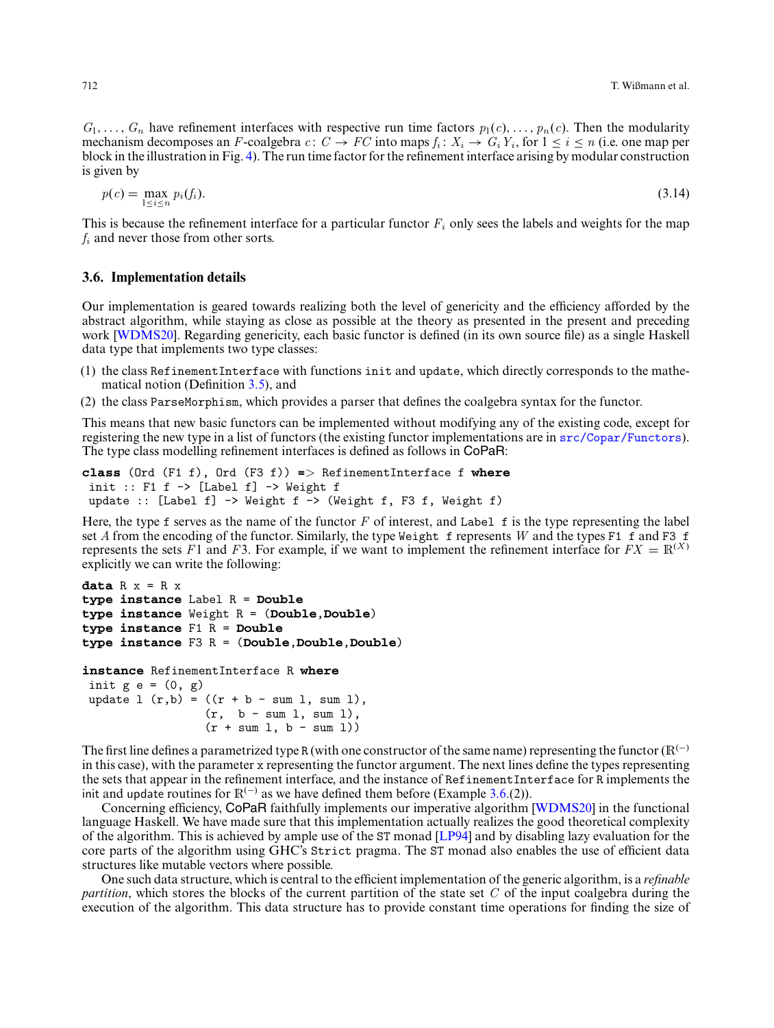$G_1, \ldots, G_n$  have refinement interfaces with respective run time factors  $p_1(c), \ldots, p_n(c)$ . Then the modularity mechanism decomposes an *F*-coalgebra  $c: C \to FC$  into maps  $f_i: X_i \to G_iY_i$ , for  $1 \le i \le n$  (i.e. one map per block in the illustration in Fig. [4\)](#page-13-0). The run time factor for the refinement interface arising by modular construction is given by

$$
p(c) = \max_{1 \le i \le n} p_i(f_i). \tag{3.14}
$$

This is because the refinement interface for a particular functor  $F_i$  only sees the labels and weights for the map *f<sup>i</sup>* and never those from other sorts.

### <span id="page-17-0"></span>**3.6. Implementation details**

Our implementation is geared towards realizing both the level of genericity and the efficiency afforded by the abstract algorithm, while staying as close as possible at the theory as presented in the present and preceding work **[\[WDMS20\]](#page-32-3)**. Regarding genericity, each basic functor is defined (in its own source file) as a single Haskell data type that implements two type classes:

- (1) the class RefinementInterface with functions init and update, which directly corresponds to the mathematical notion (Definition [3.5\)](#page-8-1), and
- (2) the class ParseMorphism, which provides a parser that defines the coalgebra syntax for the functor.

This means that new basic functors can be implemented without modifying any of the existing code, except for registering the new type in a list of functors (the existing functor implementations are in [src/Copar/Functors](https://git8.cs.fau.de/software/copar/tree/master/src/Copar/Functors)). The type class modelling refinement interfaces is defined as follows in CoPaR:

```
class (Ord (F1 f), Ord (F3 f)) => RefinementInterface f where
 init :: F1 f \rightarrow [Label f] \rightarrow Weight fupdate :: [Label f] \rightarrow Weight f \rightarrow (Weight f, F3 f, Weight f)
```
Here, the type f serves as the name of the functor *F* of interest, and Label f is the type representing the label set *A* from the encoding of the functor. Similarly, the type Weight f represents *W* and the types F1 f and F3 f represents the sets *F*1 and *F*3. For example, if we want to implement the refinement interface for  $FX = \mathbb{R}^{(X)}$ explicitly we can write the following:

```
data R x = R xtype instance Label R = Double
type instance Weight R = (Double,Double)
type instance F1 R = Double
type instance F3 R = (Double,Double,Double)
instance RefinementInterface R where
init g e = (0, g)update 1 (r,b) = ((r + b - \text{sum } 1, \text{ sum } 1)),
                  (r, b - sum l, sum l),
                  (r + sum 1, b - sum 1))
```
The first line defines a parametrized type R (with one constructor of the same name) representing the functor ( $\mathbb{R}^{(-)}$ in this case), with the parameter x representing the functor argument. The next lines define the types representing the sets that appear in the refinement interface, and the instance of RefinementInterface for R implements the init and update routines for  $\mathbb{R}^{(-)}$  as we have defined them before (Example [3.6.](#page-10-0)(2)).

Concerning efficiency, CoPaR faithfully implements our imperative algorithm [\[WDMS20\]](#page-32-3) in the functional language Haskell. We have made sure that this implementation actually realizes the good theoretical complexity of the algorithm. This is achieved by ample use of the ST monad [\[LP94\]](#page-31-17) and by disabling lazy evaluation for the core parts of the algorithm using GHC's Strict pragma. The ST monad also enables the use of efficient data structures like mutable vectors where possible.

One such data structure, which is central to the efficient implementation of the generic algorithm, is a *refinable partition*, which stores the blocks of the current partition of the state set *C* of the input coalgebra during the execution of the algorithm. This data structure has to provide constant time operations for finding the size of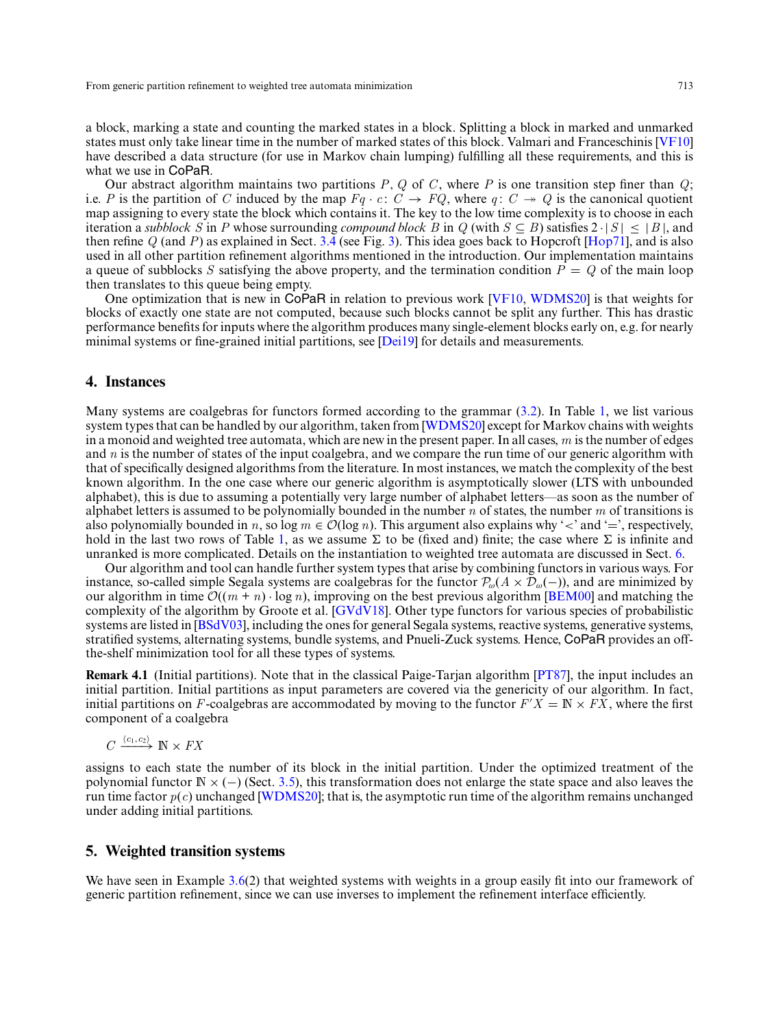a block, marking a state and counting the marked states in a block. Splitting a block in marked and unmarked states must only take linear time in the number of marked states of this block. Valmari and Franceschinis [\[VF10\]](#page-32-2) have described a data structure (for use in Markov chain lumping) fulfilling all these requirements, and this is what we use in CoPaR.

Our abstract algorithm maintains two partitions *P*, *Q* of *C* , where *P* is one transition step finer than *Q*; i.e. *P* is the partition of *C* induced by the map  $Fq \cdot c \colon C \to FQ$ , where  $q \colon C \to Q$  is the canonical quotient map assigning to every state the block which contains it. The key to the low time complexity is to choose in each iteration a *subblock S* in *P* whose surrounding *compound block B* in *Q* (with  $S \subseteq B$ ) satisfies  $2 \cdot |S| \leq |B|$ , and then refine *Q* (and *P*) as explained in Sect. [3.4](#page-8-0) (see Fig. [3\)](#page-9-0). This idea goes back to Hopcroft [\[Hop71\]](#page-31-1), and is also used in all other partition refinement algorithms mentioned in the introduction. Our implementation maintains a queue of subblocks *S* satisfying the above property, and the termination condition  $P = Q$  of the main loop then translates to this queue being empty.

One optimization that is new in CoPaR in relation to previous work [\[VF10,](#page-32-2) [WDMS20\]](#page-32-3) is that weights for blocks of exactly one state are not computed, because such blocks cannot be split any further. This has drastic performance benefits for inputs where the algorithm produces many single-element blocks early on, e.g. for nearly minimal systems or fine-grained initial partitions, see [\[Dei19\]](#page-31-18) for details and measurements.

# <span id="page-18-0"></span>**4. Instances**

Many systems are coalgebras for functors formed according to the grammar [\(3.2\)](#page-5-2). In Table [1,](#page-19-0) we list various system types that can be handled by our algorithm, taken from [\[WDMS20\]](#page-32-3) except for Markov chains with weights in a monoid and weighted tree automata, which are new in the present paper. In all cases, *m* is the number of edges and *n* is the number of states of the input coalgebra, and we compare the run time of our generic algorithm with that of specifically designed algorithms from the literature. In most instances, we match the complexity of the best known algorithm. In the one case where our generic algorithm is asymptotically slower (LTS with unbounded alphabet), this is due to assuming a potentially very large number of alphabet letters—as soon as the number of alphabet letters is assumed to be polynomially bounded in the number *n* of states, the number *m* of transitions is also polynomially bounded in *n*, so  $\log m \in \mathcal{O}(\log n)$ . This argument also explains why '<' and '=', respectively, hold in the last two rows of Table [1,](#page-19-0) as we assume  $\Sigma$  to be (fixed and) finite; the case where  $\Sigma$  is infinite and unranked is more complicated. Details on the instantiation to weighted tree automata are discussed in Sect. [6.](#page-23-0)

Our algorithm and tool can handle further system types that arise by combining functors in various ways. For instance, so-called simple Segala systems are coalgebras for the functor  $P_{\omega}(A \times D_{\omega}(-))$ , and are minimized by our algorithm in time  $\mathcal{O}((m + n) \cdot \log n)$ , improving on the best previous algorithm [\[BEM00\]](#page-30-0) and matching the complexity of the algorithm by Groote et al. [\[GVdV18\]](#page-31-9). Other type functors for various species of probabilistic systems are listed in [\[BSdV03\]](#page-31-19), including the ones for general Segala systems, reactive systems, generative systems, stratified systems, alternating systems, bundle systems, and Pnueli-Zuck systems. Hence, CoPaR provides an offthe-shelf minimization tool for all these types of systems.

<span id="page-18-2"></span>**Remark 4.1** (Initial partitions). Note that in the classical Paige-Tarjan algorithm [\[PT87\]](#page-31-4), the input includes an initial partition. Initial partitions as input parameters are covered via the genericity of our algorithm. In fact, initial partitions on *F*-coalgebras are accommodated by moving to the functor  $F'X = \mathbb{N} \times F\overline{X}$ , where the first component of a coalgebra

$$
C\xrightarrow{\langle c_1,c_2\rangle} \mathbb{N}\times FX
$$

assigns to each state the number of its block in the initial partition. Under the optimized treatment of the polynomial functor <sup>N</sup> <sup>×</sup> (−) (Sect. [3.5\)](#page-12-0), this transformation does not enlarge the state space and also leaves the run time factor *p*(*c*) unchanged [\[WDMS20\]](#page-32-3); that is, the asymptotic run time of the algorithm remains unchanged under adding initial partitions.

# <span id="page-18-1"></span>**5. Weighted transition systems**

We have seen in Example [3.6\(](#page-10-0)2) that weighted systems with weights in a group easily fit into our framework of generic partition refinement, since we can use inverses to implement the refinement interface efficiently.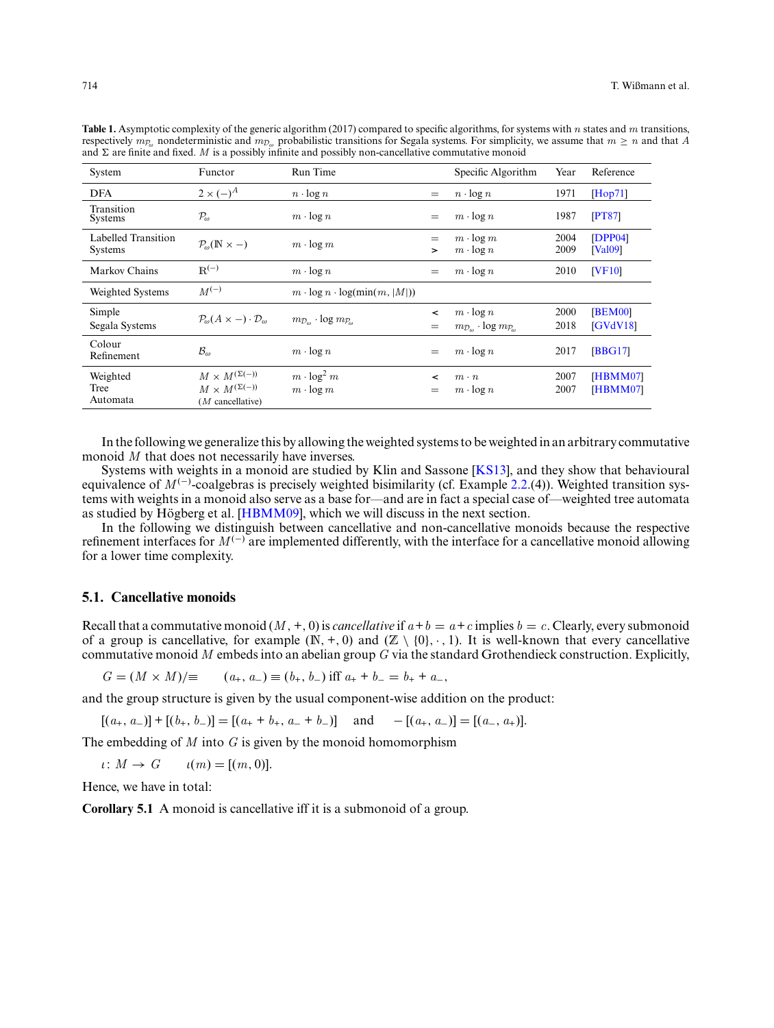| System                                | Functor                                                                       | Run Time                                                    |                   | Specific Algorithm                                                                 | Year         | Reference                       |
|---------------------------------------|-------------------------------------------------------------------------------|-------------------------------------------------------------|-------------------|------------------------------------------------------------------------------------|--------------|---------------------------------|
| <b>DFA</b>                            | $2 \times (-)^A$                                                              | $n \cdot \log n$                                            | $=$               | $n \cdot \log n$                                                                   | 1971         | [Hop71]                         |
| Transition<br><b>Systems</b>          | $\mathcal{P}_{\omega}$                                                        | $m \cdot \log n$                                            | $=$               | $m \cdot \log n$                                                                   | 1987         | [PT87]                          |
| Labelled Transition<br><b>Systems</b> | $P_{\omega}(\mathbb{N} \times -)$                                             | $m \cdot \log m$                                            | $=$<br>$\geq$     | $m \cdot \log m$<br>$m \cdot \log n$                                               | 2004<br>2009 | [DPP04]<br>[Val09]              |
| Markov Chains                         | $R^{(-)}$                                                                     | $m \cdot \log n$                                            | $=$               | $m \cdot \log n$                                                                   | 2010         | <b>IVF101</b>                   |
| Weighted Systems                      | $M^{(-)}$                                                                     | $m \cdot \log n \cdot \log(\min(m,  M ))$                   |                   |                                                                                    |              |                                 |
| Simple<br>Segala Systems              | $\mathcal{P}_{\omega}(A \times -) \cdot \mathcal{D}_{\omega}$                 | $m_{\mathcal{D}_{\infty}}$ · log $m_{\mathcal{P}_{\infty}}$ | $\prec$<br>$=$    | $m \cdot \log n$<br>$m_{\mathcal{D}_{\omega}} \cdot \log m_{\mathcal{P}_{\omega}}$ | 2000<br>2018 | <b>BEM00</b><br><b>[GVdV18]</b> |
| Colour<br>Refinement                  | $\mathcal{B}_{\omega}$                                                        | $m \cdot \log n$                                            | $=$               | $m \cdot \log n$                                                                   | 2017         | [ <b>BBG17</b> ]                |
| Weighted<br>Tree<br>Automata          | $M \times M^{(\Sigma(-))}$<br>$M\times M^{(\Sigma(-))}$<br>$(M$ cancellative) | $m \cdot \log^2 m$<br>$m \cdot \log m$                      | $\tilde{}$<br>$=$ | $m \cdot n$<br>$m \cdot \log n$                                                    | 2007<br>2007 | [HBMM07]<br>[HBMM07]            |

<span id="page-19-0"></span>**Table 1.** Asymptotic complexity of the generic algorithm (2017) compared to specific algorithms, for systems with *n* states and *m* transitions, respectively  $m_{\mathcal{P}_{\alpha}}$  nondeterministic and  $m_{\mathcal{D}_{\alpha}}$  probabilistic transitions for Segala systems. For simplicity, we assume that  $m \geq n$  and that *A* and  $\Sigma$  are finite and fixed. *M* is a possibly infinite and possibly non-cancellative commutative monoid

In the following we generalize this by allowing the weighted systems to be weighted in an arbitrary commutative monoid *M* that does not necessarily have inverses.

Systems with weights in a monoid are studied by Klin and Sassone [\[KS13\]](#page-31-16), and they show that behavioural equivalence of *M*<sup>(−)</sup>-coalgebras is precisely weighted bisimilarity (cf. Example [2.2.](#page-2-1)(4)). Weighted transition systems with weights in a monoid also serve as a base for—and are in fact a special case of—weighted tree automata as studied by  $\overline{H}$  ogberg et al. [ $\overline{HBMM09}$ ], which we will discuss in the next section.

In the following we distinguish between cancellative and non-cancellative monoids because the respective refinement interfaces for  $M^{(-)}$  are implemented differently, with the interface for a cancellative monoid allowing for a lower time complexity.

# <span id="page-19-1"></span>**5.1. Cancellative monoids**

Recall that a commutative monoid  $(M, +, 0)$  is *cancellative* if  $a + b = a + c$  implies  $b = c$ . Clearly, every submonoid of a group is cancellative, for example  $(N, +, 0)$  and  $(Z \setminus \{0\}, \cdot, 1)$ . It is well-known that every cancellative commutative monoid *M* embeds into an abelian group *G* via the standard Grothendieck construction. Explicitly,

$$
G = (M \times M)/\equiv \qquad (a_+, a_-) \equiv (b_+, b_-) \text{ iff } a_+ + b_- = b_+ + a_-,
$$

and the group structure is given by the usual component-wise addition on the product:

 $[(a_+, a_-)] + [(b_+, b_-)] = [(a_+, b_+, a_- + b_-)]$  and  $-[a_+, a_-)] = [(a_-, a_+)]$ .

The embedding of *M* into *G* is given by the monoid homomorphism

 $\iota: M \to G$   $\iota(m) = [(m, 0)].$ 

Hence, we have in total:

**Corollary 5.1** A monoid is cancellative iff it is a submonoid of a group.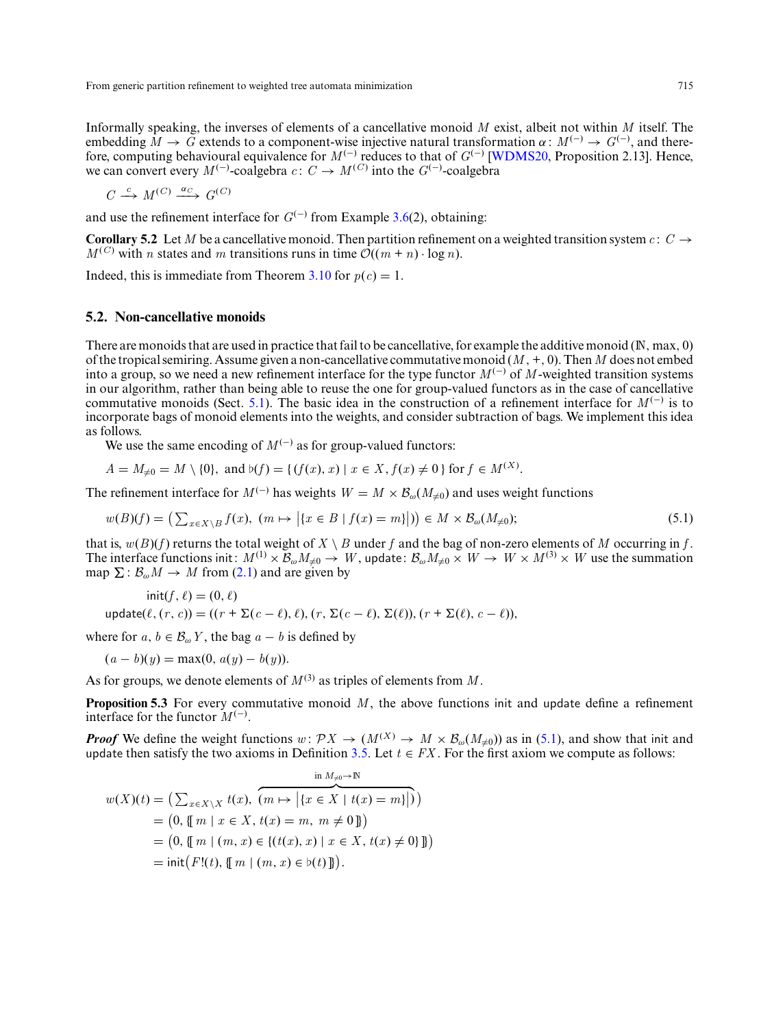Informally speaking, the inverses of elements of a cancellative monoid *M* exist, albeit not within *M* itself. The embedding  $M \to G$  extends to a component-wise injective natural transformation  $\alpha : M^{(-)} \to G^{(-)}$ , and therefore, computing behavioural equivalence for *M* (−) reduces to that of *G*(−) [\[WDMS20,](#page-32-3) Proposition 2.13]. Hence, we can convert every  $M^{(-)}$ -coalgebra *c*:  $C \rightarrow M^{(C)}$  into the  $G^{(-)}$ -coalgebra

$$
C \xrightarrow{c} M^{(C)} \xrightarrow{\alpha_C} G^{(C)}
$$

and use the refinement interface for  $G^{(-)}$  from Example [3.6\(](#page-10-0)2), obtaining:

**Corollary 5.2** Let *M* be a cancellative monoid. Then partition refinement on a weighted transition system *c* :  $C \rightarrow$  $M^{(C)}$  with *n* states and *m* transitions runs in time  $\mathcal{O}((m + n) \cdot \log n)$ .

Indeed, this is immediate from Theorem [3.10](#page-12-1) for  $p(c) = 1$ .

## <span id="page-20-0"></span>**5.2. Non-cancellative monoids**

There are monoids that are used in practice that fail to be cancellative, for example the additive monoid (N, max, 0) of the tropical semiring. Assume given a non-cancellative commutative monoid (*M* ,+, 0). Then*M* does not embed into a group, so we need a new refinement interface for the type functor  $M^{(-)}$  of  $M$ -weighted transition systems in our algorithm, rather than being able to reuse the one for group-valued functors as in the case of cancellative commutative monoids (Sect. [5.1\)](#page-19-1). The basic idea in the construction of a refinement interface for  $M^{(-)}$  is to incorporate bags of monoid elements into the weights, and consider subtraction of bags. We implement this idea as follows.

We use the same encoding of  $M^{(-)}$  as for group-valued functors:

$$
A = M_{\neq 0} = M \setminus \{0\}, \text{ and } \flat(f) = \{ (f(x), x) \mid x \in X, f(x) \neq 0 \} \text{ for } f \in M^{(X)}.
$$

The refinement interface for  $M^{(-)}$  has weights  $W = M \times B_{\omega}(M_{\neq 0})$  and uses weight functions

<span id="page-20-1"></span>
$$
w(B)(f) = \left(\sum_{x \in X \setminus B} f(x), \ (m \mapsto \big| \{x \in B \mid f(x) = m\}\big|\right) \in M \times \mathcal{B}_{\omega}(M_{\neq 0});\tag{5.1}
$$

that is,  $w(B)(f)$  returns the total weight of  $X \setminus B$  under f and the bag of non-zero elements of M occurring in f. The interface functions init:  $M^{(1)} \times \mathcal{B}_{\omega} M_{\neq 0} \to W$ , update:  $\mathcal{B}_{\omega} M_{\neq 0} \times W \to W \times M^{(3)} \times W$  use the summation map  $\Sigma : \mathcal{B}_{\omega} M \to M$  from [\(2.1\)](#page-4-3) and are given by

$$
init(f, \ell) = (0, \ell)
$$
  
update( $\ell$ ,  $(r, c)$ ) = ( $(r + \Sigma(c - \ell), \ell)$ ,  $(r, \Sigma(c - \ell), \Sigma(\ell))$ ,  $(r + \Sigma(\ell), c - \ell)$ ),

where for  $a, b \in \mathcal{B}_{\omega}$  *Y*, the bag  $a - b$  is defined by

 $(a - b)(y) = \max(0, a(y) - b(y)).$ 

As for groups, we denote elements of  $M^{(3)}$  as triples of elements from M.

**Proposition 5.3** For every commutative monoid M, the above functions init and update define a refinement interface for the functor  $M^{(-)}$ .

*Proof* We define the weight functions  $w: \mathcal{P}X \to (M^{(X)} \to M \times \mathcal{B}_\omega(M_{\neq 0}))$  as in [\(5.1\)](#page-20-1), and show that init and update then satisfy the two axioms in Definition [3.5.](#page-8-1) Let  $t \in FX$ . For the first axiom we compute as follows:

$$
w(X)(t) = \left(\sum_{x \in X \setminus X} t(x), \overbrace{(m \mapsto | \{x \in X \mid t(x) = m\}|)}^{in M_{\neq 0} \to \mathbb{N}}\right)
$$
  
= (0, { m | x \in X, t(x) = m, m \neq 0 ]})  
= (0, { m | (m, x) \in \{(t(x), x) \mid x \in X, t(x) \neq 0\} ]})  
= init(F!(t), { m | (m, x) \in b(t) ]}).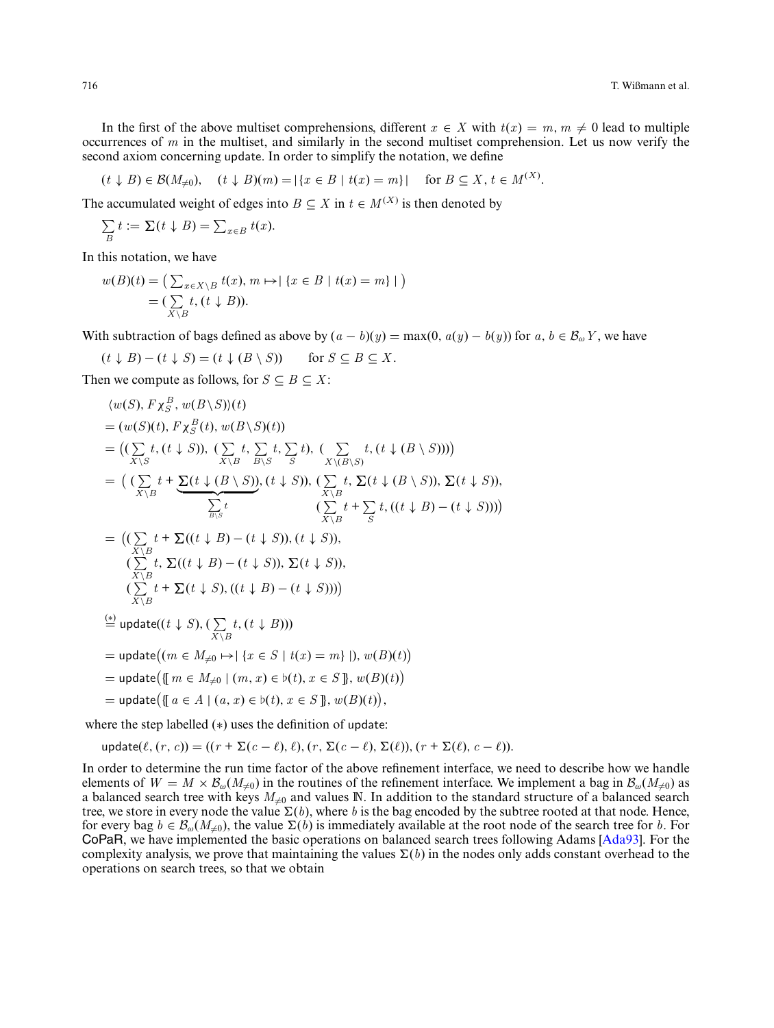In the first of the above multiset comprehensions, different  $x \in X$  with  $t(x) = m, m \neq 0$  lead to multiple occurrences of *m* in the multiset, and similarly in the second multiset comprehension. Let us now verify the second axiom concerning update. In order to simplify the notation, we define

$$
(t \downarrow B) \in \mathcal{B}(M_{\neq 0}), \quad (t \downarrow B)(m) = |\{x \in B \mid t(x) = m\}| \quad \text{ for } B \subseteq X, t \in M^{(X)}.
$$

The accumulated weight of edges into *B*  $\subseteq$  *X* in *t*  $\in$  *M*<sup>(*X*)</sup> is then denoted by

$$
\sum_{B} t := \sum (t \downarrow B) = \sum_{x \in B} t(x).
$$

In this notation, we have

$$
w(B)(t) = \left(\sum_{x \in X \setminus B} t(x), m \mapsto \mid \{x \in B \mid t(x) = m\} \mid\right)
$$

$$
= \left(\sum_{X \setminus B} t, (t \downarrow B)\right).
$$

With subtraction of bags defined as above by  $(a - b)(y) = \max(0, a(y) - b(y))$  for  $a, b \in \mathcal{B}_{\omega}Y$ , we have

$$
(t \downarrow B) - (t \downarrow S) = (t \downarrow (B \setminus S)) \quad \text{for } S \subseteq B \subseteq X.
$$

Then we compute as follows, for  $S \subseteq B \subseteq X$ :

$$
\langle w(S), F\chi_{S}^{B}, w(B\backslash S)\rangle(t)
$$
  
\n
$$
= (w(S)(t), F\chi_{S}^{B}(t), w(B\backslash S)(t))
$$
  
\n
$$
= ((\sum_{X\backslash S} t, (t \downarrow S)), (\sum_{X\backslash B} t, \sum_{B\backslash S} t), (\sum_{X\backslash (B\backslash S)} t, (t \downarrow (B \backslash S)))
$$
  
\n
$$
= ((\sum_{X\backslash B} t + \sum (t \downarrow (B \backslash S)), (t \downarrow S)), (\sum_{X\backslash B} t, \sum (t \downarrow (B \backslash S)), \sum (t \downarrow S)),
$$
  
\n
$$
\sum_{B\backslash S} t \qquad (\sum_{X\backslash B} t + \sum_{S} t, ((t \downarrow B) - (t \downarrow S)))
$$
  
\n
$$
= ((\sum_{X\backslash B} t + \sum ((t \downarrow B) - (t \downarrow S)), (t \downarrow S)),
$$
  
\n
$$
(\sum_{X\backslash B} t, \sum ((t \downarrow B) - (t \downarrow S)), \sum (t \downarrow S)),
$$
  
\n
$$
(\sum_{X\backslash B} t + \sum (t \downarrow S), ((t \downarrow B) - (t \downarrow S))))
$$
  
\n
$$
= \text{update}((t \downarrow S), (\sum_{X\backslash B} t, (t \downarrow B)))
$$
  
\n
$$
= \text{update}((m \in M_{\neq 0} \mapsto | \{x \in S \mid t(x) = m\} |), w(B)(t))
$$
  
\n
$$
= \text{update}(\{m \in M_{\neq 0} \mid (m, x) \in b(t), x \in S\}, w(B)(t))
$$

 $=$  update $($ {{ $a \in A \mid (a, x) \in b(t), x \in S$ }},  $w(B)(t)$ ),

where the step labelled (∗) uses the definition of update:

update( $\ell$ ,  $(r, c)$ ) = ( $(r + \Sigma(c - \ell), \ell)$ ,  $(r, \Sigma(c - \ell), \Sigma(\ell))$ ,  $(r + \Sigma(\ell), c - \ell)$ ).

In order to determine the run time factor of the above refinement interface, we need to describe how we handle elements of  $W = M \times \mathcal{B}_{\omega}(M_{\neq 0})$  in the routines of the refinement interface. We implement a bag in  $\mathcal{B}_{\omega}(M_{\neq 0})$  as a balanced search tree with keys  $M_{\neq 0}$  and values N. In addition to the standard structure of a balanced search tree, we store in every node the value  $\Sigma(b)$ , where *b* is the bag encoded by the subtree rooted at that node. Hence, for every bag  $b \in \mathcal{B}_{\omega}(M_{\neq 0})$ , the value  $\Sigma(b)$  is immediately available at the root node of the search tree for *b*. For CoPaR, we have implemented the basic operations on balanced search trees following Adams [\[Ada93\]](#page-30-3). For the complexity analysis, we prove that maintaining the values  $\Sigma(b)$  in the nodes only adds constant overhead to the operations on search trees, so that we obtain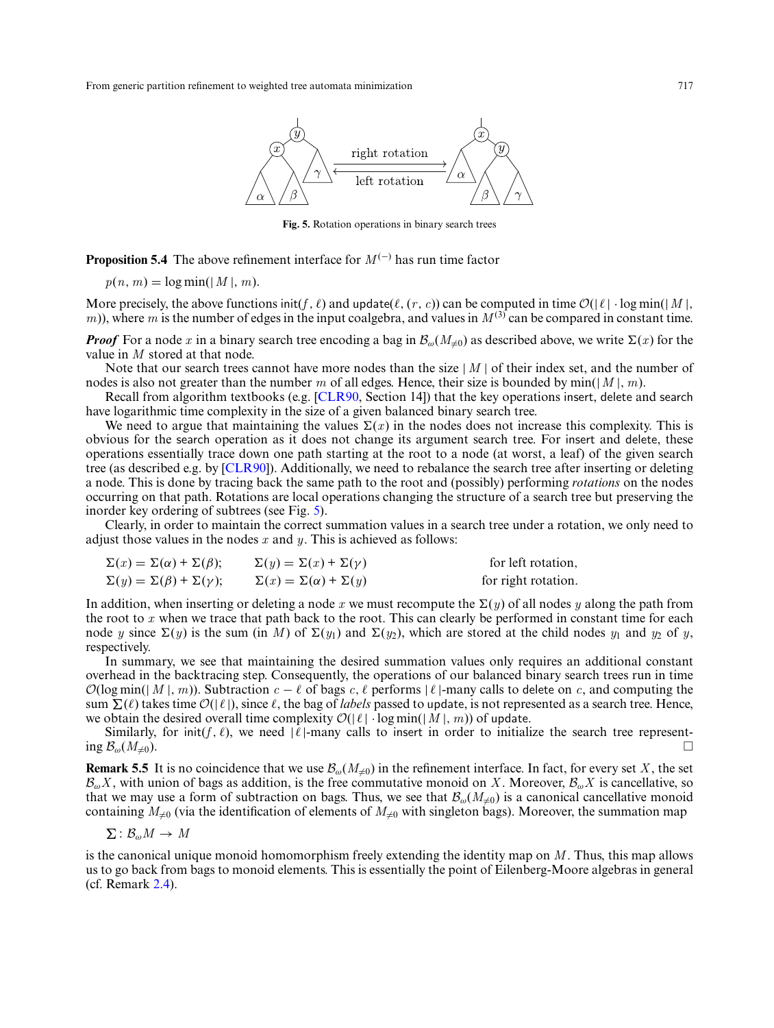<span id="page-22-0"></span>

**Fig. 5.** Rotation operations in binary search trees

<span id="page-22-1"></span>**Proposition 5.4** The above refinement interface for  $M^{(-)}$  has run time factor

$$
p(n, m) = \log \min(|M|, m).
$$

More precisely, the above functions init(f,  $\ell$ ) and update( $\ell$ ,  $(r, c)$ ) can be computed in time  $\mathcal{O}(|\ell| \cdot \log \min(|M|,$  $(m)$ ), where *m* is the number of edges in the input coalgebra, and values in  $M^{(3)}$  can be compared in constant time.

*Proof* For a node x in a binary search tree encoding a bag in  $\mathcal{B}_{\omega}(M_{\neq 0})$  as described above, we write  $\Sigma(x)$  for the value in *M* stored at that node.

Note that our search trees cannot have more nodes than the size | *M* | of their index set, and the number of nodes is also not greater than the number *m* of all edges. Hence, their size is bounded by min(|*M* |, *m*).

Recall from algorithm textbooks (e.g. [\[CLR90,](#page-31-22) Section 14]) that the key operations insert, delete and search have logarithmic time complexity in the size of a given balanced binary search tree.

We need to argue that maintaining the values  $\Sigma(x)$  in the nodes does not increase this complexity. This is obvious for the search operation as it does not change its argument search tree. For insert and delete, these operations essentially trace down one path starting at the root to a node (at worst, a leaf) of the given search tree (as described e.g. by [\[CLR90\]](#page-31-22)). Additionally, we need to rebalance the search tree after inserting or deleting a node. This is done by tracing back the same path to the root and (possibly) performing *rotations* on the nodes occurring on that path. Rotations are local operations changing the structure of a search tree but preserving the inorder key ordering of subtrees (see Fig. [5\)](#page-22-0).

Clearly, in order to maintain the correct summation values in a search tree under a rotation, we only need to adjust those values in the nodes *x* and *y*. This is achieved as follows:

| $\Sigma(x) = \Sigma(\alpha) + \Sigma(\beta);$ | $\Sigma(y) = \Sigma(x) + \Sigma(y)$      | for left rotation,  |
|-----------------------------------------------|------------------------------------------|---------------------|
| $\Sigma(y) = \Sigma(\beta) + \Sigma(\gamma);$ | $\Sigma(x) = \Sigma(\alpha) + \Sigma(y)$ | for right rotation. |

In addition, when inserting or deleting a node x we must recompute the  $\Sigma(y)$  of all nodes y along the path from the root to *x* when we trace that path back to the root. This can clearly be performed in constant time for each node *y* since  $\Sigma(y)$  is the sum (in *M*) of  $\Sigma(y_1)$  and  $\Sigma(y_2)$ , which are stored at the child nodes  $y_1$  and  $y_2$  of *y*, respectively.

In summary, we see that maintaining the desired summation values only requires an additional constant overhead in the backtracing step. Consequently, the operations of our balanced binary search trees run in time  $\mathcal{O}(\log \min(|M|, m))$ . Subtraction  $c - \ell$  of bags  $c, \ell$  performs  $|\ell|$ -many calls to delete on *c*, and computing the sum  $\Sigma(\ell)$  takes time  $\mathcal{O}(|\ell|)$ , since  $\ell$ , the bag of *labels* passed to update, is not represented as a search tree. Hence, we obtain the desired overall time complexity  $\mathcal{O}(|\ell| \cdot \log \min(|M|, m))$  of update.

Similarly, for init(*f*,  $\ell$ ), we need  $|\ell|$ -many calls to insert in order to initialize the search tree represent-<br>ing  $\mathcal{B}_{\omega}(M_{\neq 0})$ .  $\log \mathcal{B}_{\omega}(M_{\neq 0}).$ 

**Remark 5.5** It is no coincidence that we use  $\mathcal{B}_{\omega}(M_{\neq 0})$  in the refinement interface. In fact, for every set *X*, the set  $\mathcal{B}_{\omega}X$ , with union of bags as addition, is the free commutative monoid on *X*. Moreover,  $\mathcal{B}_{\omega}X$  is cancellative, so that we may use a form of subtraction on bags. Thus, we see that  $\mathcal{B}_{\omega}(M_{\neq 0})$  is a canonical cancellative monoid containing  $M_{\neq 0}$  (via the identification of elements of  $M_{\neq 0}$  with singleton bags). Moreover, the summation map

$$
\Sigma: \mathcal{B}_{\omega}M \to M
$$

is the canonical unique monoid homomorphism freely extending the identity map on *M* . Thus, this map allows us to go back from bags to monoid elements. This is essentially the point of Eilenberg-Moore algebras in general (cf. Remark [2.4\)](#page-4-4).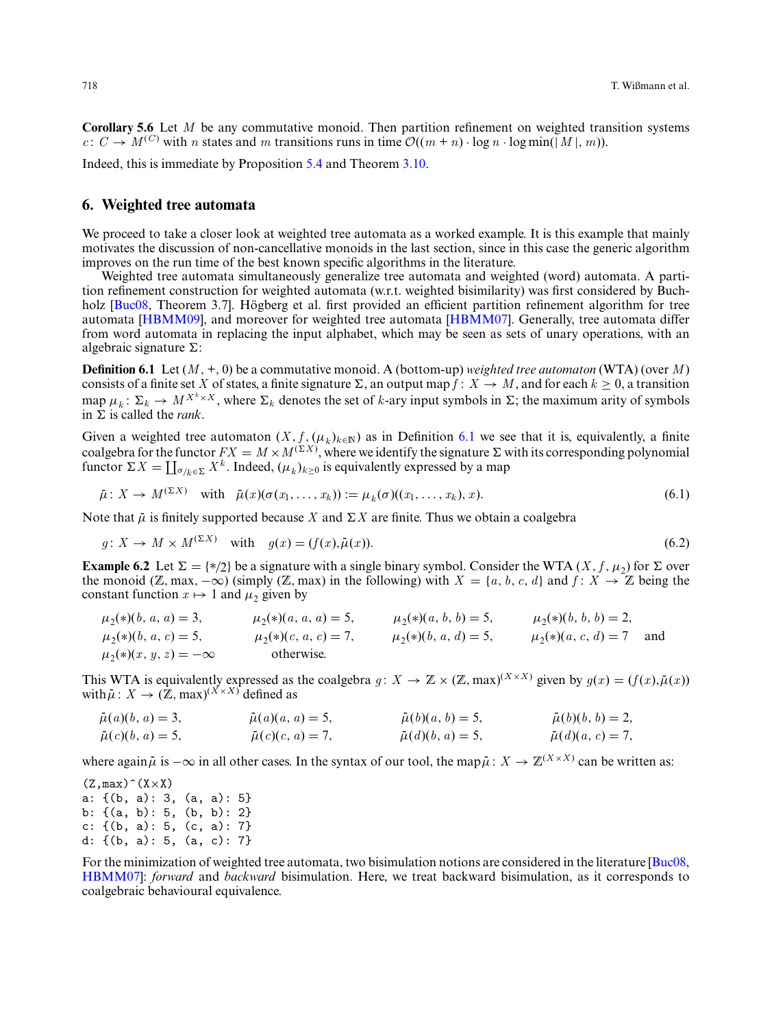**Corollary 5.6** Let *M* be any commutative monoid. Then partition refinement on weighted transition systems  $c: C \rightarrow M^{(C)}$  with *n* states and *m* transitions runs in time  $\mathcal{O}((m + n) \cdot \log n \cdot \log \min(|M|, m))$ .

Indeed, this is immediate by Proposition [5.4](#page-22-1) and Theorem [3.10.](#page-12-1)

# <span id="page-23-0"></span>**6. Weighted tree automata**

We proceed to take a closer look at weighted tree automata as a worked example. It is this example that mainly motivates the discussion of non-cancellative monoids in the last section, since in this case the generic algorithm improves on the run time of the best known specific algorithms in the literature.

Weighted tree automata simultaneously generalize tree automata and weighted (word) automata. A partition refinement construction for weighted automata (w.r.t. weighted bisimilarity) was first considered by Buch-holz [\[Buc08,](#page-31-10) Theorem 3.7]. Högberg et al. first provided an efficient partition refinement algorithm for tree automata [\[HBMM09\]](#page-31-21), and moreover for weighted tree automata [\[HBMM07\]](#page-31-11). Generally, tree automata differ from word automata in replacing the input alphabet, which may be seen as sets of unary operations, with an algebraic signature  $\Sigma$ :

<span id="page-23-1"></span>**Definition 6.1** Let (*M* ,+, 0) be a commutative monoid. A (bottom-up) *weighted tree automaton* (WTA) (over *M* ) consists of a finite set *X* of states, a finite signature  $\Sigma$ , an output map  $\overline{f}$  :  $X \to M$ , and for each  $k \ge 0$ , a transition map  $\mu_k: \Sigma_k \to M^{X^k \times X}$ , where  $\Sigma_k$  denotes the set of *k*-ary input symbols in  $\Sigma$ ; the maximum arity of symbols in  $\sum$  is called the *rank*.

Given a weighted tree automaton  $(X, f, (\mu_k)_{k \in \mathbb{N}})$  as in Definition [6.1](#page-23-1) we see that it is, equivalently, a finite coalgebra for the functor  $FX = M \times M^{(\Sigma X)}$ , where we identify the signature  $\Sigma$  with its corresponding polynomial functor  $\Sigma X = \coprod_{\sigma/k \in \Sigma} X^k$ . Indeed,  $(\mu_k)_{k \geq 0}$  is equivalently expressed by a map

<span id="page-23-3"></span>
$$
\bar{\mu}: X \to M^{(\Sigma X)} \quad \text{with} \quad \bar{\mu}(x)(\sigma(x_1, \ldots, x_k)) := \mu_k(\sigma)((x_1, \ldots, x_k), x). \tag{6.1}
$$

Note that  $\bar{\mu}$  is finitely supported because *X* and  $\Sigma X$  are finite. Thus we obtain a coalgebra

$$
g: X \to M \times M^{(\Sigma X)} \quad \text{with} \quad g(x) = (f(x), \bar{\mu}(x)). \tag{6.2}
$$

<span id="page-23-2"></span>**Example 6.2** Let  $\Sigma = \{*/2\}$  be a signature with a single binary symbol. Consider the WTA  $(X, f, \mu)$  for  $\Sigma$  over the monoid (Z, max,  $-\infty$ ) (simply (Z, max) in the following) with  $X = \{a, b, c, d\}$  and  $f: X \to \mathbb{Z}$  being the constant function  $x \mapsto 1$  and  $\mu_2$  given by

| $\mu_2(*)$ $(b, a, a) = 3,$      | $\mu_2(*)$ $(a, a, a) = 5$ , | $\mu_2(*)$ $(a, b, b) = 5$ , | $\mu_2(*)$ $(b, b, b) = 2,$ |     |
|----------------------------------|------------------------------|------------------------------|-----------------------------|-----|
| $\mu_2(*)$ $(b, a, c) = 5$ ,     | $\mu_2(*)$ $(c, a, c) = 7$ , | $\mu_2(*)$ $(b, a, d) = 5$ , | $\mu_2(*)$ $(a, c, d) = 7$  | and |
| $\mu_2(*)$ $(x, y, z) = -\infty$ | otherwise.                   |                              |                             |     |

This WTA is equivalently expressed as the coalgebra  $g: X \to \mathbb{Z} \times (\mathbb{Z}, \max)^{(X \times X)}$  given by  $g(x) = (f(x), \bar{\mu}(x))$  with  $\bar{\mu}: X \to (\mathbb{Z}, \max)^{(X \times X)}$  defined as

| $\bar{\mu}(a)(b, a) = 3,$ | $\bar{\mu}(a)(a, a) = 5,$ | $\bar{\mu}(b)(a, b) = 5,$ | $\bar{\mu}(b)(b, b) = 2,$ |
|---------------------------|---------------------------|---------------------------|---------------------------|
| $\bar{\mu}(c)(b, a) = 5,$ | $\bar{\mu}(c)(c, a) = 7,$ | $\bar{\mu}(d)(b, a) = 5,$ | $\bar{\mu}(d)(a, c) = 7,$ |

where again  $\bar{\mu}$  is  $-\infty$  in all other cases. In the syntax of our tool, the map  $\bar{\mu}: X \to \mathbb{Z}^{(X \times X)}$  can be written as:

 $(Z, max)$   $\hat{(X} \times X)$ a: {(b, a): 3, (a, a): 5} b: {(a, b): 5, (b, b): 2} c: {(b, a): 5, (c, a): 7} d: {(b, a): 5, (a, c): 7}

For the minimization of weighted tree automata, two bisimulation notions are considered in the literature [\[Buc08,](#page-31-10) [HBMM07\]](#page-31-11): *forward* and *backward* bisimulation. Here, we treat backward bisimulation, as it corresponds to coalgebraic behavioural equivalence.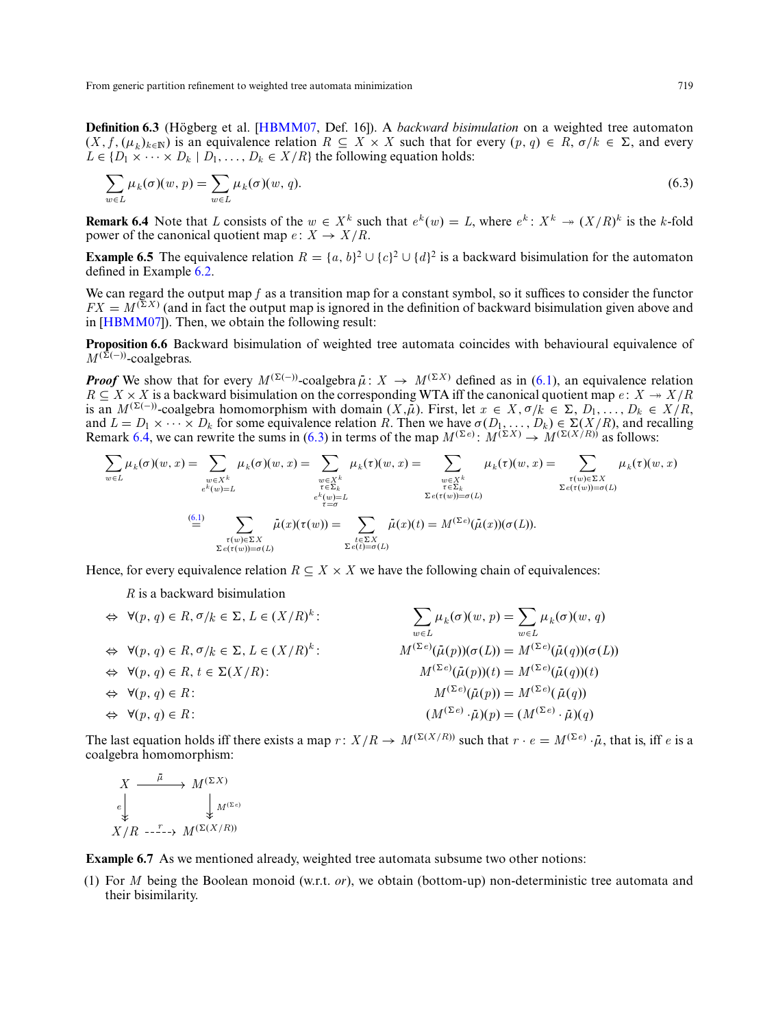**Definition 6.3** (Högberg et al. [[HBMM07,](#page-31-11) Def. 16]). A *backward bisimulation* on a weighted tree automaton  $(X, f, (\mu_k)_{k \in \mathbb{N}})$  is an equivalence relation  $R \subseteq X \times X$  such that for every  $(p, q) \in R$ ,  $\sigma/k \in \Sigma$ , and every  $L \in \{D_1 \times \cdots \times D_k \mid D_1, \ldots, D_k \in X/R\}$  the following equation holds:

<span id="page-24-1"></span>
$$
\sum_{w \in L} \mu_k(\sigma)(w, p) = \sum_{w \in L} \mu_k(\sigma)(w, q). \tag{6.3}
$$

<span id="page-24-0"></span>**Remark 6.4** Note that L consists of the  $w \in X^k$  such that  $e^k(w) = L$ , where  $e^k: X^k \to (X/R)^k$  is the k-fold power of the canonical quotient map  $e: X \to X/R$ .

**Example 6.5** The equivalence relation  $R = \{a, b\}^2 \cup \{c\}^2 \cup \{d\}^2$  is a backward bisimulation for the automaton defined in Example [6.2.](#page-23-2)

We can regard the output map *f* as a transition map for a constant symbol, so it suffices to consider the functor  $FX = M^{(\Sigma X)}$  (and in fact the output map is ignored in the definition of backward bisimulation given above and in [\[HBMM07\]](#page-31-11)). Then, we obtain the following result:

**Proposition 6.6** Backward bisimulation of weighted tree automata coincides with behavioural equivalence of  $M^{(\bar{\Sigma}(-))}$ -coalgebras.

*Proof* We show that for every  $M^{(\Sigma(-))}$ -coalgebra  $\bar{\mu}: X \to M^{(\Sigma X)}$  defined as in [\(6.1\)](#page-23-3), an equivalence relation  $R \subseteq X \times X$  is a backward bisimulation on the corresponding WTA iff the canonical quotient map  $e: X \to X/R$ is an  $M^{(\Sigma(-))}$ -coalgebra homomorphism with domain  $(X,\bar{\mu})$ . First, let  $x \in X, \sigma/k \in \Sigma$ ,  $D_1, \ldots, D_k \in X/R$ , and  $L = D_1 \times \cdots \times D_k$  for some equivalence relation *R*. Then we have  $\sigma(D_1, \ldots, D_k) \in \Sigma(X/R)$ , and recalling Remark [6.4,](#page-24-0) we can rewrite the sums in [\(6.3\)](#page-24-1) in terms of the map  $M^{(\Sigma e)}$ :  $M^{(\Sigma X)} \to M^{(\Sigma(X/R))}$  as follows:

$$
\sum_{w \in L} \mu_k(\sigma)(w, x) = \sum_{\substack{w \in X^k \\ e^k(w) = L}} \mu_k(\sigma)(w, x) = \sum_{\substack{w \in X^k \\ e^k(w) = L}} \mu_k(\tau)(w, x) = \sum_{\substack{w \in X^k \\ e^k(w) = L \\ e^k(w) = \sigma(L)}} \mu_k(\tau)(w, x) = \sum_{\substack{w \in X^k \\ \tau \in \Sigma_k \\ \Sigma e(\tau(w)) = \sigma(L)}} \mu_k(\tau)(w, x) = \sum_{\substack{w \in X^k \\ \Sigma e(\tau(w)) = \sigma(L)}} \mu_k(\tau)(w, x) = \sum_{\substack{w \in X^k \\ \Sigma e(\tau(w)) = \sigma(L)}} \mu_k(\tau)(w, x)
$$

Hence, for every equivalence relation  $R \subseteq X \times X$  we have the following chain of equivalences:

*R* is a backward bisimulation

$$
\Leftrightarrow \forall (p, q) \in R, \sigma/k \in \Sigma, L \in (X/R)^k: \qquad \qquad \sum_{w \in L} \mu_k(\sigma)(w, p) = \sum_{w \in L} \mu_k(\sigma)(w, q)
$$
  
\n
$$
\Leftrightarrow \forall (p, q) \in R, \sigma/k \in \Sigma, L \in (X/R)^k: \qquad \qquad M^{(\Sigma e)}(\bar{\mu}(p))(\sigma(L)) = M^{(\Sigma e)}(\bar{\mu}(q))(\sigma(L))
$$
  
\n
$$
\Leftrightarrow \forall (p, q) \in R: \qquad \qquad M^{(\Sigma e)}(\bar{\mu}(p))(t) = M^{(\Sigma e)}(\bar{\mu}(q))(t)
$$
  
\n
$$
\Leftrightarrow \forall (p, q) \in R: \qquad \qquad M^{(\Sigma e)}(\bar{\mu}(p)) = M^{(\Sigma e)}(\bar{\mu}(q))
$$
  
\n
$$
\Leftrightarrow \forall (p, q) \in R: \qquad \qquad M^{(\Sigma e)}(\bar{\mu}(p)) = M^{(\Sigma e)}(\bar{\mu}(q))
$$
  
\n
$$
\Leftrightarrow \forall (p, q) \in R: \qquad \qquad M^{(\Sigma e)}(\bar{\mu}(p)) = M^{(\Sigma e)}(\bar{\mu}(q))
$$

The last equation holds iff there exists a map  $r: X/R \to M^{(\Sigma(X/R))}$  such that  $r \cdot e = M^{(\Sigma e)} \cdot \bar{\mu}$ , that is, iff *e* is a coalgebra homomorphism:

$$
X \xrightarrow{\bar{\mu}} M^{(\Sigma X)} \\
\downarrow_e \qquad \qquad \downarrow_{M^{(\Sigma e)}} \\
X/R \xrightarrow{\Gamma} \neg Y \xrightarrow{M^{(\Sigma(X/R))}}
$$

**Example 6.7** As we mentioned already, weighted tree automata subsume two other notions:

(1) For *M* being the Boolean monoid (w.r.t. *or*), we obtain (bottom-up) non-deterministic tree automata and their bisimilarity.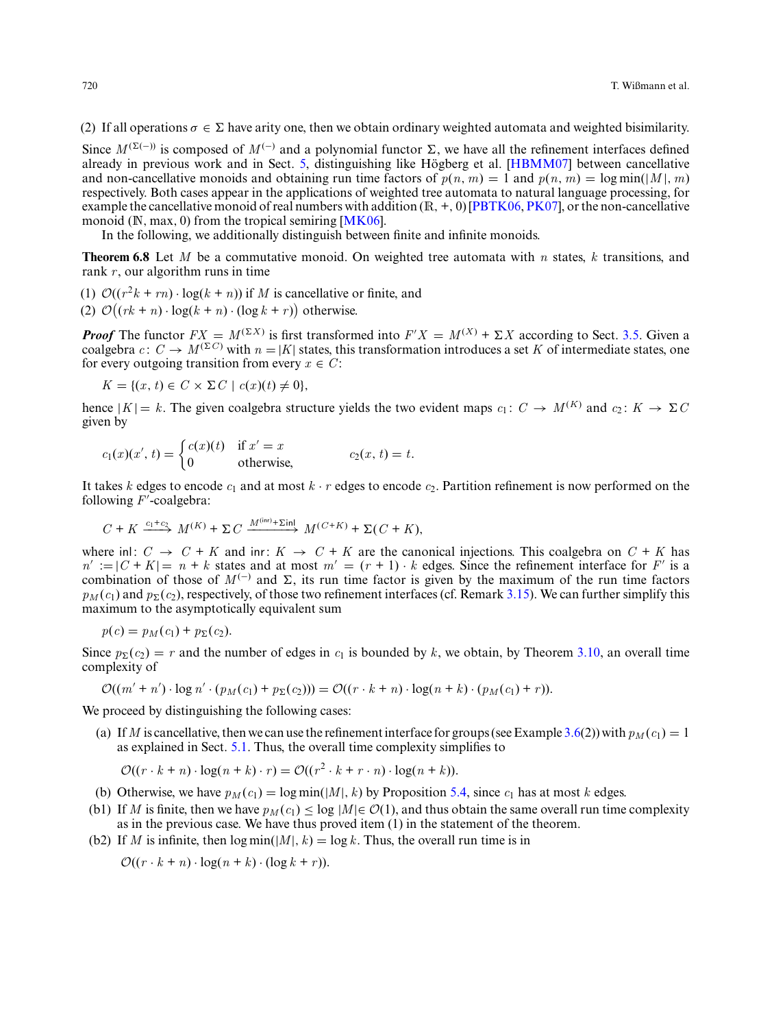(2) If all operations  $\sigma \in \Sigma$  have arity one, then we obtain ordinary weighted automata and weighted bisimilarity.

Since  $M^{(\Sigma(-))}$  is composed of  $M^{(-)}$  and a polynomial functor  $\Sigma$ , we have all the refinement interfaces defined already in previous work and in Sect. [5,](#page-18-1) distinguishing like Högberg et al. [ $HBMM07$ ] between cancellative and non-cancellative monoids and obtaining run time factors of  $p(n, m) = 1$  and  $p(n, m) = \log \min(|M|, m)$ respectively. Both cases appear in the applications of weighted tree automata to natural language processing, for example the cancellative monoid of real numbers with addition  $(R, +, 0)$  [\[PBTK06,](#page-31-23) [PK07\]](#page-31-24), or the non-cancellative monoid ( $\mathbb{N}$ , max, 0) from the tropical semiring [ $\mathbf{MK06}$ ].

<span id="page-25-0"></span>In the following, we additionally distinguish between finite and infinite monoids.

**Theorem 6.8** Let *M* be a commutative monoid. On weighted tree automata with *n* states, *k* transitions, and rank *r*, our algorithm runs in time

(1)  $\mathcal{O}((r^2k + rn) \cdot \log(k + n))$  if *M* is cancellative or finite, and

(2)  $\mathcal{O}((rk + n) \cdot \log(k + n) \cdot (\log k + r))$  otherwise.

*Proof* The functor  $FX = M^{(\Sigma X)}$  is first transformed into  $F'X = M^{(X)} + \Sigma X$  according to Sect. [3.5.](#page-12-0) Given a coalgebra  $c: C \to M^{(\Sigma C)}$  with  $n = |K|$  states, this transformation introduces a set *K* of intermediate states, one for every outgoing transition from every  $x \in C$ :

 $K = \{(x, t) \in C \times \Sigma C \mid c(x)(t) \neq 0\},\$ 

hence  $|K| = k$ . The given coalgebra structure yields the two evident maps  $c_1: C \to M^{(K)}$  and  $c_2: K \to \Sigma C$ given by

$$
c_1(x)(x', t) = \begin{cases} c(x)(t) & \text{if } x' = x \\ 0 & \text{otherwise,} \end{cases} c_2(x, t) = t.
$$

It takes *k* edges to encode  $c_1$  and at most  $k \cdot r$  edges to encode  $c_2$ . Partition refinement is now performed on the following *F* -coalgebra:

$$
C + K \xrightarrow{c_1+c_2} M^{(K)} + \Sigma C \xrightarrow{M^{(\text{inr})} + \Sigma \text{inl}} M^{(C+K)} + \Sigma (C+K),
$$

where inl:  $C \rightarrow C + K$  and inr:  $K \rightarrow C + K$  are the canonical injections. This coalgebra on  $C + K$  has  $n' := (C + K) = n + k$  states and at most  $m' = (r + 1) \cdot k$  edges. Since the refinement interface for *F'* is a combination of those of  $M^{(-)}$  and  $\Sigma$ , its run time factor is given by the maximum of the run time factors  $p_M(c_1)$  and  $p_{\Sigma}(c_2)$ , respectively, of those two refinement interfaces (cf. Remark [3.15\)](#page-16-0). We can further simplify this maximum to the asymptotically equivalent sum

$$
p(c) = pM(c1) + p\Sigma(c2).
$$

Since  $p_{\Sigma}(c_2) = r$  and the number of edges in  $c_1$  is bounded by k, we obtain, by Theorem [3.10,](#page-12-1) an overall time complexity of

$$
\mathcal{O}((m'+n')\cdot \log n'\cdot (p_M(c_1)+p_\Sigma(c_2)))=\mathcal{O}((r\cdot k+n)\cdot \log(n+k)\cdot (p_M(c_1)+r)).
$$

We proceed by distinguishing the following cases:

(a) If *M* is cancellative, then we can use the refinement interface for groups (see Example [3.6\(](#page-10-0)2)) with  $p_M(c_1) = 1$ as explained in Sect. [5.1.](#page-19-1) Thus, the overall time complexity simplifies to

$$
\mathcal{O}((r \cdot k + n) \cdot \log(n + k) \cdot r) = \mathcal{O}((r^2 \cdot k + r \cdot n) \cdot \log(n + k)).
$$

(b) Otherwise, we have  $p_M(c_1) = \log \min(|M|, k)$  by Proposition [5.4,](#page-22-1) since  $c_1$  has at most *k* edges.

- (b1) If *M* is finite, then we have  $p_M(c_1) \leq \log |M| \in \mathcal{O}(1)$ , and thus obtain the same overall run time complexity as in the previous case. We have thus proved item (1) in the statement of the theorem.
- (b2) If *M* is infinite, then  $\log \min(|M|, k) = \log k$ . Thus, the overall run time is in

 $\mathcal{O}((r \cdot k + n) \cdot \log(n + k) \cdot (\log k + r)).$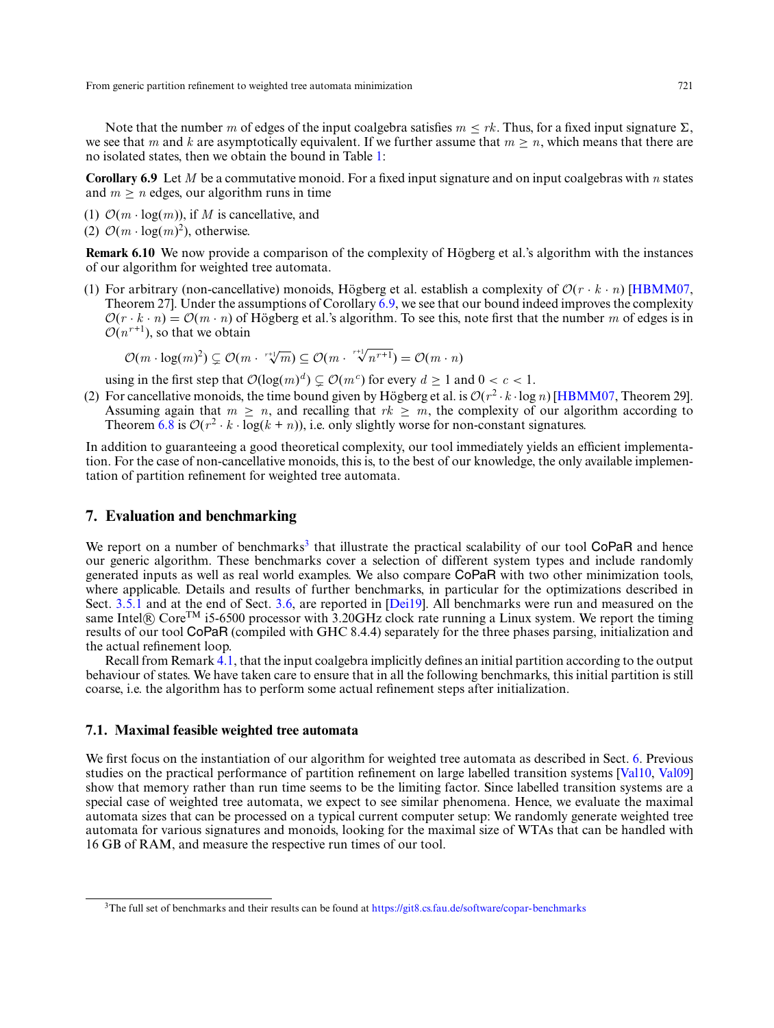Note that the number *m* of edges of the input coalgebra satisfies  $m \leq rk$ . Thus, for a fixed input signature  $\Sigma$ , we see that *m* and *k* are asymptotically equivalent. If we further assume that  $m \geq n$ , which means that there are no isolated states, then we obtain the bound in Table [1:](#page-19-0)

<span id="page-26-1"></span>**Corollary 6.9** Let *M* be a commutative monoid. For a fixed input signature and on input coalgebras with *n* states and  $m > n$  edges, our algorithm runs in time

- (1)  $\mathcal{O}(m \cdot \log(m))$ , if M is cancellative, and
- (2)  $\mathcal{O}(m \cdot \log(m)^2)$ , otherwise.

**Remark 6.10** We now provide a comparison of the complexity of Högberg et al.'s algorithm with the instances of our algorithm for weighted tree automata.

(1) For arbitrary (non-cancellative) monoids, Högberg et al. establish a complexity of  $\mathcal{O}(r \cdot k \cdot n)$  [\[HBMM07,](#page-31-11) Theorem 27]. Under the assumptions of Corollary [6.9,](#page-26-1) we see that our bound indeed improves the complexity  $\mathcal{O}(r \cdot k \cdot n) = \mathcal{O}(m \cdot n)$  of Högberg et al.'s algorithm. To see this, note first that the number m of edges is in  $O(n^{r+1})$ , so that we obtain

 $\mathcal{O}(m \cdot \log(m)^2) \subsetneq \mathcal{O}(m \cdot {r+1/m \choose m} \subseteq \mathcal{O}(m \cdot {r+1/m \choose n} = \mathcal{O}(m \cdot n)$ 

using in the first step that  $\mathcal{O}(\log(m)^d) \subsetneq \mathcal{O}(m^c)$  for every  $d \geq 1$  and  $0 < c < 1$ .

(2) For cancellative monoids, the time bound given by Högberg et al. is  $O(r^2 \cdot k \cdot \log n)$  [\[HBMM07,](#page-31-11) Theorem 29]. Assuming again that  $m \ge n$ , and recalling that  $rk \ge m$ , the complexity of our algorithm according to Theorem [6.8](#page-25-0) is  $O(r^2 \cdot k \cdot \log(k + n))$ , i.e. only slightly worse for non-constant signatures.

In addition to guaranteeing a good theoretical complexity, our tool immediately yields an efficient implementation. For the case of non-cancellative monoids, this is, to the best of our knowledge, the only available implementation of partition refinement for weighted tree automata.

# <span id="page-26-0"></span>**7. Evaluation and benchmarking**

We report on a number of benchmarks<sup>3</sup> that illustrate the practical scalability of our tool CoPaR and hence our generic algorithm. These benchmarks cover a selection of different system types and include randomly generated inputs as well as real world examples. We also compare CoPaR with two other minimization tools, where applicable. Details and results of further benchmarks, in particular for the optimizations described in Sect. [3.5.1](#page-13-1) and at the end of Sect. [3.6,](#page-17-0) are reported in [\[Dei19\]](#page-31-18). All benchmarks were run and measured on the same Intel® Core<sup>TM</sup> i5-6500 processor with 3.20GHz clock rate running a Linux system. We report the timing results of our tool CoPaR (compiled with GHC 8.4.4) separately for the three phases parsing, initialization and the actual refinement loop.

Recall from Remark [4.1,](#page-18-2) that the input coalgebra implicitly defines an initial partition according to the output behaviour of states. We have taken care to ensure that in all the following benchmarks, this initial partition is still coarse, i.e. the algorithm has to perform some actual refinement steps after initialization.

# **7.1. Maximal feasible weighted tree automata**

We first focus on the instantiation of our algorithm for weighted tree automata as described in Sect. [6.](#page-23-0) Previous studies on the practical performance of partition refinement on large labelled transition systems [\[Val10,](#page-32-5) [Val09\]](#page-32-1) show that memory rather than run time seems to be the limiting factor. Since labelled transition systems are a special case of weighted tree automata, we expect to see similar phenomena. Hence, we evaluate the maximal automata sizes that can be processed on a typical current computer setup: We randomly generate weighted tree automata for various signatures and monoids, looking for the maximal size of WTAs that can be handled with 16 GB of RAM, and measure the respective run times of our tool.

<sup>&</sup>lt;sup>3</sup>The full set of benchmarks and their results can be found at <https://git8.cs.fau.de/software/copar-benchmarks>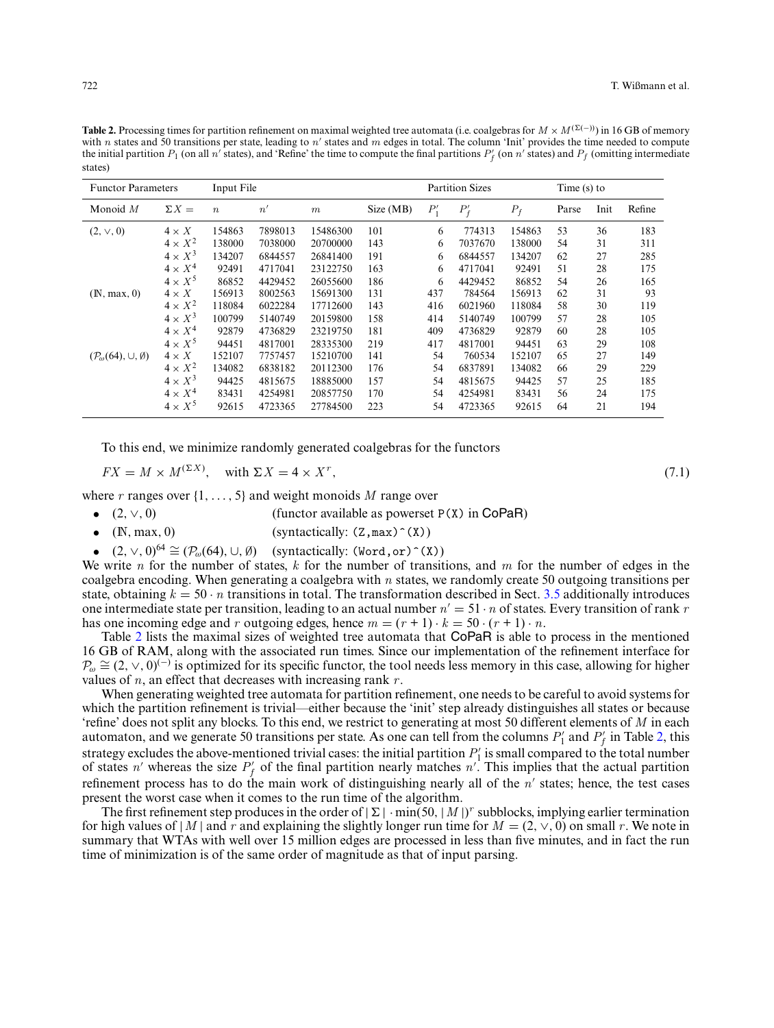<span id="page-27-0"></span>**Table 2.** Processing times for partition refinement on maximal weighted tree automata (i.e. coalgebras for  $M \times M^{(\Sigma(-))}$ ) in 16 GB of memory with *n* states and 50 transitions per state, leading to *n'* states and *m* edges in total. The column 'Init' provides the time needed to compute the initial partition  $P_1$  (on all *n'* states), and 'Refine' the time to compute the final partitions  $P'_f$  (on *n'* states) and  $P_f$  (omitting intermediate states)

| <b>Functor Parameters</b>                     |                | Input File       |         |          |           | <b>Partition Sizes</b> |         |        | Time $(s)$ to |      |        |
|-----------------------------------------------|----------------|------------------|---------|----------|-----------|------------------------|---------|--------|---------------|------|--------|
| Monoid $M$                                    | $\Sigma X =$   | $\boldsymbol{n}$ | n'      | m        | Size (MB) | $P_1'$                 | $P'_f$  | $P_f$  | Parse         | Init | Refine |
| $(2, \vee, 0)$                                | $4 \times X$   | 154863           | 7898013 | 15486300 | 101       | 6                      | 774313  | 154863 | 53            | 36   | 183    |
|                                               | $4 \times X^2$ | 138000           | 7038000 | 20700000 | 143       | 6                      | 7037670 | 138000 | 54            | 31   | 311    |
|                                               | $4 \times X^3$ | 134207           | 6844557 | 26841400 | 191       | 6                      | 6844557 | 134207 | 62            | 27   | 285    |
|                                               | $4 \times X^4$ | 92491            | 4717041 | 23122750 | 163       | 6                      | 4717041 | 92491  | 51            | 28   | 175    |
|                                               | $4 \times X^5$ | 86852            | 4429452 | 26055600 | 186       | 6                      | 4429452 | 86852  | 54            | 26   | 165    |
| (N, max, 0)                                   | $4 \times X$   | 156913           | 8002563 | 15691300 | 131       | 437                    | 784564  | 156913 | 62            | 31   | 93     |
|                                               | $4 \times X^2$ | 118084           | 6022284 | 17712600 | 143       | 416                    | 6021960 | 118084 | 58            | 30   | 119    |
|                                               | $4 \times X^3$ | 100799           | 5140749 | 20159800 | 158       | 414                    | 5140749 | 100799 | 57            | 28   | 105    |
|                                               | $4 \times X^4$ | 92879            | 4736829 | 23219750 | 181       | 409                    | 4736829 | 92879  | 60            | 28   | 105    |
|                                               | $4 \times X^5$ | 94451            | 4817001 | 28335300 | 219       | 417                    | 4817001 | 94451  | 63            | 29   | 108    |
| $(\mathcal{P}_{\omega}(64), \cup, \emptyset)$ | $4 \times X$   | 152107           | 7757457 | 15210700 | 141       | 54                     | 760534  | 152107 | 65            | 27   | 149    |
|                                               | $4 \times X^2$ | 134082           | 6838182 | 20112300 | 176       | 54                     | 6837891 | 134082 | 66            | 29   | 229    |
|                                               | $4 \times X^3$ | 94425            | 4815675 | 18885000 | 157       | 54                     | 4815675 | 94425  | 57            | 25   | 185    |
|                                               | $4 \times X^4$ | 83431            | 4254981 | 20857750 | 170       | 54                     | 4254981 | 83431  | 56            | 24   | 175    |
|                                               | $4 \times X^5$ | 92615            | 4723365 | 27784500 | 223       | 54                     | 4723365 | 92615  | 64            | 21   | 194    |

To this end, we minimize randomly generated coalgebras for the functors

$$
FX = M \times M^{(\Sigma X)}, \quad \text{with } \Sigma X = 4 \times X^r,
$$
\n
$$
(7.1)
$$

where *r* ranges over  $\{1, ..., 5\}$  and weight monoids *M* range over<br>
•  $(2, \vee, 0)$  (functor available as powerset)

- (2,  $\vee$ , 0) (functor available as powerset P(X) in CoPaR)<br>
 (IN, max, 0) (syntactically: (Z, max) ^(X))
- (syntactically:  $(Z, max)$ <sup> $\hat{ }(X))$ </sup>)
- $(2, \vee, 0)^{64} \cong (\mathcal{P}_{\omega}(64), \cup, \emptyset)$  (syntactically: (Word, or)<sup>^</sup>(X))

We write *n* for the number of states, *k* for the number of transitions, and *m* for the number of edges in the coalgebra encoding. When generating a coalgebra with *n* states, we randomly create 50 outgoing transitions per state, obtaining  $k = 50 \cdot n$  transitions in total. The transformation described in Sect. [3.5](#page-12-0) additionally introduces one intermediate state per transition, leading to an actual number  $n' = 51 \cdot n$  of states. Every transition of rank *r* has one incoming edge and r outgoing edges, hence  $m = (r + 1) \cdot k = 50 \cdot (r + 1) \cdot n$ .

Table [2](#page-27-0) lists the maximal sizes of weighted tree automata that CoPaR is able to process in the mentioned 16 GB of RAM, along with the associated run times. Since our implementation of the refinement interface for  $P_{\omega} \cong (2, \vee, 0)^{(-)}$  is optimized for its specific functor, the tool needs less memory in this case, allowing for higher values of *n*, an effect that decreases with increasing rank *r* .

When generating weighted tree automata for partition refinement, one needs to be careful to avoid systems for which the partition refinement is trivial—either because the 'init' step already distinguishes all states or because 'refine' does not split any blocks. To this end, we restrict to generating at most 50 different elements of *M* in each automaton, and we generate 50 transitions per state. As one can tell from the columns  $P'_1$  and  $P'_f$  in Table [2,](#page-27-0) this strategy excludes the above-mentioned trivial cases: the initial partition  $P'_1$  is small compared to the total number of states *n'* whereas the size  $P'_f$  of the final partition nearly matches *n'*. This implies that the actual partition refinement process has to do the main work of distinguishing nearly all of the *n'* states; hence, the test cases present the worst case when it comes to the run time of the algorithm.

The first refinement step produces in the order of  $|\Sigma| \cdot \min(50, |M|)^r$  subblocks, implying earlier termination for high values of  $|M|$  and *r* and explaining the slightly longer run time for  $M = (2, \vee, 0)$  on small *r*. We note in summary that WTAs with well over 15 million edges are processed in less than five minutes, and in fact the run time of minimization is of the same order of magnitude as that of input parsing.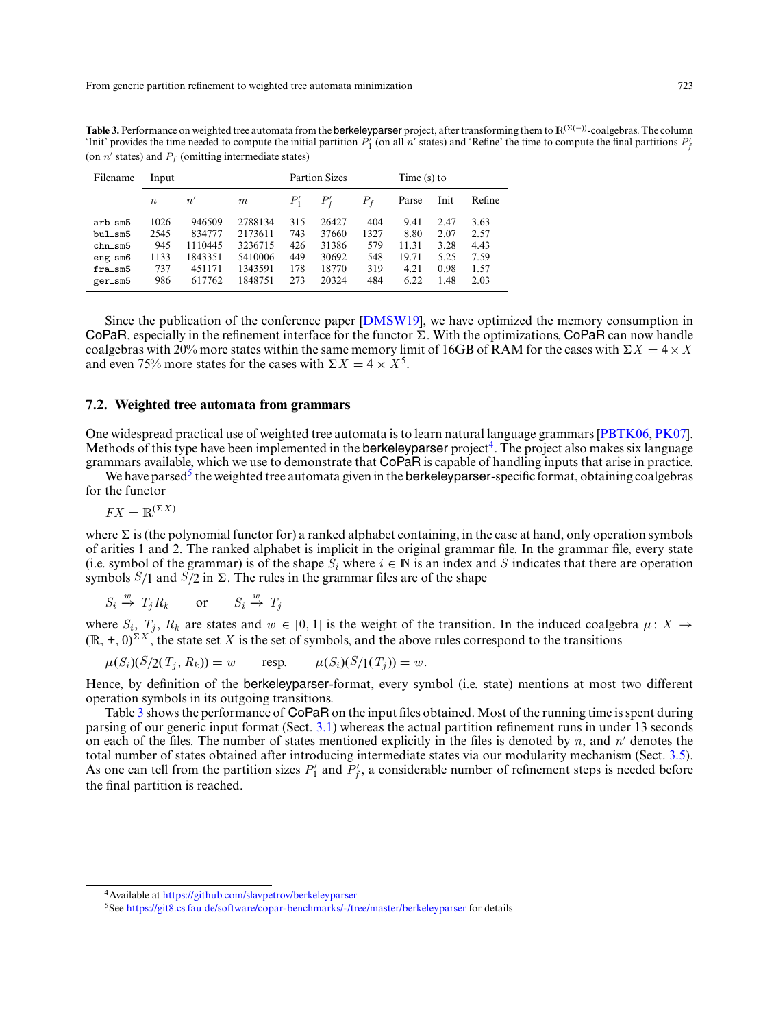| Filename      | Input    |         |         |        | <b>Partion Sizes</b> |       |       | Time $(s)$ to |        |  |
|---------------|----------|---------|---------|--------|----------------------|-------|-------|---------------|--------|--|
|               | $\it{n}$ | n'      | m       | $P_1'$ | $P'_f$               | $P_f$ | Parse | Init          | Refine |  |
| arb_sm5       | 1026     | 946509  | 2788134 | 315    | 26427                | 404   | 9.41  | 2.47          | 3.63   |  |
| $b$ ul_sm $5$ | 2545     | 834777  | 2173611 | 743    | 37660                | 1327  | 8.80  | 2.07          | 2.57   |  |
| $chn\_sm5$    | 945      | 1110445 | 3236715 | 426    | 31386                | 579   | 11.31 | 3.28          | 4.43   |  |
| $eng$ _ $sm6$ | 1133     | 1843351 | 5410006 | 449    | 30692                | 548   | 19.71 | 5.25          | 7.59   |  |
| fra_sm5       | 737      | 451171  | 1343591 | 178    | 18770                | 319   | 4.21  | 0.98          | 1.57   |  |
| ger_sm5       | 986      | 617762  | 1848751 | 273    | 20324                | 484   | 6.22  | 1.48          | 2.03   |  |

<span id="page-28-0"></span>Table 3. Performance on weighted tree automata from the berkeleyparser project, after transforming them to R<sup>(∑(−))</sup>-coalgebras. The column 'Init' provides the time needed to compute the initial partition  $P'_1$  (on all *n'* states) and 'Refine' the time to compute the final partitions  $P'_j$ (on  $n'$  states) and  $P_f$  (omitting intermediate states)

Since the publication of the conference paper [\[DMSW19\]](#page-31-13), we have optimized the memory consumption in CoPaR, especially in the refinement interface for the functor  $\Sigma$ . With the optimizations, CoPaR can now handle coalgebras with 20% more states within the same memory limit of 16GB of RAM for the cases with  $\Sigma X = 4 \times X$ and even 75% more states for the cases with  $\Sigma X = 4 \times X^5$ .

# **7.2. Weighted tree automata from grammars**

One widespread practical use of weighted tree automata is to learn natural language grammars [\[PBTK06,](#page-31-23) [PK07\]](#page-31-24). Methods of this type have been implemented in the berkeleyparser project<sup>4</sup>. The project also makes six language grammars available, which we use to demonstrate that CoPaR is capable of handling inputs that arise in practice.

We have parsed<sup>5</sup> the weighted tree automata given in the **berkeleyparser**-specific format, obtaining coalgebras for the functor

 $FX = \mathbb{R}^{(\Sigma X)}$ 

where  $\Sigma$  is (the polynomial functor for) a ranked alphabet containing, in the case at hand, only operation symbols of arities 1 and 2. The ranked alphabet is implicit in the original grammar file. In the grammar file, every state (i.e. symbol of the grammar) is of the shape  $S_i$  where  $i \in \mathbb{N}$  is an index and *S* indicates that there are operation symbols  $S/1$  and  $S/2$  in  $\Sigma$ . The rules in the grammar files are of the shape

 $S_i \stackrel{w}{\to} T_j R_k$  or  $S_i \stackrel{w}{\to} T_j$ 

where  $S_i$ ,  $T_j$ ,  $R_k$  are states and  $w \in [0, 1]$  is the weight of the transition. In the induced coalgebra  $\mu: X \to Y$  $(\mathbb{R}, +, 0)^{\Sigma X}$ , the state set *X* is the set of symbols, and the above rules correspond to the transitions

$$
\mu(S_i)(S/2(T_j, R_k)) = w
$$
 resp.  $\mu(S_i)(S/1(T_j)) = w$ .

Hence, by definition of the berkeleyparser-format, every symbol (i.e. state) mentions at most two different operation symbols in its outgoing transitions.

Table [3](#page-28-0) shows the performance of CoPaR on the input files obtained. Most of the running time is spent during parsing of our generic input format (Sect. [3.1\)](#page-4-1) whereas the actual partition refinement runs in under 13 seconds on each of the files. The number of states mentioned explicitly in the files is denoted by  $n$ , and  $n'$  denotes the total number of states obtained after introducing intermediate states via our modularity mechanism (Sect. [3.5\)](#page-12-0). As one can tell from the partition sizes  $P'_1$  and  $P'_f$ , a considerable number of refinement steps is needed before the final partition is reached.

<sup>4</sup>Available at <https://github.com/slavpetrov/berkeleyparser>

<sup>5</sup>See <https://git8.cs.fau.de/software/copar-benchmarks/-/tree/master/berkeleyparser> for details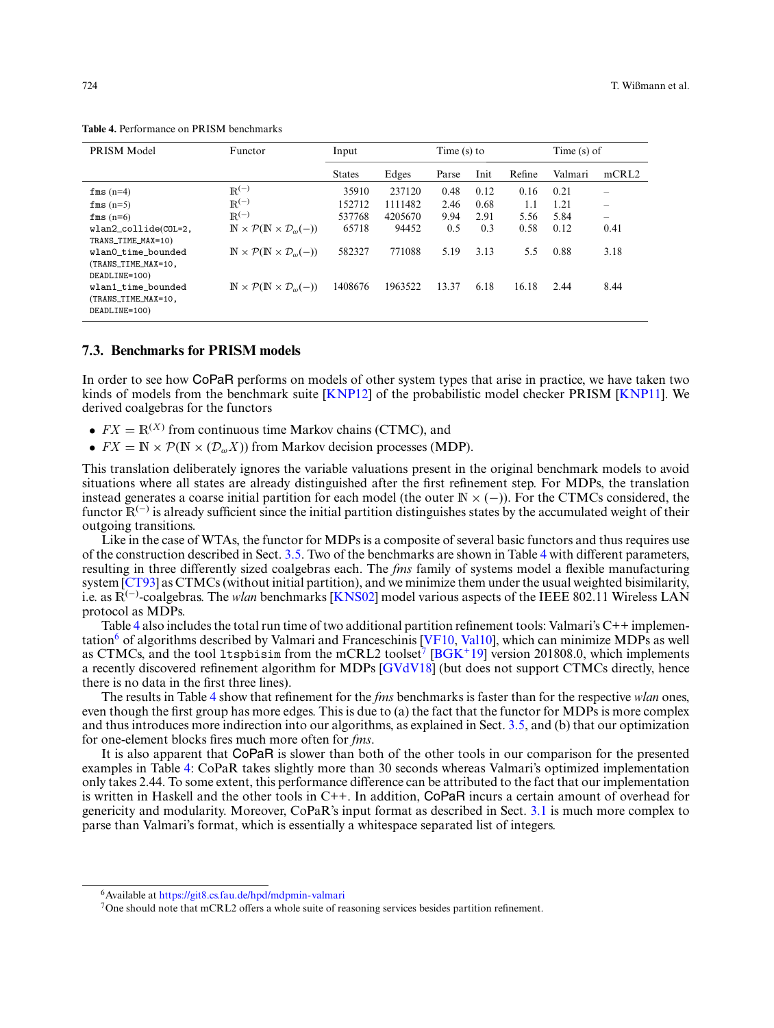| PRISM Model                                                | Functor                                                                    | Input         |         | Time $(s)$ to |      |        | Time $(s)$ of |                          |
|------------------------------------------------------------|----------------------------------------------------------------------------|---------------|---------|---------------|------|--------|---------------|--------------------------|
|                                                            |                                                                            | <b>States</b> | Edges   | Parse         | Init | Refine | Valmari       | mCRL2                    |
| $fms(n=4)$                                                 | $\mathbb{R}^{(-)}$                                                         | 35910         | 237120  | 0.48          | 0.12 | 0.16   | 0.21          | $\overline{\phantom{a}}$ |
| $fms(n=5)$                                                 | $R^{(-)}$                                                                  | 152712        | 1111482 | 2.46          | 0.68 | 1.1    | 1.21          | $\overline{\phantom{a}}$ |
| $fms(n=6)$                                                 | $R^{(-)}$                                                                  | 537768        | 4205670 | 9.94          | 2.91 | 5.56   | 5.84          |                          |
| wlan2_collide(COL=2,<br>TRANS_TIME_MAX=10)                 | $\mathbb{N} \times \mathcal{P}(\mathbb{N} \times \mathcal{D}_{\omega}(-))$ | 65718         | 94452   | 0.5           | 0.3  | 0.58   | 0.12          | 0.41                     |
| wlan0 time bounded<br>(TRANS_TIME_MAX=10,<br>DEADLINE=100) | $\mathbb{N} \times \mathcal{P}(\mathbb{N} \times \mathcal{D}_{\omega}(-))$ | 582327        | 771088  | 5.19          | 3.13 | 5.5    | 0.88          | 3.18                     |
| wlan1_time_bounded<br>(TRANS_TIME_MAX=10,<br>DEADLINE=100) | $\mathbb{N} \times \mathcal{P}(\mathbb{N} \times \mathcal{D}_{\omega}(-))$ | 1408676       | 1963522 | 13.37         | 6.18 | 16.18  | 2.44          | 8.44                     |

<span id="page-29-0"></span>**Table 4.** Performance on PRISM benchmarks

# **7.3. Benchmarks for PRISM models**

In order to see how CoPaR performs on models of other system types that arise in practice, we have taken two kinds of models from the benchmark suite [\[KNP12\]](#page-31-25) of the probabilistic model checker PRISM [\[KNP11\]](#page-31-26). We derived coalgebras for the functors

- $FX = \mathbb{R}^{(X)}$  from continuous time Markov chains (CTMC), and
- $FX = \mathbb{N} \times \mathcal{P}(\mathbb{N} \times (\mathcal{D}_{\omega} X))$  from Markov decision processes (MDP).

This translation deliberately ignores the variable valuations present in the original benchmark models to avoid situations where all states are already distinguished after the first refinement step. For MDPs, the translation instead generates a coarse initial partition for each model (the outer  $\mathbb{N} \times (-)$ ). For the CTMCs considered, the functor  $\mathbb{R}^{(-)}$  is already sufficient since the initial partition distinguishes states by the accumulated weight of their outgoing transitions.

Like in the case of WTAs, the functor for MDPs is a composite of several basic functors and thus requires use of the construction described in Sect. [3.5.](#page-12-0) Two of the benchmarks are shown in Table [4](#page-29-0) with different parameters, resulting in three differently sized coalgebras each. The *fms* family of systems model a flexible manufacturing system [\[CT93\]](#page-31-27) as CTMCs (without initial partition), and we minimize them under the usual weighted bisimilarity, i.e. as R(−) -coalgebras. The *wlan* benchmarks [\[KNS02\]](#page-31-28) model various aspects of the IEEE 802.11 Wireless LAN protocol as MDPs.

Table [4](#page-29-0) also includes the total run time of two additional partition refinement tools: Valmari's C++ implemen-tation<sup>6</sup> of algorithms described by Valmari and Franceschinis [\[VF10,](#page-32-2) [Val10\]](#page-32-5), which can minimize MDPs as well as CTMCs, and the tool 1tspbisim from the mCRL2 toolset<sup>7</sup> [\[BGK](#page-31-29)<sup>+</sup>19] version 201808.0, which implements a recently discovered refinement algorithm for MDPs [\[GVdV18\]](#page-31-9) (but does not support CTMCs directly, hence there is no data in the first three lines).

The results in Table [4](#page-29-0) show that refinement for the *fms* benchmarks is faster than for the respective *wlan* ones, even though the first group has more edges. This is due to (a) the fact that the functor for MDPs is more complex and thus introduces more indirection into our algorithms, as explained in Sect. [3.5,](#page-12-0) and (b) that our optimization for one-element blocks fires much more often for *fms*.

It is also apparent that CoPaR is slower than both of the other tools in our comparison for the presented examples in Table [4:](#page-29-0) CoPaR takes slightly more than 30 seconds whereas Valmari's optimized implementation only takes 2.44. To some extent, this performance difference can be attributed to the fact that our implementation is written in Haskell and the other tools in C++. In addition, CoPaR incurs a certain amount of overhead for genericity and modularity. Moreover, CoPaR's input format as described in Sect. [3.1](#page-4-1) is much more complex to parse than Valmari's format, which is essentially a whitespace separated list of integers.

<sup>6</sup>Available at <https://git8.cs.fau.de/hpd/mdpmin-valmari>

<sup>7</sup>One should note that mCRL2 offers a whole suite of reasoning services besides partition refinement.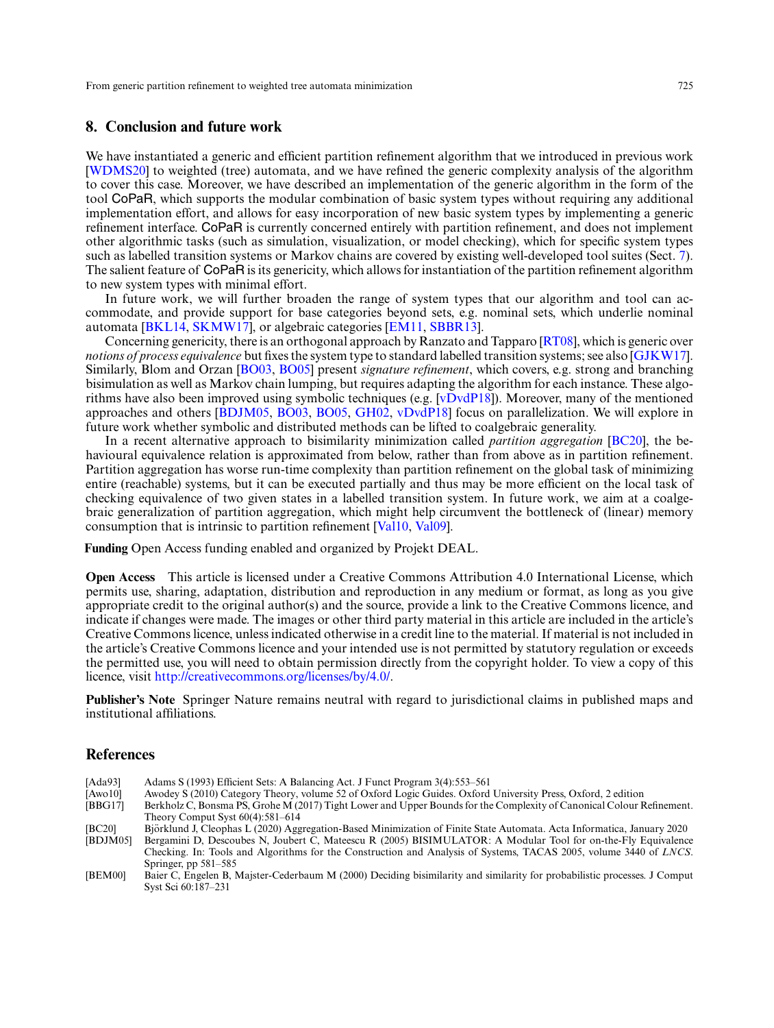# **8. Conclusion and future work**

We have instantiated a generic and efficient partition refinement algorithm that we introduced in previous work [\[WDMS20\]](#page-32-3) to weighted (tree) automata, and we have refined the generic complexity analysis of the algorithm to cover this case. Moreover, we have described an implementation of the generic algorithm in the form of the tool CoPaR, which supports the modular combination of basic system types without requiring any additional implementation effort, and allows for easy incorporation of new basic system types by implementing a generic refinement interface. CoPaR is currently concerned entirely with partition refinement, and does not implement other algorithmic tasks (such as simulation, visualization, or model checking), which for specific system types such as labelled transition systems or Markov chains are covered by existing well-developed tool suites (Sect. [7\)](#page-26-0). The salient feature of CoPaR is its genericity, which allows for instantiation of the partition refinement algorithm to new system types with minimal effort.

In future work, we will further broaden the range of system types that our algorithm and tool can accommodate, and provide support for base categories beyond sets, e.g. nominal sets, which underlie nominal automata [\[BKL14,](#page-31-30) [SKMW17\]](#page-32-6), or algebraic categories [\[EM11,](#page-31-31) [SBBR13\]](#page-32-7).

Concerning genericity, there is an orthogonal approach by Ranzato and Tapparo [\[RT08\]](#page-31-32), which is generic over *notions of process equivalence* but fixes the system type to standard labelled transition systems; see also [\[GJKW17\]](#page-31-33). Similarly, Blom and Orzan [\[BO03,](#page-31-34) [BO05\]](#page-31-35) present *signature refinement*, which covers, e.g. strong and branching bisimulation as well as Markov chain lumping, but requires adapting the algorithm for each instance. These algorithms have also been improved using symbolic techniques (e.g.  $[vDv dP18]$ ). Moreover, many of the mentioned approaches and others [\[BDJM05,](#page-30-4) [BO03,](#page-31-34) [BO05,](#page-31-35) [GH02,](#page-31-36) [vDvdP18\]](#page-32-8) focus on parallelization. We will explore in future work whether symbolic and distributed methods can be lifted to coalgebraic generality.

In a recent alternative approach to bisimilarity minimization called *partition aggregation* [\[BC20\]](#page-30-5), the behavioural equivalence relation is approximated from below, rather than from above as in partition refinement. Partition aggregation has worse run-time complexity than partition refinement on the global task of minimizing entire (reachable) systems, but it can be executed partially and thus may be more efficient on the local task of checking equivalence of two given states in a labelled transition system. In future work, we aim at a coalgebraic generalization of partition aggregation, which might help circumvent the bottleneck of (linear) memory consumption that is intrinsic to partition refinement [\[Val10,](#page-32-5) [Val09\]](#page-32-1).

**Funding** Open Access funding enabled and organized by Projekt DEAL.

**Open Access** This article is licensed under a Creative Commons Attribution 4.0 International License, which permits use, sharing, adaptation, distribution and reproduction in any medium or format, as long as you give appropriate credit to the original author(s) and the source, provide a link to the Creative Commons licence, and indicate if changes were made. The images or other third party material in this article are included in the article's Creative Commons licence, unless indicated otherwise in a credit line to the material. If material is not included in the article's Creative Commons licence and your intended use is not permitted by statutory regulation or exceeds the permitted use, you will need to obtain permission directly from the copyright holder. To view a copy of this licence, visit [http://creativecommons.org/licenses/by/4.0/.](http://creativecommons.org/licenses/by/4.0/)

**Publisher's Note** Springer Nature remains neutral with regard to jurisdictional claims in published maps and institutional affiliations.

# **References**

- <span id="page-30-3"></span>[Ada93] Adams S (1993) Efficient Sets: A Balancing Act. J Funct Program 3(4):553–561<br>[Awo10] Awodey S (2010) Category Theory, volume 52 of Oxford Logic Guides. Oxford
- <span id="page-30-1"></span>[Awo10] Awodey S (2010) Category Theory, volume 52 of Oxford Logic Guides. Oxford University Press, Oxford, 2 edition
- <span id="page-30-2"></span>Berkholz C, Bonsma PS, Grohe M (2017) Tight Lower and Upper Bounds for the Complexity of Canonical Colour Refinement. Theory Comput Syst 60(4):581–614
- <span id="page-30-5"></span>[BC20] Bjorklund J, Cleophas L (2020) Aggregation-Based Minimization of Finite State Automata. Acta Informatica, January 2020 ¨ Bergamini D, Descoubes N, Joubert C, Mateescu R (2005) BISIMULATOR: A Modular Tool for on-the-Fly Equivalence

<span id="page-30-4"></span>Checking. In: Tools and Algorithms for the Construction and Analysis of Systems, TACAS 2005, volume 3440 of *LNCS*. Springer, pp 581–585

<span id="page-30-0"></span><sup>[</sup>BEM00] Baier C, Engelen B, Majster-Cederbaum M (2000) Deciding bisimilarity and similarity for probabilistic processes. J Comput Syst Sci 60:187–231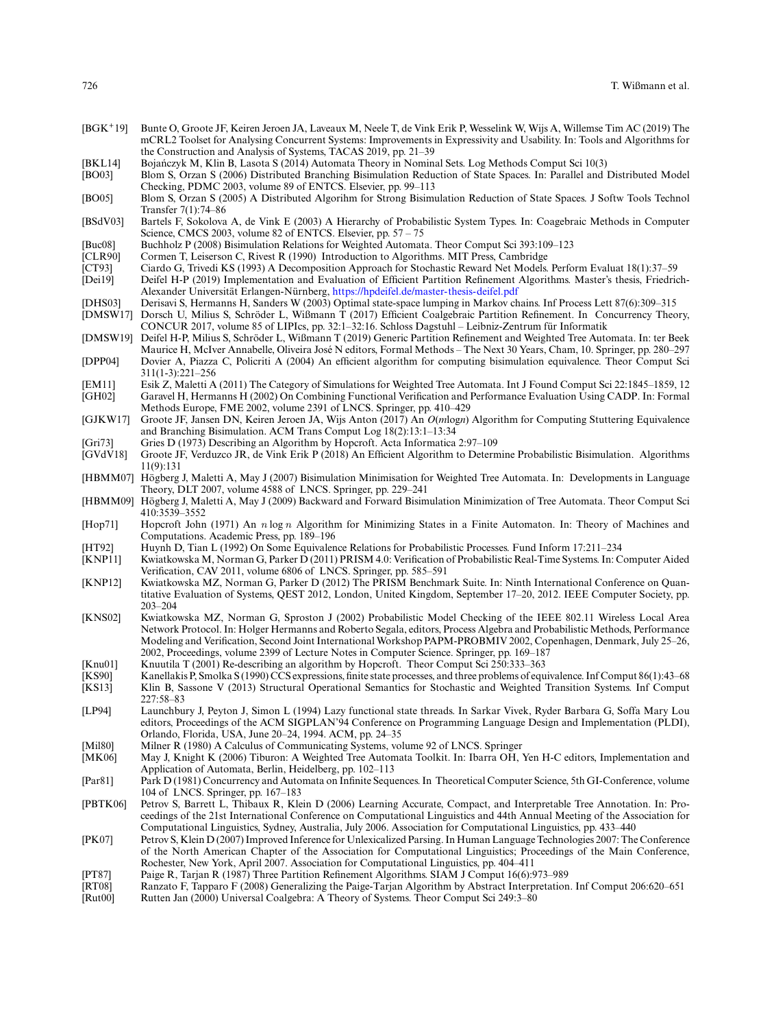- <span id="page-31-29"></span>[BGK+19] Bunte O, Groote JF, Keiren Jeroen JA, Laveaux M, Neele T, de Vink Erik P, Wesselink W, Wijs A, Willemse Tim AC (2019) The mCRL2 Toolset for Analysing Concurrent Systems: Improvements in Expressivity and Usability. In: Tools and Algorithms for the Construction and Analysis of Systems, TACAS 2019, pp. 21–39
- <span id="page-31-30"></span>[BKL14] Bojanczyk M, Klin B, Lasota S (2014) Automata Theory in Nominal Sets. Log Methods Comput Sci 10(3) ´
- <span id="page-31-34"></span>Blom S, Orzan S (2006) Distributed Branching Bisimulation Reduction of State Spaces. In: Parallel and Distributed Model Checking, PDMC 2003, volume 89 of ENTCS. Elsevier, pp. 99–113
- <span id="page-31-35"></span>[BO05] Blom S, Orzan S (2005) A Distributed Algorihm for Strong Bisimulation Reduction of State Spaces. J Softw Tools Technol Transfer 7(1):74–86
- <span id="page-31-19"></span>[BSdV03] Bartels F, Sokolova A, de Vink E (2003) A Hierarchy of Probabilistic System Types. In: Coagebraic Methods in Computer Science, CMCS 2003, volume 82 of ENTCS. Elsevier, pp. 57 – 75
- <span id="page-31-10"></span>[Buc08] Buchholz P (2008) Bisimulation Relations for Weighted Automata. Theor Comput Sci 393:109–123<br>[CLR90] Cormen T, Leiserson C, Rivest R (1990) Introduction to Algorithms. MIT Press, Cambridge
- <span id="page-31-22"></span>[CLR90] Cormen T, Leiserson C, Rivest R (1990) Introduction to Algorithms. MIT Press, Cambridge
- <span id="page-31-27"></span><span id="page-31-18"></span>[CT93] Ciardo G, Trivedi KS (1993) A Decomposition Approach for Stochastic Reward Net Models. Perform Evaluat 18(1):37–59 [Dei19] Deifel H-P (2019) Implementation and Evaluation of Efficient Partition Refinement Algorithms. Master's thesis, FriedrichAlexander Universität Erlangen-Nürnberg, <https://hpdeifel.de/master-thesis-deifel.pdf>
- <span id="page-31-6"></span>[DHS03] Derisavi S, Hermanns H, Sanders W (2003) Optimal state-space lumping in Markov chains. Inf Process Lett 87(6):309–315
- <span id="page-31-7"></span>Dorsch U, Milius S, Schröder L, Wißmann T (2017) Efficient Coalgebraic Partition Refinement. In Concurrency Theory, CONCUR 2017, volume 85 of LIPIcs, pp. 32:1–32:16. Schloss Dagstuhl – Leibniz-Zentrum fur Informatik ¨
- <span id="page-31-13"></span>[DMSW19] Deifel H-P, Milius S, Schroder L, Wißmann T (2019) Generic Partition Refinement and Weighted Tree Automata. In: ter Beek ¨ Maurice H, McIver Annabelle, Oliveira Jose N editors, Formal Methods – The Next 30 Years, Cham, 10. Springer, pp. 280–297 ´ [DPP04] Dovier A, Piazza C, Policriti A (2004) An efficient algorithm for computing bisimulation equivalence. Theor Comput Sci 311(1-3):221–256
- <span id="page-31-36"></span><span id="page-31-31"></span><span id="page-31-20"></span>[EM11] Esik Z, Maletti A (2011) The Category of Simulations for Weighted Tree Automata. Int J Found Comput Sci 22:1845–1859, 12 Garavel H, Hermanns H (2002) On Combining Functional Verification and Performance Evaluation Using CADP. In: Formal Methods Europe, FME 2002, volume 2391 of LNCS. Springer, pp. 410–429
- <span id="page-31-33"></span>[GJKW17] Groote JF, Jansen DN, Keiren Jeroen JA, Wijs Anton (2017) An *O*(*m*log*n*) Algorithm for Computing Stuttering Equivalence and Branching Bisimulation. ACM Trans Comput Log 18(2):13:1–13:34
- <span id="page-31-2"></span>[Gri73] Gries D (1973) Describing an Algorithm by Hopcroft. Acta Informatica 2:97–109
- <span id="page-31-9"></span>Groote JF, Verduzco JR, de Vink Erik P (2018) An Efficient Algorithm to Determine Probabilistic Bisimulation. Algorithms 11(9):131
- <span id="page-31-11"></span>[HBMM07] Högberg J, Maletti A, May J (2007) Bisimulation Minimisation for Weighted Tree Automata. In: Developments in Language Theory, DLT 2007, volume 4588 of LNCS. Springer, pp. 229–241
- <span id="page-31-21"></span>[HBMM09] Hogberg J, Maletti A, May J (2009) Backward and Forward Bisimulation Minimization of Tree Automata. Theor Comput Sci ¨ 410:3539–3552
- <span id="page-31-1"></span>[Hop71] Hopcroft John (1971) An *n* log *n* Algorithm for Minimizing States in a Finite Automaton. In: Theory of Machines and Computations. Academic Press, pp. 189–196
- <span id="page-31-5"></span>[HT92] Huynh D, Tian L (1992) On Some Equivalence Relations for Probabilistic Processes. Fund Inform 17:211–234
- <span id="page-31-26"></span>Kwiatkowska M, Norman G, Parker D (2011) PRISM 4.0: Verification of Probabilistic Real-Time Systems. In: Computer Aided Verification, CAV 2011, volume 6806 of LNCS. Springer, pp. 585–591
- <span id="page-31-25"></span>[KNP12] Kwiatkowska MZ, Norman G, Parker D (2012) The PRISM Benchmark Suite. In: Ninth International Conference on Quantitative Evaluation of Systems, QEST 2012, London, United Kingdom, September 17–20, 2012. IEEE Computer Society, pp. 203–204
- <span id="page-31-28"></span>[KNS02] Kwiatkowska MZ, Norman G, Sproston J (2002) Probabilistic Model Checking of the IEEE 802.11 Wireless Local Area Network Protocol. In: Holger Hermanns and Roberto Segala, editors, Process Algebra and Probabilistic Methods, Performance Modeling and Verification, Second Joint International Workshop PAPM-PROBMIV 2002, Copenhagen, Denmark, July 25–26, 2002, Proceedings, volume 2399 of Lecture Notes in Computer Science. Springer, pp. 169–187
- <span id="page-31-3"></span>[Knu01] Knuutila T (2001) Re-describing an algorithm by Hopcroft. Theor Comput Sci 250:333–363
- <span id="page-31-16"></span><span id="page-31-0"></span>[KS90] Kanellakis P, Smolka S (1990) CCS expressions, finite state processes, and three problems of equivalence. Inf Comput 86(1):43–68 Klin B, Sassone V (2013) Structural Operational Semantics for Stochastic and Weighted Transition Systems. Inf Comput 227:58–83
- <span id="page-31-17"></span>[LP94] Launchbury J, Peyton J, Simon L (1994) Lazy functional state threads. In Sarkar Vivek, Ryder Barbara G, Soffa Mary Lou editors, Proceedings of the ACM SIGPLAN'94 Conference on Programming Language Design and Implementation (PLDI), Orlando, Florida, USA, June 20–24, 1994. ACM, pp. 24–35
- <span id="page-31-12"></span>
- <span id="page-31-14"></span>[Mil80] Milner R (1980) A Calculus of Communicating Systems, volume 92 of LNCS. Springer [MK06] May J, Knight K (2006) Tiburon: A Weighted Tree Automata Toolkit. In: Ibarra OH, May J, Knight K (2006) Tiburon: A Weighted Tree Automata Toolkit. In: Ibarra OH, Yen H-C editors, Implementation and Application of Automata, Berlin, Heidelberg, pp. 102–113
- <span id="page-31-15"></span>[Par81] Park D (1981) Concurrency and Automata on Infinite Sequences. In Theoretical Computer Science, 5th GI-Conference, volume 104 of LNCS. Springer, pp. 167–183
- <span id="page-31-23"></span>[PBTK06] Petrov S, Barrett L, Thibaux R, Klein D (2006) Learning Accurate, Compact, and Interpretable Tree Annotation. In: Proceedings of the 21st International Conference on Computational Linguistics and 44th Annual Meeting of the Association for Computational Linguistics, Sydney, Australia, July 2006. Association for Computational Linguistics, pp. 433–440
- <span id="page-31-24"></span>[PK07] Petrov S, Klein D (2007) Improved Inference for Unlexicalized Parsing. In Human Language Technologies 2007: The Conference of the North American Chapter of the Association for Computational Linguistics; Proceedings of the Main Conference, Rochester, New York, April 2007. Association for Computational Linguistics, pp. 404–411
- <span id="page-31-4"></span>[PT87] Paige R, Tarjan R (1987) Three Partition Refinement Algorithms. SIAM J Comput 16(6):973–989
- <span id="page-31-32"></span>[RT08] Ranzato F, Tapparo F (2008) Generalizing the Paige-Tarjan Algorithm by Abstract Interpretation. Inf Comput 206:620–651
- <span id="page-31-8"></span>Rutten Jan (2000) Universal Coalgebra: A Theory of Systems. Theor Comput Sci 249:3–80